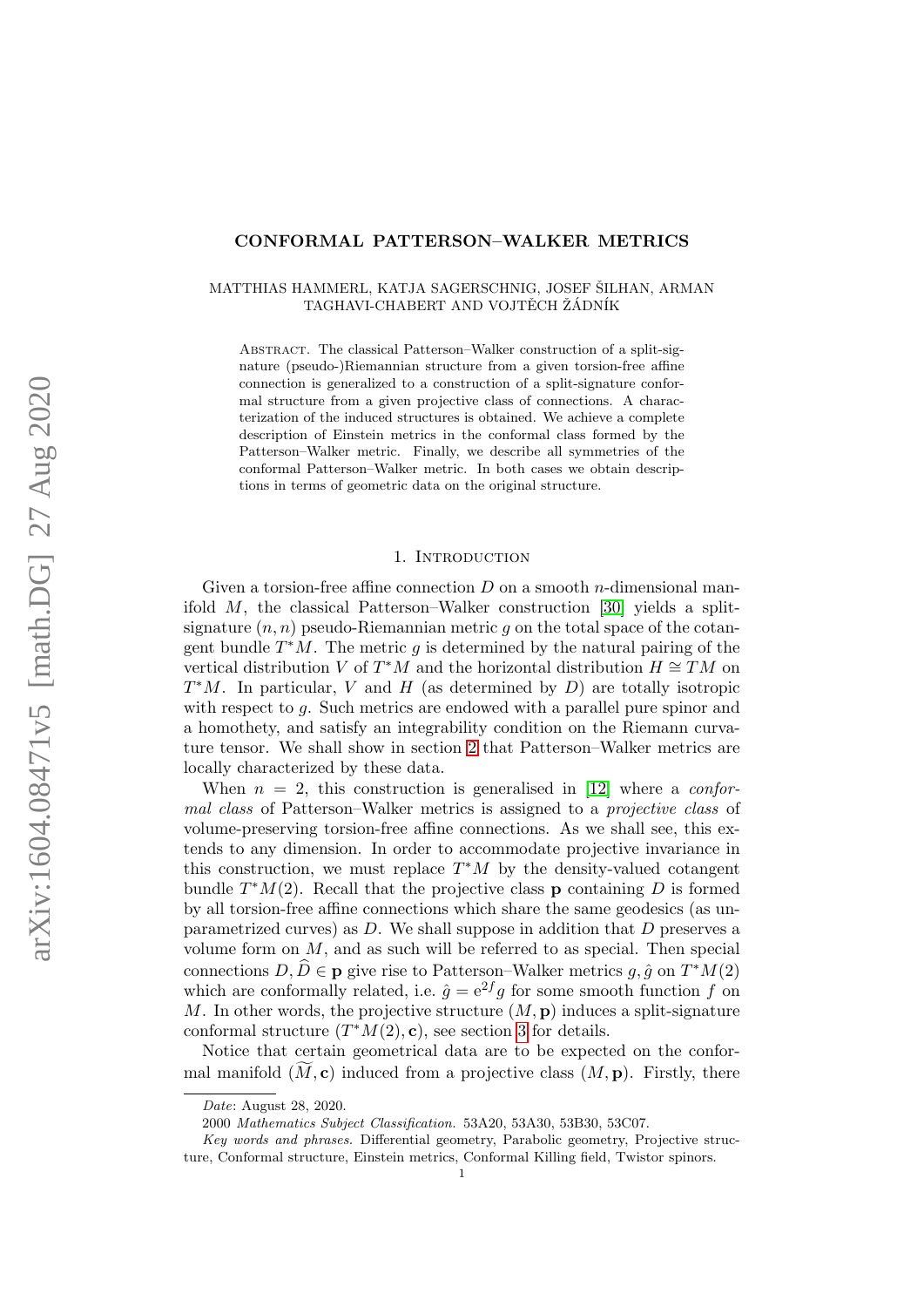# CONFORMAL PATTERSON–WALKER METRICS

## MATTHIAS HAMMERL, KATJA SAGERSCHNIG, JOSEF ŠILHAN, ARMAN TAGHAVI-CHABERT AND VOJTĚCH ŽÁDNÍK

ABSTRACT. The classical Patterson–Walker construction of a split-signature (pseudo-)Riemannian structure from a given torsion-free affine connection is generalized to a construction of a split-signature conformal structure from a given projective class of connections. A characterization of the induced structures is obtained. We achieve a complete description of Einstein metrics in the conformal class formed by the Patterson–Walker metric. Finally, we describe all symmetries of the conformal Patterson–Walker metric. In both cases we obtain descriptions in terms of geometric data on the original structure.

#### 1. Introduction

Given a torsion-free affine connection  $D$  on a smooth *n*-dimensional manifold M, the classical Patterson–Walker construction [\[30\]](#page-32-0) yields a splitsignature  $(n, n)$  pseudo-Riemannian metric q on the total space of the cotangent bundle  $T^*M$ . The metric g is determined by the natural pairing of the vertical distribution V of  $T^*M$  and the horizontal distribution  $H \cong TM$  on  $T^*M$ . In particular, V and H (as determined by D) are totally isotropic with respect to q. Such metrics are endowed with a parallel pure spinor and a homothety, and satisfy an integrability condition on the Riemann curvature tensor. We shall show in section [2](#page-4-0) that Patterson–Walker metrics are locally characterized by these data.

When  $n = 2$ , this construction is generalised in [\[12\]](#page-31-0) where a *confor*mal class of Patterson–Walker metrics is assigned to a *projective class* of volume-preserving torsion-free affine connections. As we shall see, this extends to any dimension. In order to accommodate projective invariance in this construction, we must replace  $T^*M$  by the density-valued cotangent bundle  $T^*M(2)$ . Recall that the projective class **p** containing D is formed by all torsion-free affine connections which share the same geodesics (as unparametrized curves) as  $D$ . We shall suppose in addition that  $D$  preserves a volume form on  $M$ , and as such will be referred to as special. Then special connections  $D, \widehat{D} \in \mathbf{p}$  give rise to Patterson–Walker metrics  $g, \hat{g}$  on  $T^*M(2)$ which are conformally related, i.e.  $\hat{g} = e^{2f}g$  for some smooth function f on M. In other words, the projective structure  $(M, \mathbf{p})$  induces a split-signature conformal structure  $(T^*M(2), \mathbf{c})$ , see section [3](#page-8-0) for details.

Notice that certain geometrical data are to be expected on the conformal manifold  $(M, c)$  induced from a projective class  $(M, p)$ . Firstly, there

Date: August 28, 2020.

<sup>2000</sup> Mathematics Subject Classification. 53A20, 53A30, 53B30, 53C07.

Key words and phrases. Differential geometry, Parabolic geometry, Projective structure, Conformal structure, Einstein metrics, Conformal Killing field, Twistor spinors.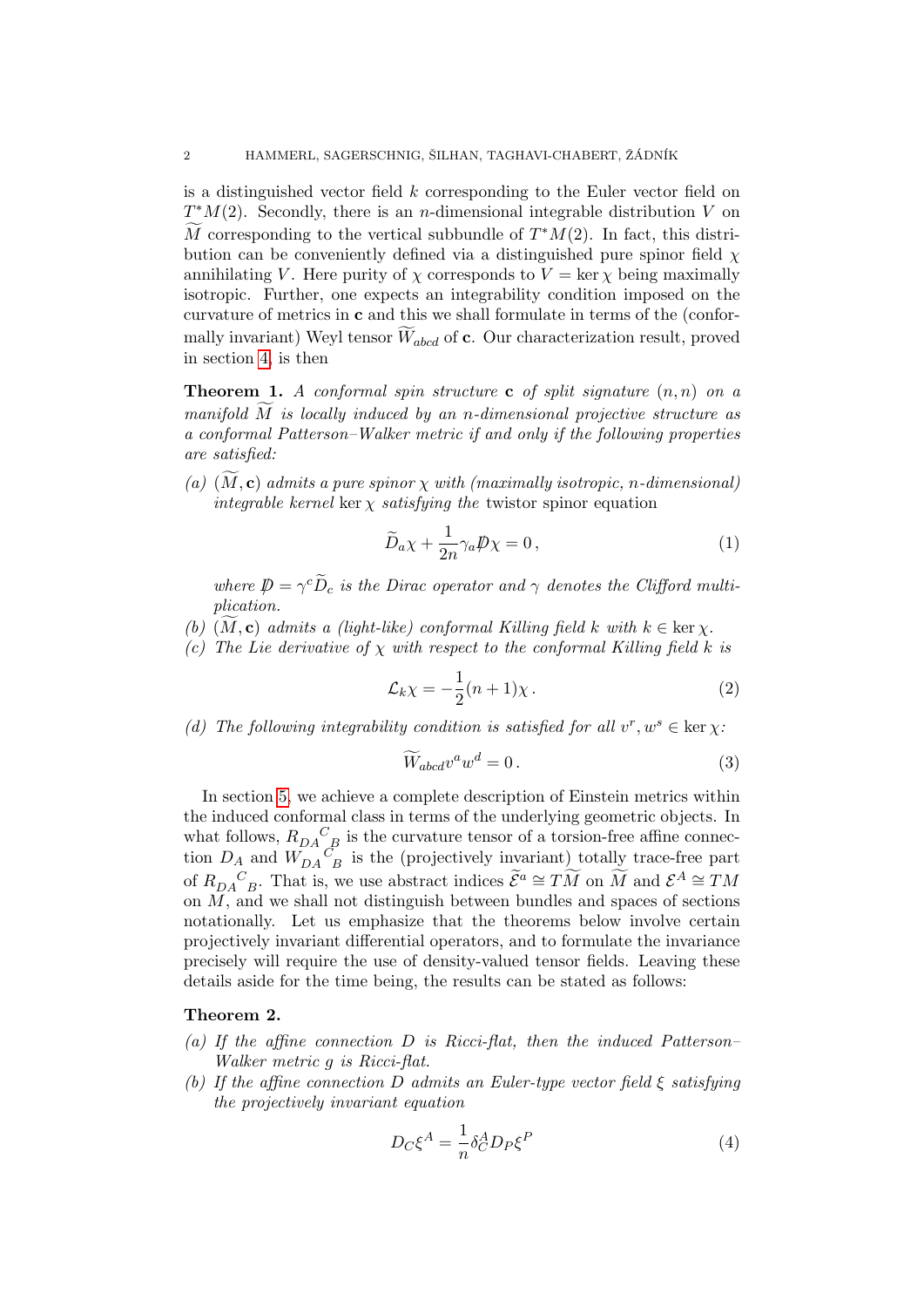is a distinguished vector field  $k$  corresponding to the Euler vector field on  $T^*M(2)$ . Secondly, there is an *n*-dimensional integrable distribution V on M corresponding to the vertical subbundle of  $T^*M(2)$ . In fact, this distribution can be conveniently defined via a distinguished pure spinor field  $\chi$ annihilating V. Here purity of  $\chi$  corresponds to  $V = \ker \chi$  being maximally isotropic. Further, one expects an integrability condition imposed on the curvature of metrics in c and this we shall formulate in terms of the (conformally invariant) Weyl tensor  $\widetilde{W}_{abcd}$  of c. Our characterization result, proved in section [4,](#page-13-0) is then

<span id="page-1-1"></span>**Theorem 1.** A conformal spin structure c of split signature  $(n, n)$  on a manifold  $M$  is locally induced by an n-dimensional projective structure as a conformal Patterson–Walker metric if and only if the following properties are satisfied:

(a)  $(M, c)$  admits a pure spinor  $\chi$  with (maximally isotropic, n-dimensional) integrable kernel ker  $\chi$  satisfying the twistor spinor equation

<span id="page-1-2"></span>
$$
\widetilde{D}_a \chi + \frac{1}{2n} \gamma_a \not\!\!D \chi = 0, \qquad (1)
$$

where  $\mathcal{D} = \gamma^c \tilde{D}_c$  is the Dirac operator and  $\gamma$  denotes the Clifford multiplication.

- (b)  $(M, c)$  admits a (light-like) conformal Killing field k with  $k \in \text{ker } \chi$ .
- (c) The Lie derivative of  $\chi$  with respect to the conformal Killing field k is

$$
\mathcal{L}_k \chi = -\frac{1}{2}(n+1)\chi \,. \tag{2}
$$

(d) The following integrability condition is satisfied for all  $v^r, w^s \in \text{ker } \chi$ :

<span id="page-1-4"></span><span id="page-1-3"></span>
$$
\widetilde{W}_{abcd}v^a w^d = 0.
$$
\n(3)

In section [5,](#page-18-0) we achieve a complete description of Einstein metrics within the induced conformal class in terms of the underlying geometric objects. In what follows,  $R_{DA}^C_{\phantom{A}B}$  is the curvature tensor of a torsion-free affine connection  $D_A$  and  $W_{DA}{}^C_B$  is the (projectively invariant) totally trace-free part of  $R_{DA}{}^C{}_{B}$ . That is, we use abstract indices  $\widetilde{\mathcal{E}}^a \cong T\widetilde{M}$  on  $\widetilde{M}$  and  $\mathcal{E}^A \cong T M$ on M, and we shall not distinguish between bundles and spaces of sections notationally. Let us emphasize that the theorems below involve certain projectively invariant differential operators, and to formulate the invariance precisely will require the use of density-valued tensor fields. Leaving these details aside for the time being, the results can be stated as follows:

# <span id="page-1-5"></span>Theorem 2.

- (a) If the affine connection  $D$  is Ricci-flat, then the induced Patterson– Walker metric g is Ricci-flat.
- (b) If the affine connection D admits an Euler-type vector field  $\xi$  satisfying the projectively invariant equation

<span id="page-1-0"></span>
$$
D_C \xi^A = \frac{1}{n} \delta_C^A D_P \xi^P \tag{4}
$$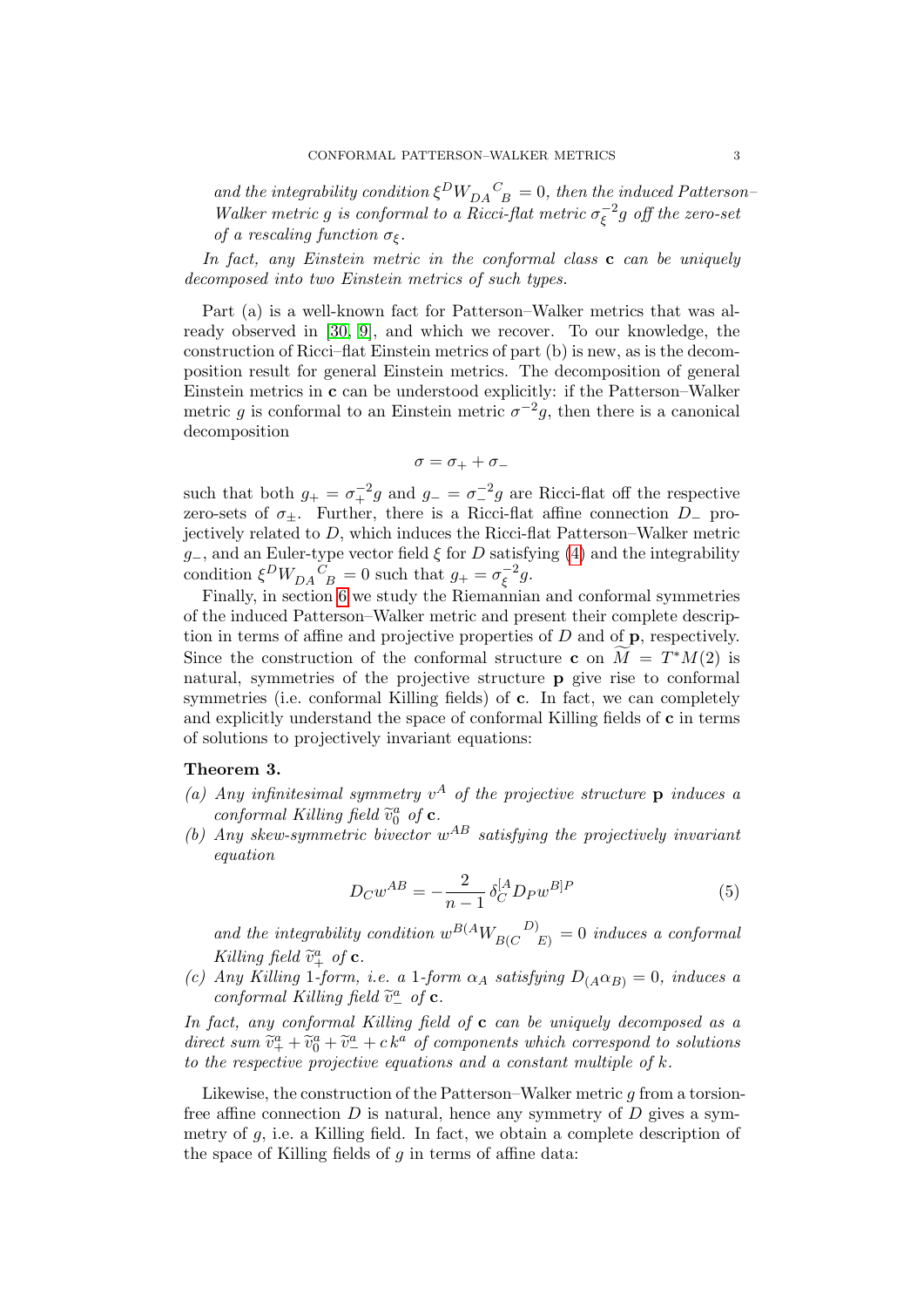and the integrability condition  $\xi^{D}W_{DA}^{C}_{B} = 0$ , then the induced Patterson-Walker metric g is conformal to a Ricci-flat metric  $\sigma_{\epsilon}^{-2}$  $\int_\xi^{-2} g\,\,$  off the zero-set of a rescaling function  $\sigma_{\xi}$ .

In fact, any Einstein metric in the conformal class  $\bf{c}$  can be uniquely decomposed into two Einstein metrics of such types.

Part (a) is a well-known fact for Patterson–Walker metrics that was already observed in [\[30,](#page-32-0) [9\]](#page-31-1), and which we recover. To our knowledge, the construction of Ricci–flat Einstein metrics of part (b) is new, as is the decomposition result for general Einstein metrics. The decomposition of general Einstein metrics in c can be understood explicitly: if the Patterson–Walker metric g is conformal to an Einstein metric  $\sigma^{-2}g$ , then there is a canonical decomposition

$$
\sigma=\sigma_+ + \sigma_-
$$

such that both  $g_+ = \sigma_+^{-2}g$  and  $g_- = \sigma_-^{-2}g$  are Ricci-flat off the respective zero-sets of  $\sigma_{\pm}$ . Further, there is a Ricci-flat affine connection D<sub>-</sub> projectively related to D, which induces the Ricci-flat Patterson–Walker metric g-, and an Euler-type vector field  $\xi$  for D satisfying [\(4\)](#page-1-0) and the integrability condition  $\xi^{D}W_{DA}{}^{C}_{\ B} = 0$  such that  $g_{+} = \sigma_{\xi}^{-2}$  $\overline{\xi}^2 g.$ 

Finally, in section [6](#page-21-0) we study the Riemannian and conformal symmetries of the induced Patterson–Walker metric and present their complete description in terms of affine and projective properties of  $D$  and of  $\bf{p}$ , respectively. Since the construction of the conformal structure c on  $\widetilde{M} = T^*M(2)$  is natural, symmetries of the projective structure p give rise to conformal symmetries (i.e. conformal Killing fields) of c. In fact, we can completely and explicitly understand the space of conformal Killing fields of c in terms of solutions to projectively invariant equations:

### <span id="page-2-0"></span>Theorem 3.

- (a) Any infinitesimal symmetry  $v^A$  of the projective structure **p** induces a conformal Killing field  $\tilde{v}_0^a$  of **c**.<br>Any skew symmetric hivestor
- (b) Any skew-symmetric bivector  $w^{AB}$  satisfying the projectively invariant equation

$$
D_C w^{AB} = -\frac{2}{n-1} \delta_C^{[A} D_P w^{B]P}
$$
 (5)

and the integrability condition  $w^{B(A}W_{B(C}^{\ D)}_{E)}=0$  induces a conformal Killing field  $\widetilde{v}_+^a$  of **c**.<br>Any Killing 1 form

(c) Any Killing 1-form, i.e. a 1-form  $\alpha_A$  satisfying  $D_{(A} \alpha_{B)} = 0$ , induces a conformal Killing field  $\tilde{v}^{\underline{a}}$  of **c**.

In fact, any conformal Killing field of  $c$  can be uniquely decomposed as a direct sum  $\tilde{v}_{+}^a + \tilde{v}_{0}^a + \tilde{v}_{-}^a + c k^a$  of components which correspond to solutions<br>to the respective projective equations and a constant multiple of k to the respective projective equations and a constant multiple of  $k$ .

Likewise, the construction of the Patterson–Walker metric  $g$  from a torsionfree affine connection  $D$  is natural, hence any symmetry of  $D$  gives a symmetry of  $q$ , i.e. a Killing field. In fact, we obtain a complete description of the space of Killing fields of  $q$  in terms of affine data: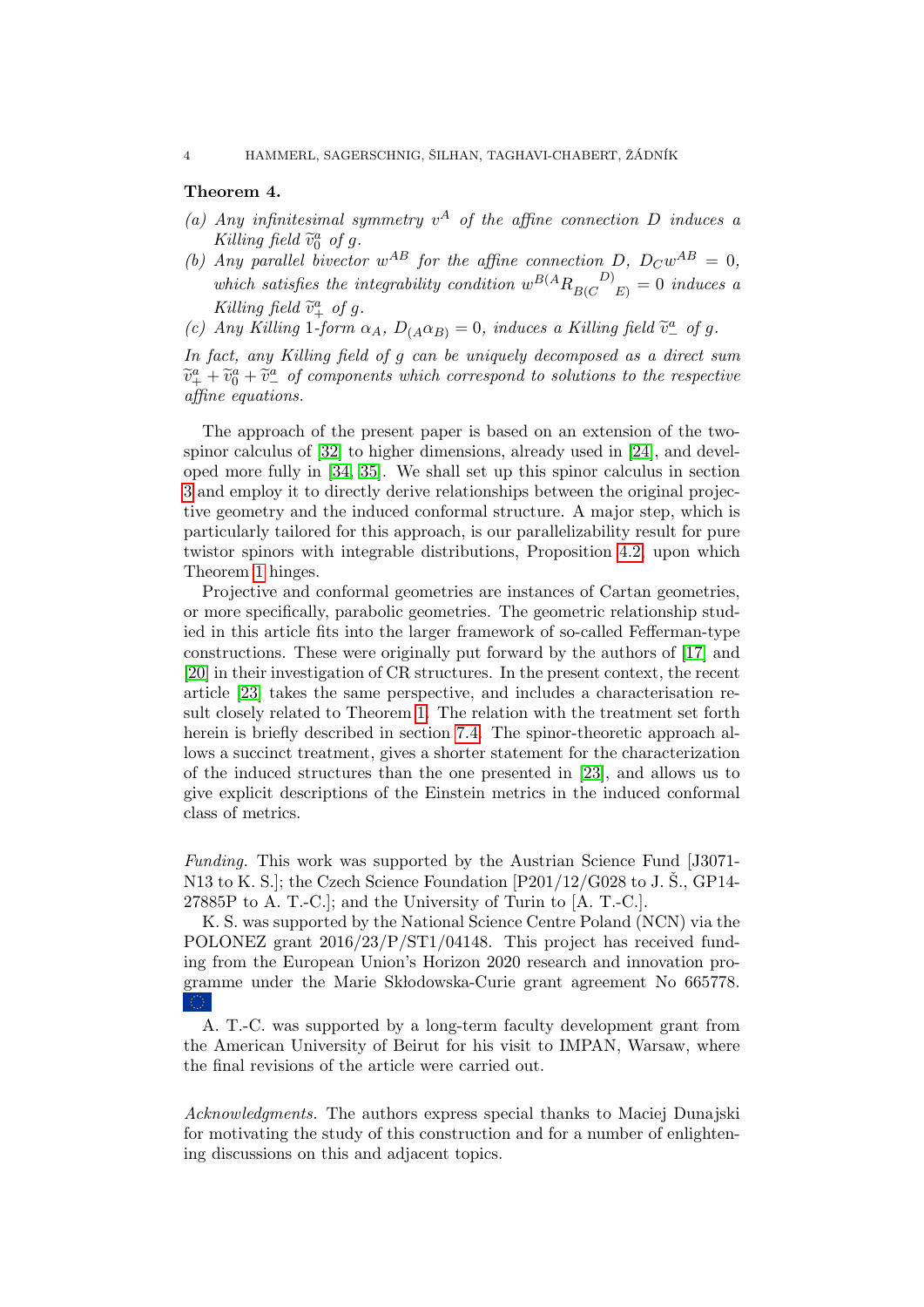### <span id="page-3-0"></span>Theorem 4.

- (a) Any infinitesimal symmetry  $v^A$  of the affine connection D induces a Killing field  $\tilde{v}_0^a$ <br>Any perallel b  $\int_{0}^{a}$  of g.
- (b) Any parallel bivector  $w^{AB}$  for the affine connection D,  $D_Cw^{AB} = 0$ , which satisfies the integrability condition  $w^{B(A}R_{B(C}^{D)})=0$  induces a Killing field  $\tilde{v}_+^a$  of g.<br>Any Killing 1 form
- (c) Any Killing 1-form  $\alpha_A$ ,  $D_{(A} \alpha_{B)} = 0$ , induces a Killing field  $\tilde{v}^a_-$  of g.

In fact, any Killing field of g can be uniquely decomposed as a direct sum  $\widetilde{v}_+^a + \widetilde{v}_0^a + \widetilde{v}_-^a$  of components which correspond to solutions to the respective affine equations.

The approach of the present paper is based on an extension of the twospinor calculus of [\[32\]](#page-32-1) to higher dimensions, already used in [\[24\]](#page-32-2), and developed more fully in [\[34,](#page-32-3) [35\]](#page-32-4). We shall set up this spinor calculus in section [3](#page-8-0) and employ it to directly derive relationships between the original projective geometry and the induced conformal structure. A major step, which is particularly tailored for this approach, is our parallelizability result for pure twistor spinors with integrable distributions, Proposition [4.2,](#page-14-0) upon which Theorem [1](#page-1-1) hinges.

Projective and conformal geometries are instances of Cartan geometries, or more specifically, parabolic geometries. The geometric relationship studied in this article fits into the larger framework of so-called Fefferman-type constructions. These were originally put forward by the authors of [\[17\]](#page-31-2) and [\[20\]](#page-32-5) in their investigation of CR structures. In the present context, the recent article [\[23\]](#page-32-6) takes the same perspective, and includes a characterisation result closely related to Theorem [1.](#page-1-1) The relation with the treatment set forth herein is briefly described in section [7.4.](#page-30-0) The spinor-theoretic approach allows a succinct treatment, gives a shorter statement for the characterization of the induced structures than the one presented in [\[23\]](#page-32-6), and allows us to give explicit descriptions of the Einstein metrics in the induced conformal class of metrics.

Funding. This work was supported by the Austrian Science Fund [J3071- N13 to K. S.]; the Czech Science Foundation  $[P201/12/G028]$  to J. Š., GP14-27885P to A. T.-C.]; and the University of Turin to [A. T.-C.].

K. S. was supported by the National Science Centre Poland (NCN) via the POLONEZ grant 2016/23/P/ST1/04148. This project has received funding from the European Union's Horizon 2020 research and innovation programme under the Marie Skłodowska-Curie grant agreement No 665778.

A. T.-C. was supported by a long-term faculty development grant from the American University of Beirut for his visit to IMPAN, Warsaw, where the final revisions of the article were carried out.

Acknowledgments. The authors express special thanks to Maciej Dunajski for motivating the study of this construction and for a number of enlightening discussions on this and adjacent topics.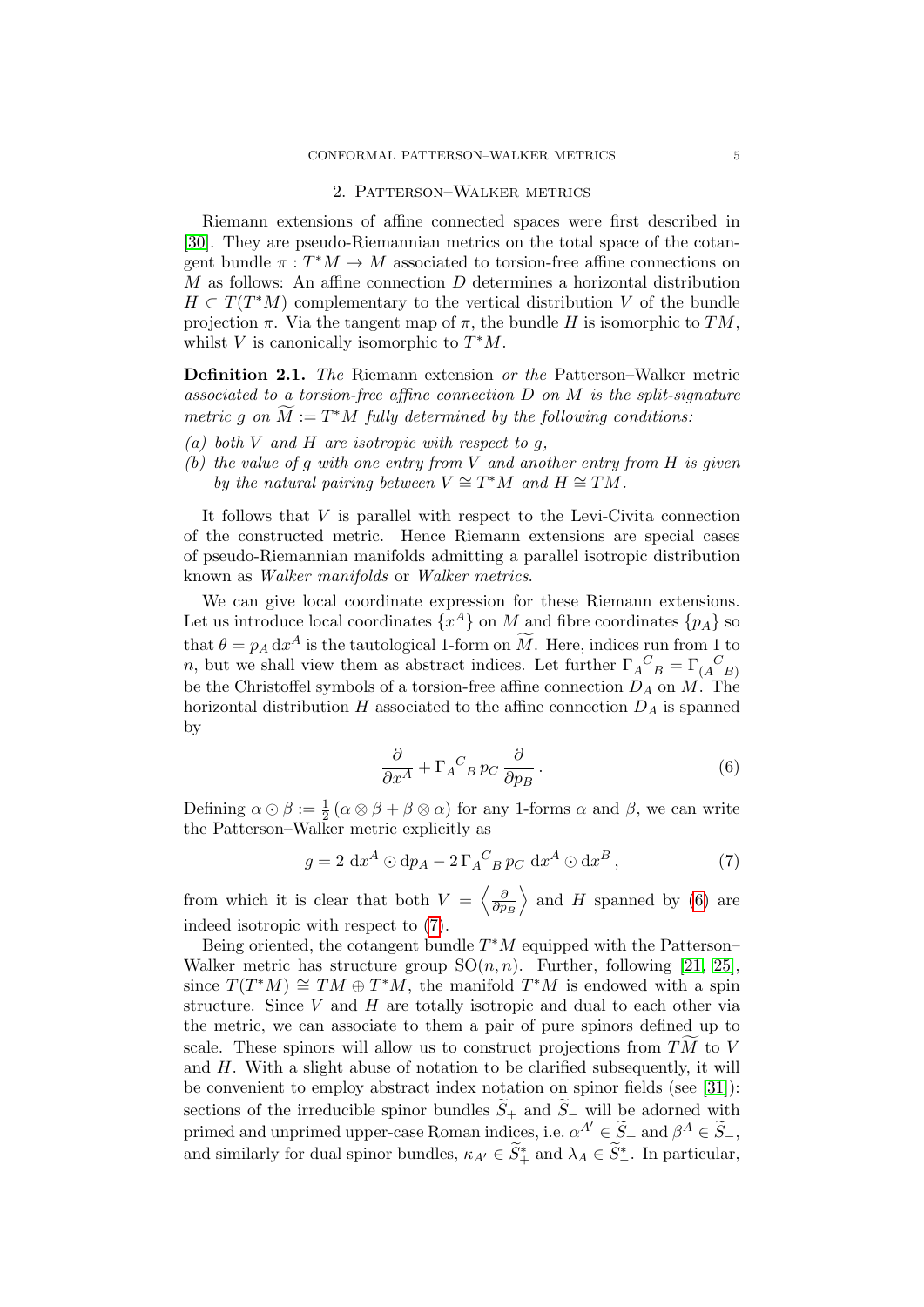#### 2. Patterson–Walker metrics

<span id="page-4-0"></span>Riemann extensions of affine connected spaces were first described in [\[30\]](#page-32-0). They are pseudo-Riemannian metrics on the total space of the cotangent bundle  $\pi: T^*M \to M$  associated to torsion-free affine connections on M as follows: An affine connection D determines a horizontal distribution  $H \subset T(T^*M)$  complementary to the vertical distribution V of the bundle projection  $\pi$ . Via the tangent map of  $\pi$ , the bundle H is isomorphic to TM, whilst V is canonically isomorphic to  $T^*M$ .

Definition 2.1. The Riemann extension or the Patterson–Walker metric associated to a torsion-free affine connection  $D$  on  $M$  is the split-signature metric g on  $\widetilde{M} := T^*M$  fully determined by the following conditions:

- (a) both V and H are isotropic with respect to  $q$ ,
- (b) the value of g with one entry from  $V$  and another entry from  $H$  is given by the natural pairing between  $V \cong T^*M$  and  $H \cong TM$ .

It follows that  $V$  is parallel with respect to the Levi-Civita connection of the constructed metric. Hence Riemann extensions are special cases of pseudo-Riemannian manifolds admitting a parallel isotropic distribution known as Walker manifolds or Walker metrics.

We can give local coordinate expression for these Riemann extensions. Let us introduce local coordinates  $\{x^A\}$  on M and fibre coordinates  $\{p_A\}$  so that  $\theta = p_A dx^A$  is the tautological 1-form on  $\widetilde{M}$ . Here, indices run from 1 to n, but we shall view them as abstract indices. Let further  $\Gamma_A^{\ C}{}_{B} = \Gamma_{(A \ B)}^{\ C}$ be the Christoffel symbols of a torsion-free affine connection  $D_A$  on  $M$ . The horizontal distribution  $H$  associated to the affine connection  $D_A$  is spanned by

<span id="page-4-2"></span><span id="page-4-1"></span>
$$
\frac{\partial}{\partial x^A} + \Gamma_A{}^C{}_B p_C \frac{\partial}{\partial p_B}.
$$
 (6)

Defining  $\alpha \odot \beta := \frac{1}{2} (\alpha \otimes \beta + \beta \otimes \alpha)$  for any 1-forms  $\alpha$  and  $\beta$ , we can write the Patterson–Walker metric explicitly as

$$
g = 2 \, dx^A \odot dp_A - 2 \, \Gamma_A{}^C{}_B \, pc \, dx^A \odot dx^B \,, \tag{7}
$$

from which it is clear that both  $V = \begin{pmatrix} \frac{\delta}{\delta n} \end{pmatrix}$  $\partial p_B$  $\rangle$  and H spanned by [\(6\)](#page-4-1) are indeed isotropic with respect to [\(7\)](#page-4-2).

Being oriented, the cotangent bundle  $T^*M$  equipped with the Patterson– Walker metric has structure group  $SO(n, n)$ . Further, following [\[21,](#page-32-7) [25\]](#page-32-8), since  $T(T^*M) \cong TM \oplus T^*M$ , the manifold  $T^*M$  is endowed with a spin structure. Since  $V$  and  $H$  are totally isotropic and dual to each other via the metric, we can associate to them a pair of pure spinors defined up to scale. These spinors will allow us to construct projections from  $T\overline{M}$  to V and  $H$ . With a slight abuse of notation to be clarified subsequently, it will be convenient to employ abstract index notation on spinor fields (see [\[31\]](#page-32-9)): sections of the irreducible spinor bundles  $\widetilde{S}_+$  and  $\widetilde{S}_-$  will be adorned with primed and unprimed upper-case Roman indices, i.e.  $\alpha^{A'} \in \widetilde{S}_+$  and  $\beta^A \in \widetilde{S}_-,$ and similarly for dual spinor bundles,  $\kappa_{A'} \in \widetilde{S}_+^*$  and  $\lambda_A \in \widetilde{S}_-^*$ . In particular,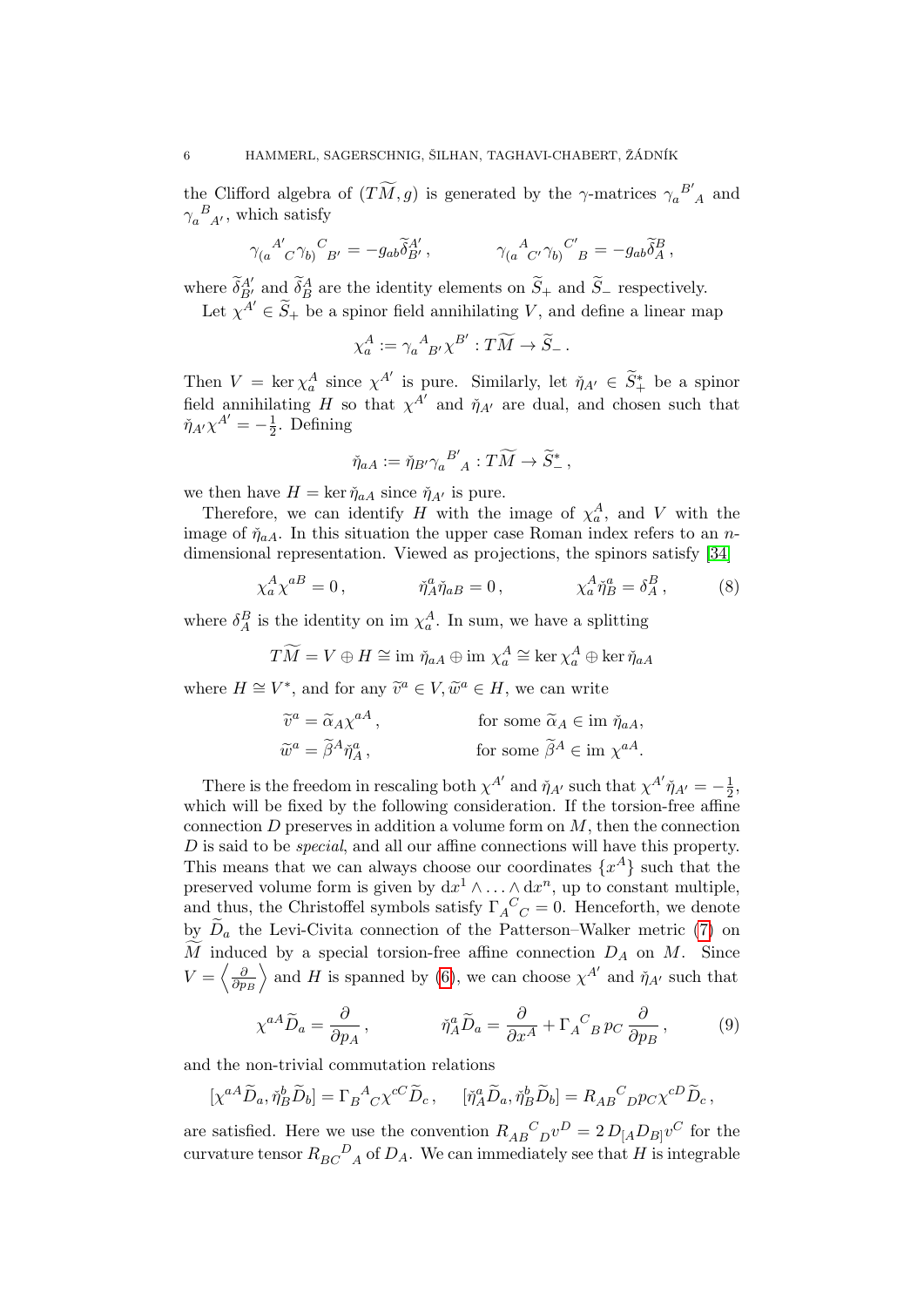the Clifford algebra of  $(T\widetilde{M}, g)$  is generated by the  $\gamma$ -matrices  $\gamma_a^{B'}_{A}$  and  $\gamma_a^{\ B}{}_{A'}$ , which satisfy

$$
\gamma_{(a}{}^{A'}_{}{}^{}_{C}\gamma_{b)}{}^{C}{}_{B'} = -g_{ab} \tilde{\delta}^{A'}_{B'}\,, \qquad \qquad \gamma_{(a}{}^{A}{}_{C'}\gamma_{b)}{}^{C'}{}_{B} = -g_{ab} \tilde{\delta}^{B}_A\,,
$$

where  $\widetilde{\delta}_{B'}^{A'}$  and  $\widetilde{\delta}_B^A$  are the identity elements on  $\widetilde{S}_+$  and  $\widetilde{S}_-$  respectively.

Let  $\chi^{A'} \in \widetilde{S}_+$  be a spinor field annihilating V, and define a linear map

$$
\chi_a^A := \gamma_a{}^A{}_{B'}\chi^{B'} : T\widetilde{M} \to \widetilde{S}_-\,.
$$

Then  $V = \ker \chi_a^A$  since  $\chi^{A'}$  is pure. Similarly, let  $\tilde{\eta}_{A'} \in \tilde{S}_+^*$  be a spinor field annihilating H so that  $\chi^{A'}$  and  $\check{\eta}_{A'}$  are dual, and chosen such that  $\check{\eta}_{A'}\chi^{A'}=-\frac{1}{2}$  $\frac{1}{2}$ . Defining

<span id="page-5-0"></span>
$$
\check{\eta}_{aA} := \check{\eta}_{B'} \gamma_a{}^{B'}_{A} : T\widetilde{M} \to \widetilde{S}^*_{-},
$$

we then have  $H = \ker \check{\eta}_{aA}$  since  $\check{\eta}_{A'}$  is pure.

Therefore, we can identify H with the image of  $\chi_a^A$ , and V with the image of  $\tilde{\eta}_{aA}$ . In this situation the upper case Roman index refers to an ndimensional representation. Viewed as projections, the spinors satisfy [\[34\]](#page-32-3)

$$
\chi_a^A \chi^{aB} = 0, \qquad \tilde{\eta}_A^a \tilde{\eta}_{aB} = 0, \qquad \chi_a^A \tilde{\eta}_B^a = \delta_A^B, \qquad (8)
$$

where  $\delta_A^B$  is the identity on im  $\chi_a^A$ . In sum, we have a splitting

$$
T\widetilde{M} = V \oplus H \cong \text{im } \check{\eta}_{aA} \oplus \text{im } \chi_a^A \cong \ker \chi_a^A \oplus \ker \check{\eta}_{aA}
$$

where  $H \cong V^*$ , and for any  $\widetilde{v}^a \in V$ ,  $\widetilde{w}^a \in H$ , we can write

$$
\widetilde{v}^a = \widetilde{\alpha}_A \chi^{aA}, \qquad \text{for some } \widetilde{\alpha}_A \in \text{im } \widetilde{\eta}_{aA},
$$

$$
\widetilde{w}^a = \widetilde{\beta}^A \widetilde{\eta}_A^a, \qquad \text{for some } \widetilde{\beta}^A \in \text{im } \chi^{aA}.
$$

There is the freedom in rescaling both  $\chi^{A'}$  and  $\check{\eta}_{A'}$  such that  $\chi^{A'}\check{\eta}_{A'} = -\frac{1}{2}$  $\frac{1}{2}$ , which will be fixed by the following consideration. If the torsion-free affine connection  $D$  preserves in addition a volume form on  $M$ , then the connection D is said to be *special*, and all our affine connections will have this property. This means that we can always choose our coordinates  $\{x^A\}$  such that the preserved volume form is given by  $dx^1 \wedge \ldots \wedge dx^n$ , up to constant multiple, and thus, the Christoffel symbols satisfy  $\Gamma_A^C C = 0$ . Henceforth, we denote by  $D_a$  the Levi-Civita connection of the Patterson–Walker metric [\(7\)](#page-4-2) on  $\widetilde{M}$  induced by a special torsion-free affine connection  $D_A$  on M. Since  $V = \left\langle \frac{\partial}{\partial n} \right\rangle$  $\overline{\partial p_B}$  $\rangle$  and H is spanned by [\(6\)](#page-4-1), we can choose  $\chi^{A'}$  and  $\check{\eta}_{A'}$  such that

<span id="page-5-1"></span>
$$
\chi^{aA}\widetilde{D}_a = \frac{\partial}{\partial p_A}, \qquad \tilde{\eta}_A^a \widetilde{D}_a = \frac{\partial}{\partial x^A} + \Gamma_A{}^C{}_B p_C \frac{\partial}{\partial p_B}, \qquad (9)
$$

and the non-trivial commutation relations

$$
[\chi^{aA}\widetilde{D}_a, \check{\eta}_B^b\widetilde{D}_b] = \Gamma_B{}^A{}_C \chi^{cC}\widetilde{D}_c, \quad [\check{\eta}_A^a\widetilde{D}_a, \check{\eta}_B^b\widetilde{D}_b] = R_{AB}{}^C{}_D p_C \chi^{cD}\widetilde{D}_c,
$$

are satisfied. Here we use the convention  $R_{AB}{}^C{}_{D}v^D = 2 D_{[A} D_{B]} v^C$  for the curvature tensor  $R_{BC}{}^D{}_A$  of  $D_A$ . We can immediately see that H is integrable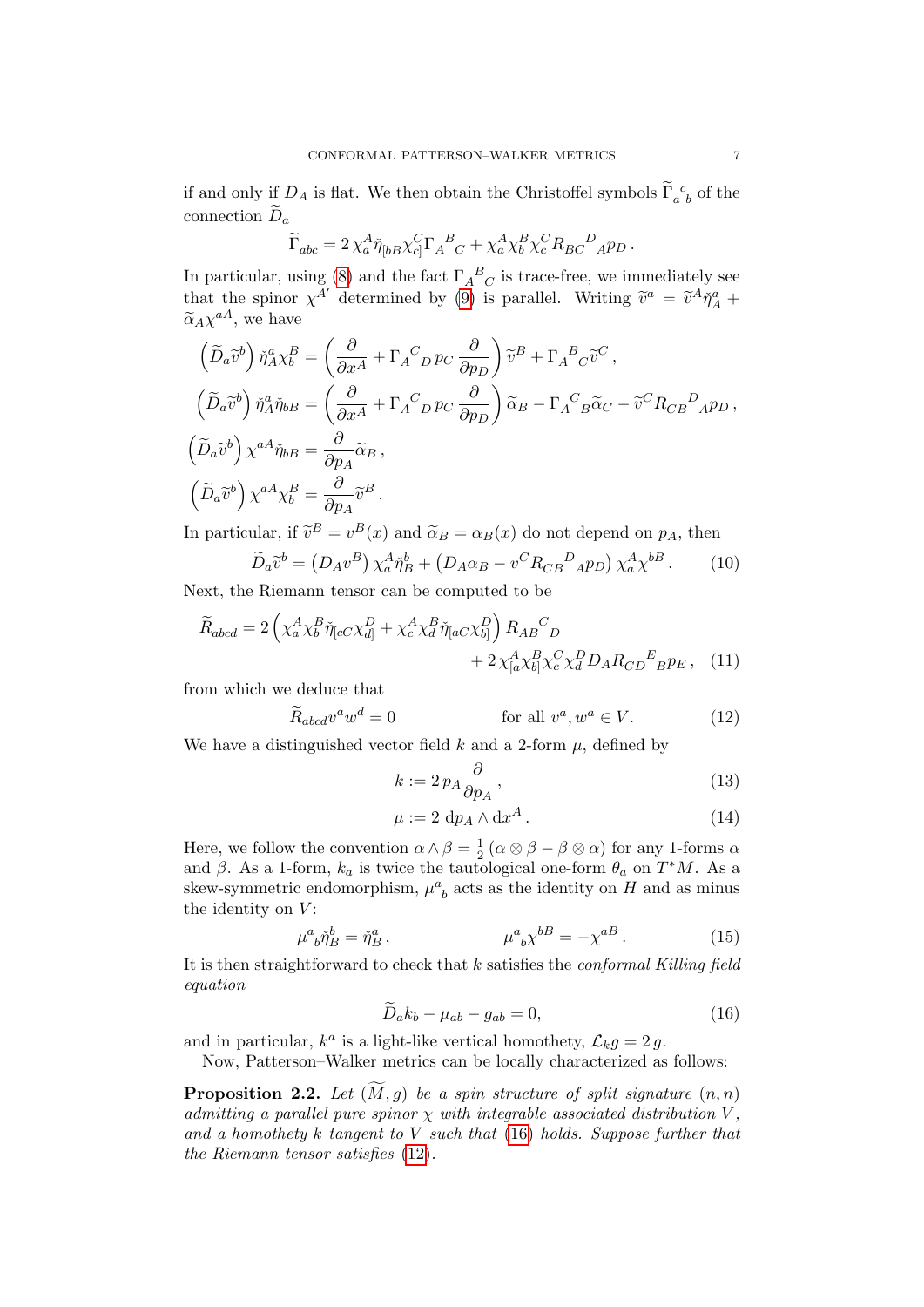if and only if  $D_A$  is flat. We then obtain the Christoffel symbols  $\tilde{\Gamma}_{a b}^{\ c}$  of the connection  $\widetilde{D}_a$ 

$$
\widetilde{\Gamma}_{abc} = 2\,\chi_a^A \check{\eta}_{[bB} \chi_c^C \Gamma_A{}^B{}_C + \chi_a^A \chi_b^B \chi_c^C R_{BC}{}^D{}_A p_D \,.
$$

In particular, using [\(8\)](#page-5-0) and the fact  $\Gamma_A{}^B{}_C$  is trace-free, we immediately see that the spinor  $\chi^{A'}$  determined by [\(9\)](#page-5-1) is parallel. Writing  $\tilde{v}^a = \tilde{v}^A \tilde{\eta}_A^a + \tilde{\eta}_A^a$  $\tilde{\alpha}_A \chi^{aA}$ , we have

$$
\left(\tilde{D}_{a}\tilde{v}^{b}\right)\tilde{\eta}_{A}^{a}\chi_{b}^{B} = \left(\frac{\partial}{\partial x^{A}} + \Gamma_{A}{}^{C}{}_{D}p_{C}\frac{\partial}{\partial p_{D}}\right)\tilde{v}^{B} + \Gamma_{A}{}^{B}{}_{C}\tilde{v}^{C},
$$
\n
$$
\left(\tilde{D}_{a}\tilde{v}^{b}\right)\tilde{\eta}_{A}^{a}\tilde{\eta}_{bB} = \left(\frac{\partial}{\partial x^{A}} + \Gamma_{A}{}^{C}{}_{D}p_{C}\frac{\partial}{\partial p_{D}}\right)\tilde{\alpha}_{B} - \Gamma_{A}{}^{C}{}_{B}\tilde{\alpha}_{C} - \tilde{v}^{C}R_{CB}{}^{D}{}_{A}p_{D},
$$
\n
$$
\left(\tilde{D}_{a}\tilde{v}^{b}\right)\chi^{aA}\tilde{\eta}_{bB} = \frac{\partial}{\partial p_{A}}\tilde{\alpha}_{B},
$$
\n
$$
\left(\tilde{D}_{a}\tilde{v}^{b}\right)\chi^{aA}\chi_{b}^{B} = \frac{\partial}{\partial p_{A}}\tilde{v}^{B}.
$$

In particular, if  $\tilde{v}^B = v^B(x)$  and  $\tilde{\alpha}_B = \alpha_B(x)$  do not depend on  $p_A$ , then

$$
\widetilde{D}_a \widetilde{v}^b = \left(D_A v^B\right) \chi_a^A \check{\eta}_B^b + \left(D_A \alpha_B - v^C R_{CB}{}^D{}_A p_D\right) \chi_a^A \chi^{bB} \,. \tag{10}
$$

Next, the Riemann tensor can be computed to be

$$
\widetilde{R}_{abcd} = 2\left(\chi_a^A \chi_b^B \widetilde{\eta}_{[cC} \chi_{d]}^D + \chi_c^A \chi_d^B \widetilde{\eta}_{[aC} \chi_{b]}^D\right) R_{AB}{}^C{}_D + 2\chi_{[a}^A \chi_{b]}^B \chi_c^C \chi_d^D D_A R_{CD}{}^E{}_{B} p_E \,, \tag{11}
$$

from which we deduce that

$$
\widetilde{R}_{abcd}v^a w^d = 0 \qquad \text{for all } v^a, w^a \in V. \tag{12}
$$

We have a distinguished vector field  $k$  and a 2-form  $\mu$ , defined by

<span id="page-6-6"></span><span id="page-6-5"></span><span id="page-6-2"></span><span id="page-6-1"></span>
$$
k := 2 p_A \frac{\partial}{\partial p_A},\tag{13}
$$

<span id="page-6-7"></span><span id="page-6-3"></span>
$$
\mu := 2 \, \mathrm{d}p_A \wedge \mathrm{d}x^A \,. \tag{14}
$$

Here, we follow the convention  $\alpha \wedge \beta = \frac{1}{2}$  $\frac{1}{2}$   $(\alpha \otimes \beta - \beta \otimes \alpha)$  for any 1-forms  $\alpha$ and  $\beta$ . As a 1-form,  $k_a$  is twice the tautological one-form  $\theta_a$  on  $T^*M$ . As a skew-symmetric endomorphism,  $\mu^a_{\ b}$  acts as the identity on  $H$  and as minus the identity on  $V$ :

$$
\mu^a{}_b \check{\eta}^b{}_B = \check{\eta}^a{}_B \,, \qquad \qquad \mu^a{}_b \chi^{b} = -\chi^{a}{}^B \,. \tag{15}
$$

It is then straightforward to check that  $k$  satisfies the *conformal Killing field* equation

<span id="page-6-0"></span>
$$
\widetilde{D}_a k_b - \mu_{ab} - g_{ab} = 0,\t\t(16)
$$

and in particular,  $k^a$  is a light-like vertical homothety,  $\mathcal{L}_k g = 2 g$ .

Now, Patterson–Walker metrics can be locally characterized as follows:

<span id="page-6-4"></span>**Proposition 2.2.** Let  $(M, g)$  be a spin structure of split signature  $(n, n)$ admitting a parallel pure spinor  $\chi$  with integrable associated distribution V, and a homothety k tangent to  $V$  such that [\(16\)](#page-6-0) holds. Suppose further that the Riemann tensor satisfies [\(12\)](#page-6-1).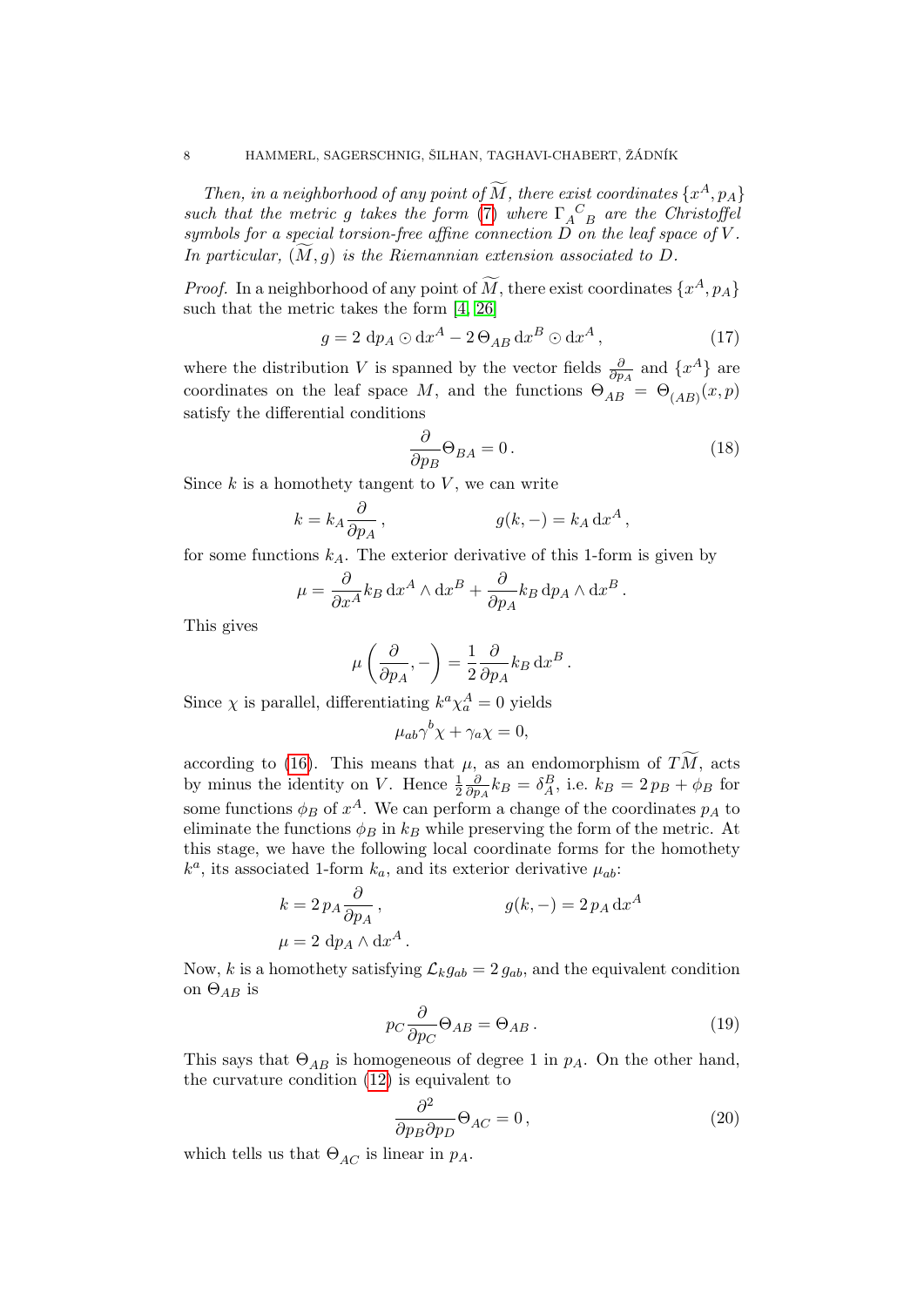Then, in a neighborhood of any point of  $\widetilde{M}$ , there exist coordinates  $\{x^A, p_A\}$ such that the metric g takes the form [\(7\)](#page-4-2) where  $\Gamma_A^C$  are the Christoffel symbols for a special torsion-free affine connection D on the leaf space of V . In particular,  $(M, q)$  is the Riemannian extension associated to D.

*Proof.* In a neighborhood of any point of  $\tilde{M}$ , there exist coordinates  $\{x^A, p_A\}$ such that the metric takes the form [\[4,](#page-31-3) [26\]](#page-32-10)

$$
g = 2 \, dp_A \odot dx^A - 2 \Theta_{AB} dx^B \odot dx^A , \qquad (17)
$$

where the distribution V is spanned by the vector fields  $\frac{\partial}{\partial p_A}$  and  $\{x^A\}$  are coordinates on the leaf space M, and the functions  $\Theta_{AB} = \Theta_{(AB)}(x, p)$ satisfy the differential conditions

<span id="page-7-1"></span><span id="page-7-0"></span>
$$
\frac{\partial}{\partial p_B} \Theta_{BA} = 0. \tag{18}
$$

Since  $k$  is a homothety tangent to  $V$ , we can write

$$
k = k_A \frac{\partial}{\partial p_A}, \qquad g(k, -) = k_A \, dx^A,
$$

for some functions  $k_A$ . The exterior derivative of this 1-form is given by

$$
\mu = \frac{\partial}{\partial x^A} k_B \, dx^A \wedge dx^B + \frac{\partial}{\partial p_A} k_B \, dp_A \wedge dx^B.
$$

This gives

$$
\mu\left(\frac{\partial}{\partial p_A}, -\right) = \frac{1}{2} \frac{\partial}{\partial p_A} k_B \, dx^B.
$$

Since  $\chi$  is parallel, differentiating  $k^a \chi_a^A = 0$  yields

$$
\mu_{ab}\gamma^b\chi + \gamma_a\chi = 0,
$$

according to [\(16\)](#page-6-0). This means that  $\mu$ , as an endomorphism of TM, acts by minus the identity on V. Hence  $\frac{1}{2}$ ∂  $\frac{\partial}{\partial p_A} k_B = \delta_A^B$ , i.e.  $k_B = 2 p_B + \phi_B$  for some functions  $\phi_B$  of  $x^A$ . We can perform a change of the coordinates  $p_A$  to eliminate the functions  $\phi_B$  in  $k_B$  while preserving the form of the metric. At this stage, we have the following local coordinate forms for the homothety  $k^a$ , its associated 1-form  $k_a$ , and its exterior derivative  $\mu_{ab}$ :

$$
k = 2 p_A \frac{\partial}{\partial p_A},
$$
  
\n
$$
\mu = 2 \, dp_A \wedge dx^A.
$$
  
\n
$$
g(k, -) = 2 p_A dx^A
$$

Now, k is a homothety satisfying  $\mathcal{L}_k g_{ab} = 2 g_{ab}$ , and the equivalent condition on  $\Theta_{AB}$  is

<span id="page-7-2"></span>
$$
p_C \frac{\partial}{\partial p_C} \Theta_{AB} = \Theta_{AB} . \tag{19}
$$

This says that  $\Theta_{AB}$  is homogeneous of degree 1 in  $p_A$ . On the other hand, the curvature condition [\(12\)](#page-6-1) is equivalent to

<span id="page-7-3"></span>
$$
\frac{\partial^2}{\partial p_B \partial p_D} \Theta_{AC} = 0, \qquad (20)
$$

which tells us that  $\Theta_{AC}$  is linear in  $p_A$ .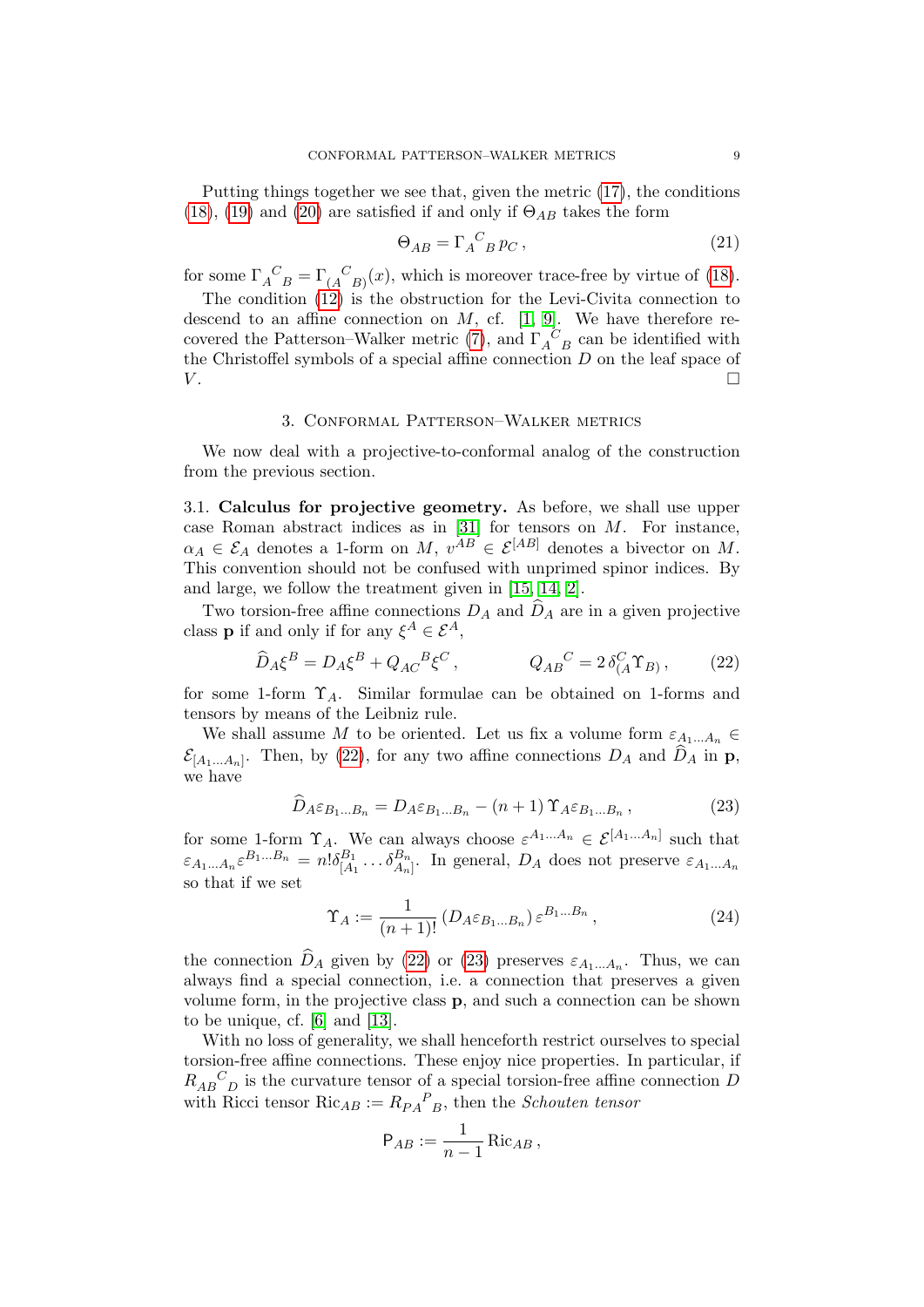Putting things together we see that, given the metric [\(17\)](#page-7-0), the conditions [\(18\)](#page-7-1), [\(19\)](#page-7-2) and [\(20\)](#page-7-3) are satisfied if and only if  $\Theta_{AB}$  takes the form

$$
\Theta_{AB} = \Gamma_A{}^C{}_B p_C \,,\tag{21}
$$

for some  $\Gamma_A^C{}_{B} = \Gamma_A^C{}_{B)}(x)$ , which is moreover trace-free by virtue of [\(18\)](#page-7-1).

The condition [\(12\)](#page-6-1) is the obstruction for the Levi-Civita connection to descend to an affine connection on  $M$ , cf. [\[1,](#page-31-4) [9\]](#page-31-1). We have therefore re-covered the Patterson–Walker metric [\(7\)](#page-4-2), and  $\Gamma_A^C{}_B$  can be identified with the Christoffel symbols of a special affine connection  $D$  on the leaf space of  $V$ .

### 3. Conformal Patterson–Walker metrics

<span id="page-8-0"></span>We now deal with a projective-to-conformal analog of the construction from the previous section.

3.1. Calculus for projective geometry. As before, we shall use upper case Roman abstract indices as in  $[31]$  for tensors on M. For instance,  $\alpha_A \in \mathcal{E}_A$  denotes a 1-form on M,  $v^{AB} \in \mathcal{E}^{[AB]}$  denotes a bivector on M. This convention should not be confused with unprimed spinor indices. By and large, we follow the treatment given in [\[15,](#page-31-5) [14,](#page-31-6) [2\]](#page-31-7).

Two torsion-free affine connections  $D_A$  and  $\hat{D}_A$  are in a given projective class **p** if and only if for any  $\xi^A \in \mathcal{E}^A$ ,

$$
\hat{D}_A \xi^B = D_A \xi^B + Q_{AC}{}^B \xi^C , \qquad Q_{AB}{}^C = 2 \delta^C_{(A} \Upsilon_{B)} , \qquad (22)
$$

for some 1-form  $\Upsilon_A$ . Similar formulae can be obtained on 1-forms and tensors by means of the Leibniz rule.

We shall assume M to be oriented. Let us fix a volume form  $\varepsilon_{A_1...A_n}$  $\mathcal{E}_{[A_1...A_n]}$ . Then, by [\(22\)](#page-8-1), for any two affine connections  $D_A$  and  $D_A$  in **p**, we have

<span id="page-8-1"></span>
$$
\hat{D}_{A}\varepsilon_{B_{1}...B_{n}} = D_{A}\varepsilon_{B_{1}...B_{n}} - (n+1)\,\Upsilon_{A}\varepsilon_{B_{1}...B_{n}}\,,\tag{23}
$$

for some 1-form  $\Upsilon_A$ . We can always choose  $\varepsilon^{A_1...A_n} \in \mathcal{E}^{[A_1...A_n]}$  such that  $\varepsilon_{A_1...A_n} \varepsilon^{B_1...B_n} = n! \delta_{[A]}^{B_1}$  $\stackrel{B_1}{[A_1} \dots \stackrel{\delta B_n}{A_n}$ . In general,  $D_A$  does not preserve  $\varepsilon_{A_1 \dots A_n}$ so that if we set

<span id="page-8-2"></span>
$$
\Upsilon_A := \frac{1}{(n+1)!} \left( D_A \varepsilon_{B_1 \dots B_n} \right) \varepsilon^{B_1 \dots B_n}, \tag{24}
$$

the connection  $D_A$  given by [\(22\)](#page-8-1) or [\(23\)](#page-8-2) preserves  $\varepsilon_{A_1...A_n}$ . Thus, we can always find a special connection, i.e. a connection that preserves a given volume form, in the projective class p, and such a connection can be shown to be unique, cf. [\[6\]](#page-31-8) and [\[13\]](#page-31-9).

With no loss of generality, we shall henceforth restrict ourselves to special torsion-free affine connections. These enjoy nice properties. In particular, if  $R_{AB}{}^C{}_D$  is the curvature tensor of a special torsion-free affine connection D with Ricci tensor  $Ric_{AB} := R_{PA}{}^P_{B}$ , then the *Schouten tensor* 

$$
\mathsf{P}_{AB} := \frac{1}{n-1} \operatorname{Ric}_{AB},
$$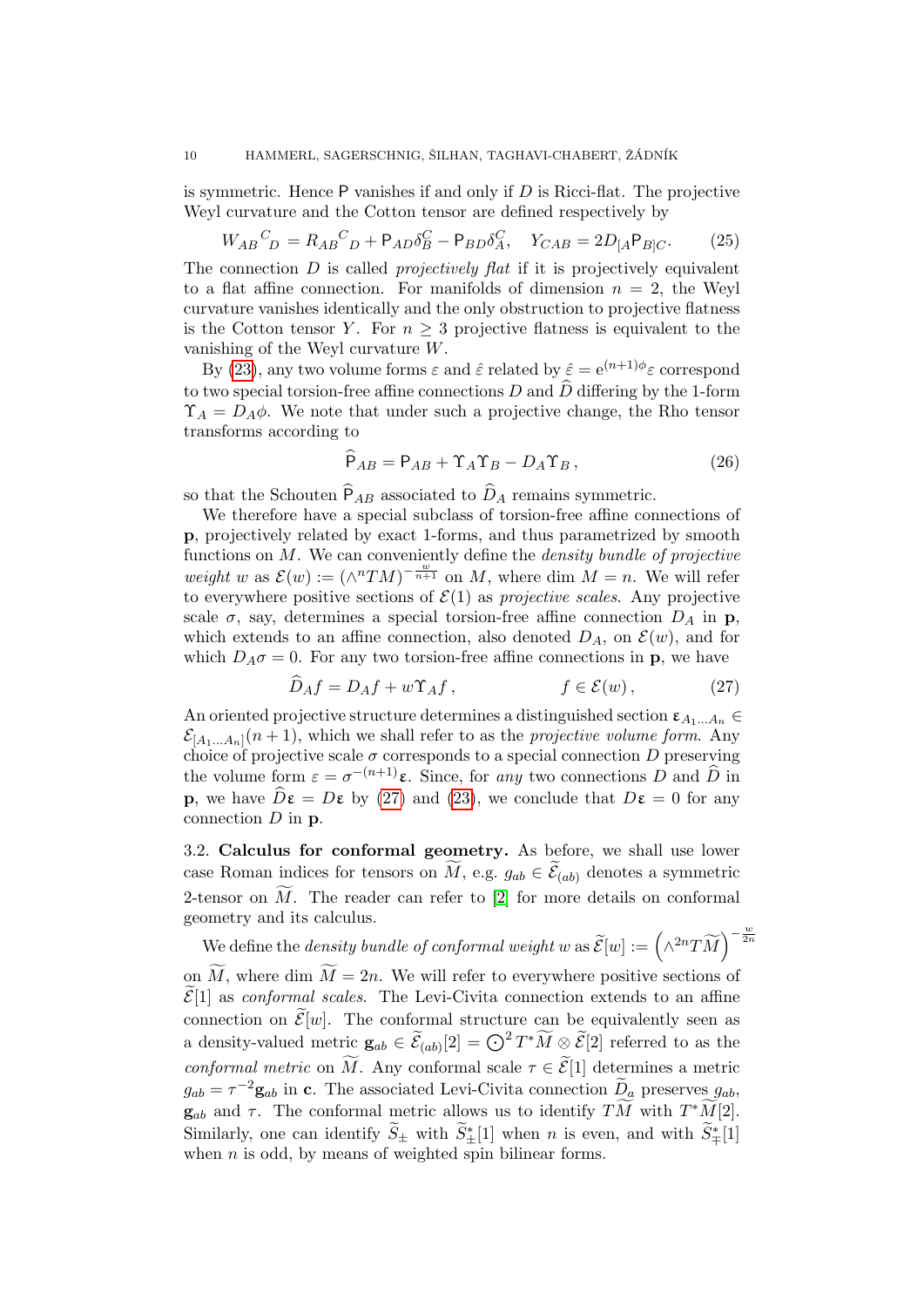is symmetric. Hence  $P$  vanishes if and only if  $D$  is Ricci-flat. The projective Weyl curvature and the Cotton tensor are defined respectively by

$$
W_{AB}{}^C{}_{D} = R_{AB}{}^C{}_{D} + P_{AD}\delta^C_{B} - P_{BD}\delta^C_{A}, \quad Y_{CAB} = 2D_{[A}P_{B]C}.\tag{25}
$$

The connection  $D$  is called *projectively flat* if it is projectively equivalent to a flat affine connection. For manifolds of dimension  $n = 2$ , the Weyl curvature vanishes identically and the only obstruction to projective flatness is the Cotton tensor Y. For  $n \geq 3$  projective flatness is equivalent to the vanishing of the Weyl curvature W.

By [\(23\)](#page-8-2), any two volume forms  $\varepsilon$  and  $\hat{\varepsilon}$  related by  $\hat{\varepsilon} = e^{(n+1)\phi} \varepsilon$  correspond to two special torsion-free affine connections D and  $\widehat{D}$  differing by the 1-form  $\Upsilon_A = D_A \phi$ . We note that under such a projective change, the Rho tensor transforms according to

<span id="page-9-1"></span>
$$
\widehat{\mathsf{P}}_{AB} = \mathsf{P}_{AB} + \Upsilon_A \Upsilon_B - D_A \Upsilon_B, \qquad (26)
$$

so that the Schouten  $\widehat{P}_{AB}$  associated to  $\widehat{D}_A$  remains symmetric.

We therefore have a special subclass of torsion-free affine connections of p, projectively related by exact 1-forms, and thus parametrized by smooth functions on  $M$ . We can conveniently define the *density bundle of projective* weight w as  $\mathcal{E}(w) := (\wedge^n TM)^{-\frac{w}{n+1}}$  on M, where dim  $M = n$ . We will refer to everywhere positive sections of  $\mathcal{E}(1)$  as projective scales. Any projective scale  $\sigma$ , say, determines a special torsion-free affine connection  $D_A$  in p, which extends to an affine connection, also denoted  $D_A$ , on  $\mathcal{E}(w)$ , and for which  $D_A \sigma = 0$ . For any two torsion-free affine connections in **p**, we have

<span id="page-9-0"></span>
$$
\hat{D}_A f = D_A f + w \Upsilon_A f, \qquad f \in \mathcal{E}(w), \qquad (27)
$$

An oriented projective structure determines a distinguished section  $\varepsilon_{A_1...A_n}$  $\mathcal{E}_{[A_1...A_n]}(n+1)$ , which we shall refer to as the *projective volume form*. Any choice of projective scale  $\sigma$  corresponds to a special connection  $D$  preserving the volume form  $\varepsilon = \sigma^{-(n+1)}\varepsilon$ . Since, for any two connections D and  $\widehat{D}$  in **p**, we have  $\hat{D}\varepsilon = D\varepsilon$  by [\(27\)](#page-9-0) and [\(23\)](#page-8-2), we conclude that  $D\varepsilon = 0$  for any connection  $D$  in  $p$ .

3.2. Calculus for conformal geometry. As before, we shall use lower case Roman indices for tensors on M, e.g.  $g_{ab} \in \mathcal{E}_{(ab)}$  denotes a symmetric 2-tensor on  $\widetilde{M}$ . The reader can refer to [\[2\]](#page-31-7) for more details on conformal geometry and its calculus.

We define the *density bundle of conformal weight* w as  $\widetilde{\mathcal{E}}[w] := (\wedge^{2n} T\widetilde{M})^{-\frac{w}{2n}}$ on  $\widetilde{M}$ , where dim  $\widetilde{M} = 2n$ . We will refer to everywhere positive sections of

 $\widetilde{\mathcal{E}}[1]$  as *conformal scales*. The Levi-Civita connection extends to an affine connection on  $\widetilde{\mathcal{E}}[w]$ . The conformal structure can be equivalently seen as a density-valued metric  $\mathbf{g}_{ab} \in \widetilde{\mathcal{E}}_{(ab)}[2] = \bigodot^2 T^*\widetilde{M} \otimes \widetilde{\mathcal{E}}[2]$  referred to as the conformal metric on  $\widetilde{M}$ . Any conformal scale  $\tau \in \widetilde{\mathcal{E}}[1]$  determines a metric  $g_{ab} = \tau^{-2} \mathbf{g}_{ab}$  in c. The associated Levi-Civita connection  $\widetilde{D}_a$  preserves  $g_{ab}$ ,  $\mathbf{g}_{ab}$  and  $\tau$ . The conformal metric allows us to identify  $T\widetilde{M}$  with  $T^*\widetilde{M}[2]$ . Similarly, one can identify  $\widetilde{S}_{\pm}$  with  $\widetilde{S}_{\pm}^*[1]$  when n is even, and with  $\widetilde{S}_{\mp}^*[1]$ when  $n$  is odd, by means of weighted spin bilinear forms.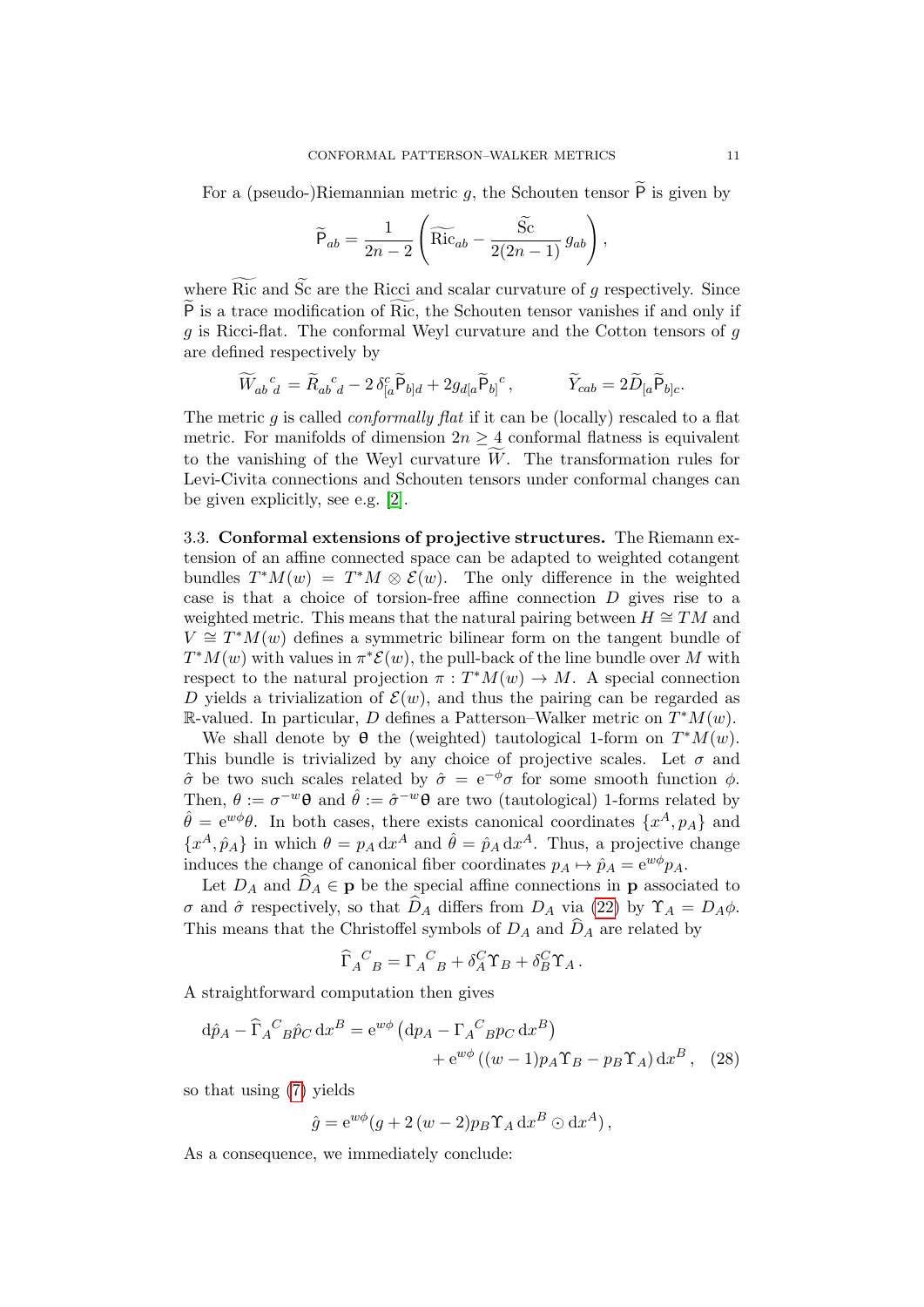For a (pseudo-)Riemannian metric  $g$ , the Schouten tensor  $\overline{P}$  is given by

$$
\widetilde{P}_{ab} = \frac{1}{2n-2} \left( \widetilde{\mathrm{Ric}}_{ab} - \frac{\widetilde{\mathrm{Sc}}}{2(2n-1)} g_{ab} \right),\,
$$

where  $\widetilde{\text{Ric}}$  and  $\widetilde{\text{Sc}}$  are the Ricci and scalar curvature of g respectively. Since  $\widetilde{P}$  is a trace modification of Ric, the Schouten tensor vanishes if and only if q is Ricci-flat. The conformal Weyl curvature and the Cotton tensors of  $q$ are defined respectively by

$$
\widetilde{W}_{ab}{}^c{}_d = \widetilde{R}_{ab}{}^c{}_d - 2 \,\delta^c_{[a} \widetilde{\mathsf{P}}_{b]d} + 2g_{d[a} \widetilde{\mathsf{P}}_{b]}{}^c, \qquad \widetilde{Y}_{cab} = 2\widetilde{D}_{[a} \widetilde{\mathsf{P}}_{b]c}.
$$

The metric g is called *conformally flat* if it can be (locally) rescaled to a flat metric. For manifolds of dimension  $2n \geq 4$  conformal flatness is equivalent to the vanishing of the Weyl curvature  $\tilde{W}$ . The transformation rules for Levi-Civita connections and Schouten tensors under conformal changes can be given explicitly, see e.g. [\[2\]](#page-31-7).

3.3. Conformal extensions of projective structures. The Riemann extension of an affine connected space can be adapted to weighted cotangent bundles  $T^*M(w) = T^*M \otimes \mathcal{E}(w)$ . The only difference in the weighted case is that a choice of torsion-free affine connection D gives rise to a weighted metric. This means that the natural pairing between  $H \cong TM$  and  $V \cong T^*M(w)$  defines a symmetric bilinear form on the tangent bundle of  $T^*M(w)$  with values in  $\pi^*\mathcal{E}(w)$ , the pull-back of the line bundle over M with respect to the natural projection  $\pi : T^*M(w) \to M$ . A special connection D yields a trivialization of  $\mathcal{E}(w)$ , and thus the pairing can be regarded as R-valued. In particular, D defines a Patterson-Walker metric on  $T^*M(w)$ .

We shall denote by  $\theta$  the (weighted) tautological 1-form on  $T^*M(w)$ . This bundle is trivialized by any choice of projective scales. Let  $\sigma$  and  $\hat{\sigma}$  be two such scales related by  $\hat{\sigma} = e^{-\phi}\sigma$  for some smooth function  $\phi$ . Then,  $\theta := \sigma^{-w} \theta$  and  $\hat{\theta} := \hat{\sigma}^{-w} \theta$  are two (tautological) 1-forms related by  $\hat{\theta} = e^{w\phi}\theta$ . In both cases, there exists canonical coordinates  $\{x^A, p_A\}$  and  ${x^A, \hat{p}_A}$  in which  $\theta = p_A dx^A$  and  $\hat{\theta} = \hat{p}_A dx^A$ . Thus, a projective change induces the change of canonical fiber coordinates  $p_A \mapsto \hat{p}_A = e^{w\phi} p_A$ .

Let  $D_A$  and  $\widehat{D}_A \in \mathbf{p}$  be the special affine connections in **p** associated to σ and  $\hat{\sigma}$  respectively, so that  $\hat{D}_A$  differs from  $D_A$  via [\(22\)](#page-8-1) by  $\Upsilon_A = D_A \phi$ . This means that the Christoffel symbols of  $D_A$  and  $\widehat{D}_A$  are related by

<span id="page-10-0"></span>
$$
\widehat{\Gamma}_A{}^C{}_B = \Gamma_A{}^C{}_B + \delta_A^C \Upsilon_B + \delta_B^C \Upsilon_A.
$$

A straightforward computation then gives

$$
d\hat{p}_A - \hat{\Gamma}_A{}^C{}_B \hat{p}_C \, dx^B = e^{w\phi} \left( dp_A - \Gamma_A{}^C{}_B p_C \, dx^B \right) + e^{w\phi} \left( (w-1)p_A \Upsilon_B - p_B \Upsilon_A \right) dx^B, \quad (28)
$$

so that using [\(7\)](#page-4-2) yields

$$
\hat{g} = e^{w\phi}(g + 2(w - 2)p_B \Upsilon_A dx^B \odot dx^A),
$$

As a consequence, we immediately conclude: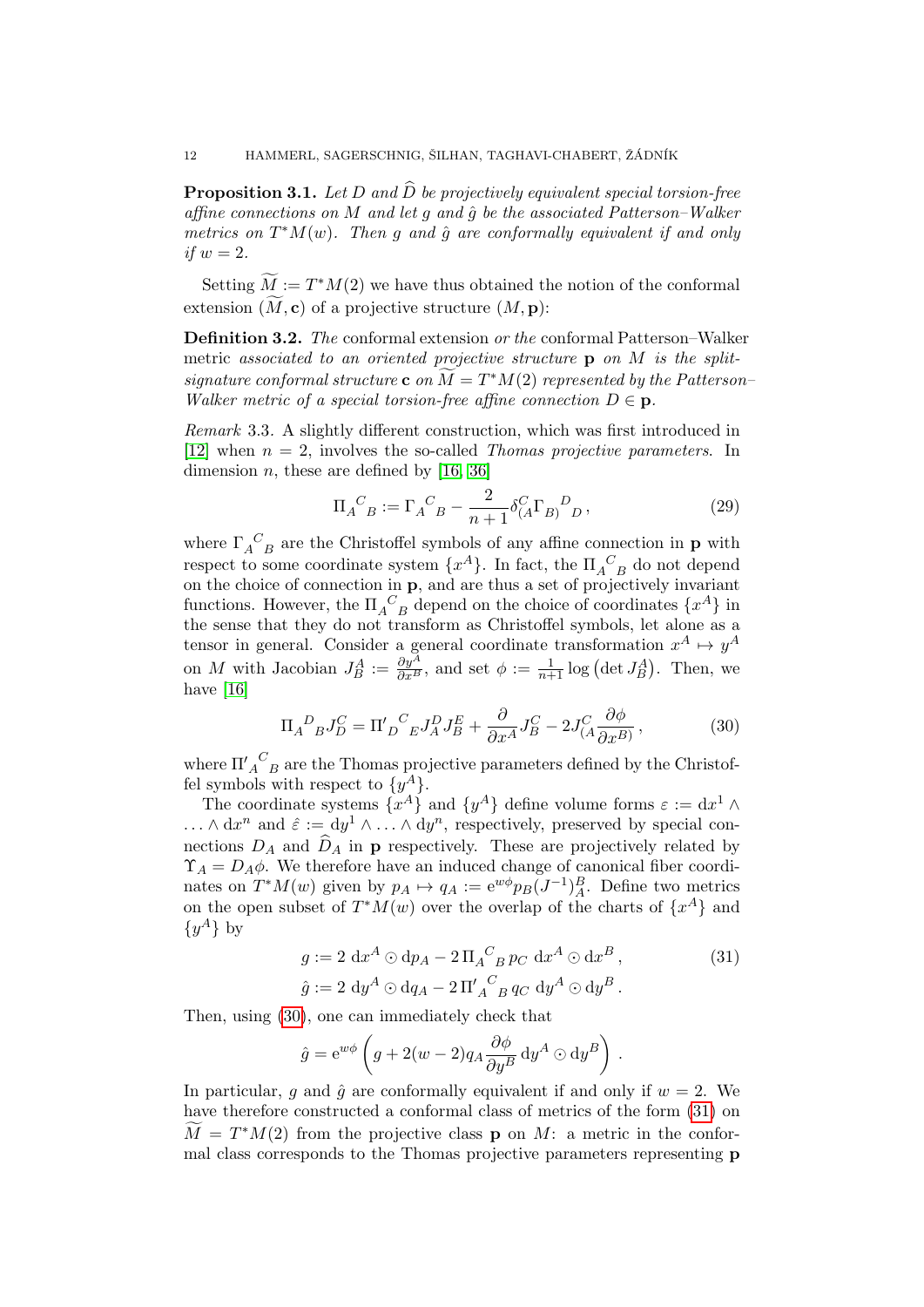<span id="page-11-4"></span>**Proposition 3.1.** Let D and  $\hat{D}$  be projectively equivalent special torsion-free affine connections on M and let q and  $\hat{q}$  be the associated Patterson–Walker metrics on  $T^*M(w)$ . Then g and  $\hat{g}$  are conformally equivalent if and only if  $w = 2$ .

Setting  $\widetilde{M} := T^*M(2)$  we have thus obtained the notion of the conformal extension  $(M, c)$  of a projective structure  $(M, p)$ :

<span id="page-11-3"></span>Definition 3.2. The conformal extension or the conformal Patterson–Walker metric associated to an oriented projective structure  $\bf{p}$  on M is the splitsignature conformal structure c on  $\widetilde{M} = T^*M(2)$  represented by the Patterson– Walker metric of a special torsion-free affine connection  $D \in \mathbf{p}$ .

Remark 3.3. A slightly different construction, which was first introduced in [\[12\]](#page-31-0) when  $n = 2$ , involves the so-called *Thomas projective parameters*. In dimension *n*, these are defined by  $[16, 36]$  $[16, 36]$ 

<span id="page-11-2"></span>
$$
\Pi_{A}{}^{C}{}_{B} := \Gamma_{A}{}^{C}{}_{B} - \frac{2}{n+1} \delta^{C}{}_{(A} \Gamma_{B)}{}^{D}{}_{D} , \qquad (29)
$$

where  $\Gamma_A^C$  are the Christoffel symbols of any affine connection in **p** with respect to some coordinate system  $\{x^A\}$ . In fact, the  $\Pi_{A\ \,B}^{\ \,C}$  do not depend on the choice of connection in p, and are thus a set of projectively invariant functions. However, the  $\Pi_{A}{}^{C}{}_{B}$  depend on the choice of coordinates  $\{x^{A}\}$  in the sense that they do not transform as Christoffel symbols, let alone as a tensor in general. Consider a general coordinate transformation  $x^A \mapsto y^A$ on M with Jacobian  $J_B^A := \frac{\partial y^A}{\partial x^B}$ , and set  $\phi := \frac{1}{n+1} \log \left( \det J_B^A \right)$ . Then, we have [\[16\]](#page-31-10)

<span id="page-11-0"></span>
$$
\Pi_A{}^D{}_B J^C_D = \Pi'{}_D{}^C{}_E J^D_A J^E_B + \frac{\partial}{\partial x^A} J^C_B - 2J^C_{(A} \frac{\partial \phi}{\partial x^B)},\tag{30}
$$

where  $\Pi'_{A\ B}^{\ C}$  are the Thomas projective parameters defined by the Christoffel symbols with respect to  $\{y^A\}.$ 

The coordinate systems  $\{x^A\}$  and  $\{y^A\}$  define volume forms  $\varepsilon := dx^1 \wedge$  $\ldots \wedge dx^n$  and  $\hat{\varepsilon} := dy^1 \wedge \ldots \wedge dy^n$ , respectively, preserved by special connections  $D_A$  and  $\widehat{D}_A$  in **p** respectively. These are projectively related by  $\Upsilon_A = D_A \phi$ . We therefore have an induced change of canonical fiber coordinates on  $T^*M(w)$  given by  $p_A \mapsto q_A := e^{w\phi}p_B(J^{-1})_A^B$ . Define two metrics on the open subset of  $T^*M(w)$  over the overlap of the charts of  $\{x^A\}$  and  $\{y^A\}$  by

<span id="page-11-1"></span>
$$
g := 2 \mathrm{d}x^A \odot \mathrm{d}p_A - 2 \Pi_A{}^C{}_B p_C \mathrm{d}x^A \odot \mathrm{d}x^B ,
$$
  
\n
$$
\hat{g} := 2 \mathrm{d}y^A \odot \mathrm{d}q_A - 2 \Pi'_A{}^C{}_B q_C \mathrm{d}y^A \odot \mathrm{d}y^B .
$$
\n(31)

Then, using [\(30\)](#page-11-0), one can immediately check that

$$
\hat{g} = e^{w\phi} \left( g + 2(w - 2) q_A \frac{\partial \phi}{\partial y^B} dy^A \odot dy^B \right) .
$$

In particular, g and  $\hat{g}$  are conformally equivalent if and only if  $w = 2$ . We have therefore constructed a conformal class of metrics of the form [\(31\)](#page-11-1) on  $\widetilde{M} = T^*M(2)$  from the projective class **p** on M: a metric in the conformal class corresponds to the Thomas projective parameters representing p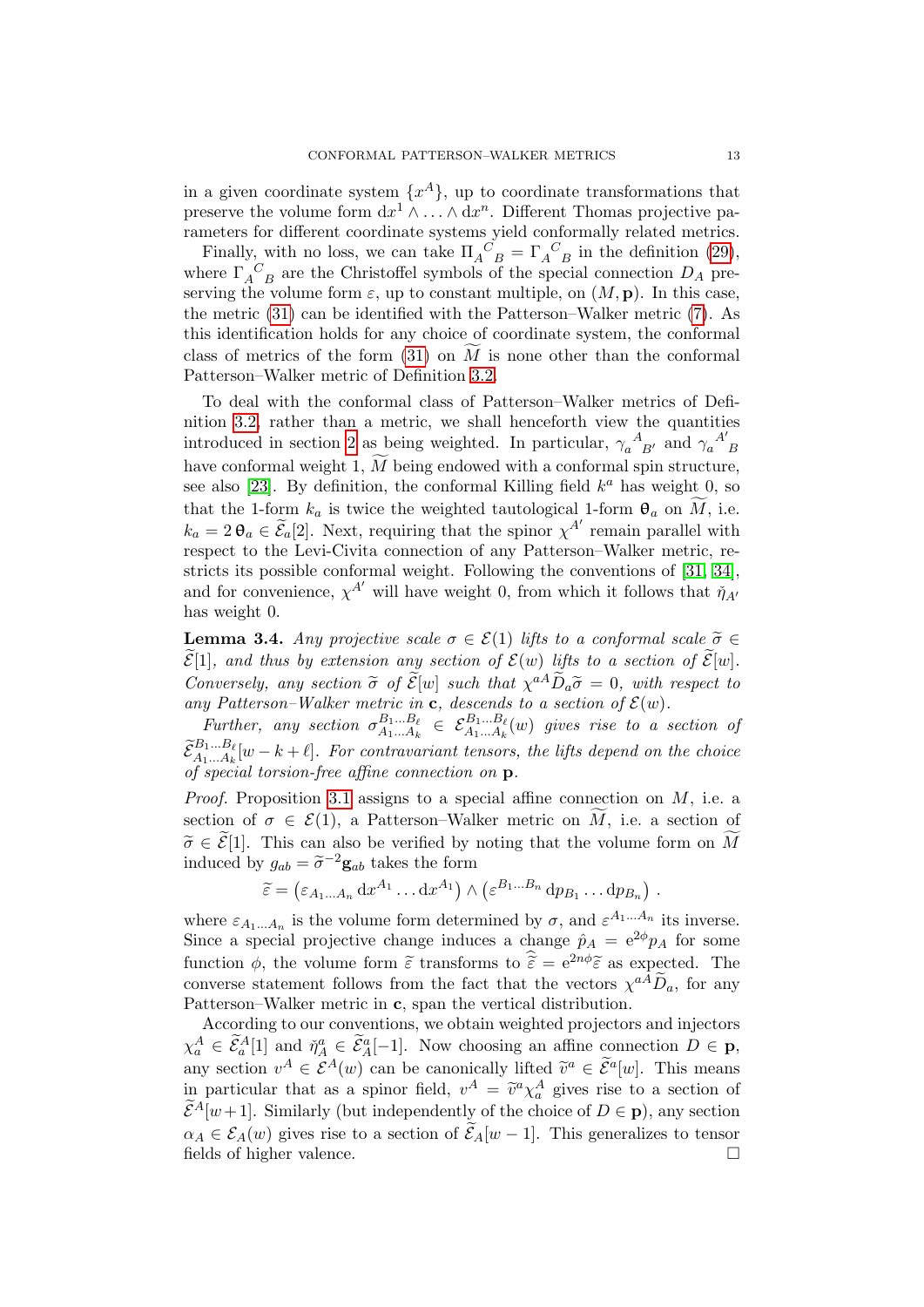in a given coordinate system  $\{x^A\}$ , up to coordinate transformations that preserve the volume form  $dx^1 \wedge \ldots \wedge dx^n$ . Different Thomas projective parameters for different coordinate systems yield conformally related metrics.

Finally, with no loss, we can take  $\Pi_A^C{}_B = \Gamma_A^C{}_B$  in the definition [\(29\)](#page-11-2), where  $\Gamma_A^C$  are the Christoffel symbols of the special connection  $D_A$  preserving the volume form  $\varepsilon$ , up to constant multiple, on  $(M, \mathbf{p})$ . In this case, the metric [\(31\)](#page-11-1) can be identified with the Patterson–Walker metric [\(7\)](#page-4-2). As this identification holds for any choice of coordinate system, the conformal class of metrics of the form [\(31\)](#page-11-1) on  $\widetilde{M}$  is none other than the conformal Patterson–Walker metric of Definition [3.2.](#page-11-3)

To deal with the conformal class of Patterson–Walker metrics of Definition [3.2,](#page-11-3) rather than a metric, we shall henceforth view the quantities introduced in section [2](#page-4-0) as being weighted. In particular,  $\gamma_a^A_{\ \,B'}$  and  $\gamma_a^{\ A'}_{\ \,B}$ have conformal weight 1,  $\overline{M}$  being endowed with a conformal spin structure, see also [\[23\]](#page-32-6). By definition, the conformal Killing field  $k^a$  has weight 0, so that the 1-form  $k_a$  is twice the weighted tautological 1-form  $\theta_a$  on M, i.e.  $k_a = 2 \theta_a \in \widetilde{\mathcal{E}}_a[2]$ . Next, requiring that the spinor  $\chi^{A'}$  remain parallel with respect to the Levi-Civita connection of any Patterson–Walker metric, restricts its possible conformal weight. Following the conventions of [\[31,](#page-32-9) [34\]](#page-32-3), and for convenience,  $\chi^{A'}$  will have weight 0, from which it follows that  $\eta_{A'}$ has weight 0.

<span id="page-12-0"></span>**Lemma 3.4.** Any projective scale  $\sigma \in \mathcal{E}(1)$  lifts to a conformal scale  $\tilde{\sigma} \in$  $\widetilde{\mathcal{E}}[1]$ , and thus by extension any section of  $\mathcal{E}(w)$  lifts to a section of  $\widetilde{\mathcal{E}}[w]$ . Conversely, any section  $\tilde{\sigma}$  of  $\tilde{\mathcal{E}}[w]$  such that  $\chi^{aA}\tilde{D}_a\tilde{\sigma}=0$ , with respect to any Patterson-Walker metric in  $\mathbf{c}$  descends to a section of  $\mathcal{E}(w)$ any Patterson–Walker metric in c, descends to a section of  $\mathcal{E}(w)$ .

Further, any section  $\sigma_{A_1 \ A_2}^{B_1...B_\ell}$ A1...A<sup>k</sup> ∈ EB1...B` A1...A<sup>k</sup> (w) gives rise to a section of  $\tilde{\mathcal{E}}_{A_1...A_k}^{B_1...B_\ell}[w-k+\ell]$ . For contravariant tensors, the lifts depend on the choice of special torsion-free affine connection on p.

*Proof.* Proposition [3.1](#page-11-4) assigns to a special affine connection on  $M$ , i.e. a section of  $\sigma \in \mathcal{E}(1)$ , a Patterson–Walker metric on M, i.e. a section of  $\tilde{\sigma} \in \tilde{\mathcal{E}}[1]$ . This can also be verified by noting that the volume form on  $\widetilde{M}$ induced by  $g_{ab} = \tilde{\sigma}^{-2} \mathbf{g}_{ab}$  takes the form

$$
\widetilde{\varepsilon} = (\varepsilon_{A_1...A_n} \, dx^{A_1} \dots dx^{A_1}) \wedge (\varepsilon^{B_1...B_n} \, dp_{B_1} \dots dp_{B_n}).
$$

where  $\varepsilon_{A_1...A_n}$  is the volume form determined by  $\sigma$ , and  $\varepsilon^{A_1...A_n}$  its inverse. Since a special projective change induces a change  $\hat{p}_A = e^{2\phi} p_A$  for some function  $\phi$ , the volume form  $\tilde{\varepsilon}$  transforms to  $\hat{\tilde{\varepsilon}} = e^{2n\phi}\tilde{\varepsilon}$  as expected. The converse statement follows from the fact that the vectors  $\chi^{a}\widetilde{D}_a$ , for any Patterson–Walker metric in c, span the vertical distribution.

According to our conventions, we obtain weighted projectors and injectors  $\chi_a^A \in \widetilde{\mathcal{E}}_a^A[1]$  and  $\check{\eta}_A^a \in \widetilde{\mathcal{E}}_A^a[-1]$ . Now choosing an affine connection  $D \in \mathbf{p}$ , any section  $v^A \in \mathcal{E}^A(w)$  can be canonically lifted  $\tilde{v}^a \in \tilde{\mathcal{E}}^a[w]$ . This means in particular that as a spinor field,  $v^A = \tilde{v}^a \chi_a^A$  gives rise to a section of  $\tilde{\epsilon}A_{\text{low-1}}$  l, Similarly (but independently of the choice of  $D \subset \mathbb{R}$ ) eru estion  $\widetilde{\mathcal{E}}^A[w+1]$ . Similarly (but independently of the choice of  $D \in \mathbf{p}$ ), any section  $\alpha_A \in \mathcal{E}_A(w)$  gives rise to a section of  $\widetilde{\mathcal{E}}_A[w-1]$ . This generalizes to tensor fields of higher valence fields of higher valence.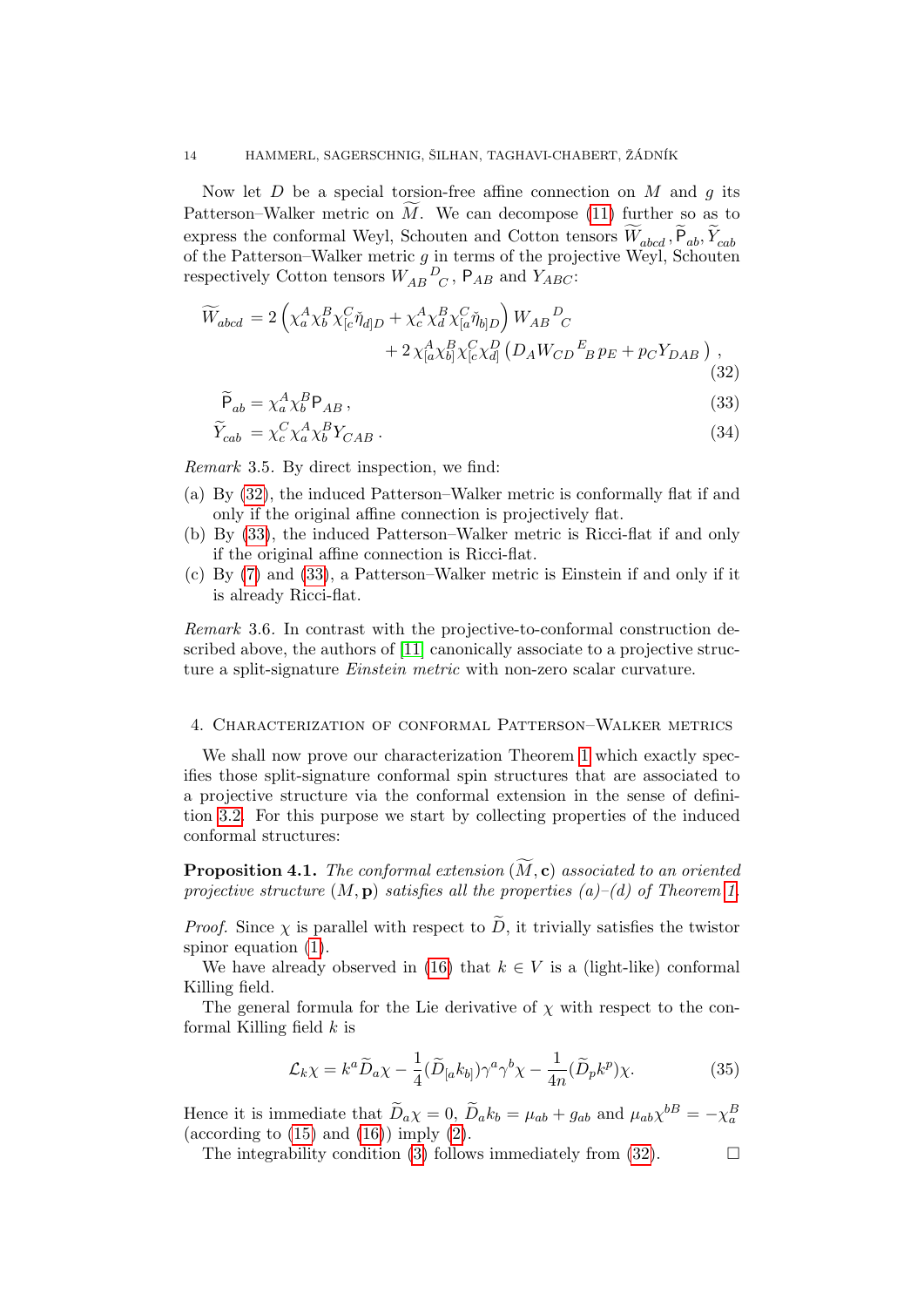Now let  $D$  be a special torsion-free affine connection on  $M$  and  $q$  its Patterson–Walker metric on  $M$ . We can decompose [\(11\)](#page-6-2) further so as to express the conformal Weyl, Schouten and Cotton tensors  $W_{abcd}$ ,  $P_{ab}$ ,  $Y_{cab}$ of the Patterson–Walker metric  $g$  in terms of the projective Weyl, Schouten respectively Cotton tensors  $W_{AB}{}^D_{C}$ ,  $P_{AB}$  and  $Y_{ABC}$ :

$$
\widetilde{W}_{abcd} = 2\left(\chi_a^A \chi_b^B \chi_{[c}^C \check{\eta}_{d]D} + \chi_c^A \chi_d^B \chi_{[a}^C \check{\eta}_{b]D}\right) W_{AB}{}^D{}_C \n+ 2\chi_{[a}^A \chi_{b]}^B \chi_{[c}^C \chi_{d]}^D \left(D_A W_{CD}{}^E{}_B p_E + p_C Y_{DAB}\right) ,
$$
\n(32)

<span id="page-13-2"></span><span id="page-13-1"></span>
$$
P_{ab} = \chi_a^A \chi_b^B P_{AB},\tag{33}
$$

$$
\widetilde{Y}_{cab} = \chi_c^C \chi_a^A \chi_b^B Y_{CAB} \,. \tag{34}
$$

Remark 3.5. By direct inspection, we find:

- (a) By [\(32\)](#page-13-1), the induced Patterson–Walker metric is conformally flat if and only if the original affine connection is projectively flat.
- (b) By [\(33\)](#page-13-2), the induced Patterson–Walker metric is Ricci-flat if and only if the original affine connection is Ricci-flat.
- (c) By [\(7\)](#page-4-2) and [\(33\)](#page-13-2), a Patterson–Walker metric is Einstein if and only if it is already Ricci-flat.

Remark 3.6. In contrast with the projective-to-conformal construction described above, the authors of [\[11\]](#page-31-11) canonically associate to a projective structure a split-signature *Einstein metric* with non-zero scalar curvature.

### <span id="page-13-0"></span>4. Characterization of conformal Patterson–Walker metrics

We shall now prove our characterization Theorem [1](#page-1-1) which exactly specifies those split-signature conformal spin structures that are associated to a projective structure via the conformal extension in the sense of definition [3.2.](#page-11-3) For this purpose we start by collecting properties of the induced conformal structures:

<span id="page-13-4"></span>**Proposition 4.1.** The conformal extension  $(\widetilde{M}, c)$  associated to an oriented projective structure  $(M, \mathbf{p})$  satisfies all the properties  $(a)$ – $(d)$  of Theorem [1.](#page-1-1)

*Proof.* Since  $\chi$  is parallel with respect to  $\ddot{D}$ , it trivially satisfies the twistor spinor equation [\(1\)](#page-1-2).

We have already observed in [\(16\)](#page-6-0) that  $k \in V$  is a (light-like) conformal Killing field.

The general formula for the Lie derivative of  $\chi$  with respect to the conformal Killing field  $k$  is

<span id="page-13-3"></span>
$$
\mathcal{L}_{k}\chi = k^{a}\widetilde{D}_{a}\chi - \frac{1}{4}(\widetilde{D}_{[a}k_{b]})\gamma^{a}\gamma^{b}\chi - \frac{1}{4n}(\widetilde{D}_{p}k^{p})\chi.
$$
 (35)

Hence it is immediate that  $\widetilde{D}_a \chi = 0$ ,  $\widetilde{D}_a k_b = \mu_{ab} + g_{ab}$  and  $\mu_{ab} \chi^{bB} = -\chi_a^B$ (according to  $(15)$  and  $(16)$ ) imply  $(2)$ .

The integrability condition [\(3\)](#page-1-4) follows immediately from [\(32\)](#page-13-1).  $\Box$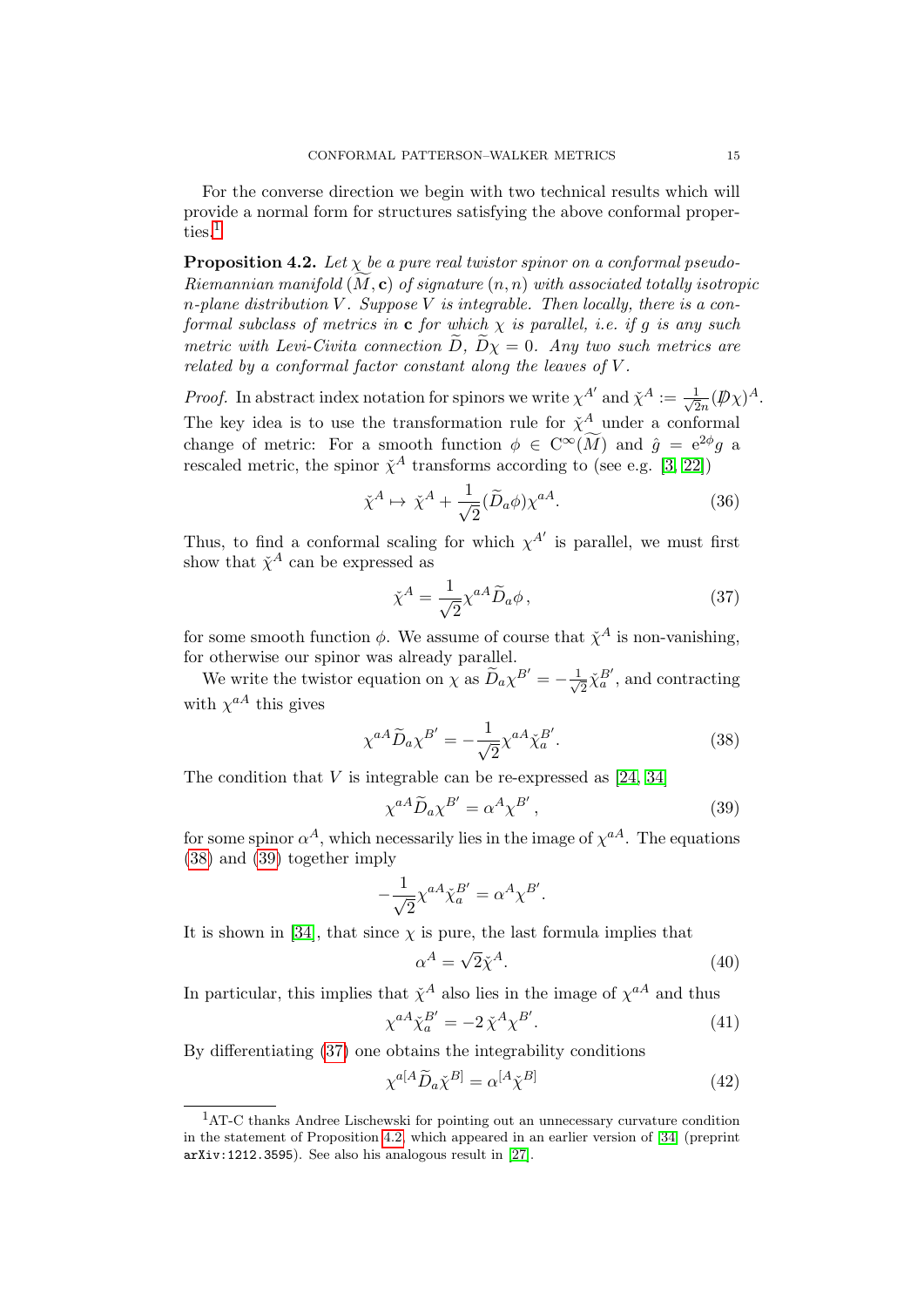For the converse direction we begin with two technical results which will provide a normal form for structures satisfying the above conformal proper-ties.<sup>[1](#page-14-1)</sup>

<span id="page-14-0"></span>**Proposition 4.2.** Let  $\chi$  be a pure real twistor spinor on a conformal pseudo-Riemannian manifold  $(M, c)$  of signature  $(n, n)$  with associated totally isotropic n-plane distribution V. Suppose V is integrable. Then locally, there is a conformal subclass of metrics in **c** for which  $\chi$  is parallel, i.e. if g is any such metric with Levi-Civita connection D,  $D\chi = 0$ . Any two such metrics are related by a conformal factor constant along the leaves of  $V$ .

*Proof.* In abstract index notation for spinors we write  $\chi^{A'}$  and  $\check{\chi}^A := \frac{1}{\sqrt{2\pi}}$  $\frac{1}{2n}(\not\!\!D\chi)^A.$ The key idea is to use the transformation rule for  $\check{\chi}^A$  under a conformal change of metric: For a smooth function  $\phi \in C^{\infty}(\tilde{M})$  and  $\hat{g} = e^{2\phi}g$  a rescaled metric, the spinor  $\check{\chi}^A$  transforms according to (see e.g. [\[3,](#page-31-12) [22\]](#page-32-12))

$$
\check{\chi}^A \mapsto \check{\chi}^A + \frac{1}{\sqrt{2}} (\widetilde{D}_a \phi) \chi^{aA}.
$$
\n(36)

Thus, to find a conformal scaling for which  $\chi^{A'}$  is parallel, we must first show that  $\check{\chi}^A$  can be expressed as

<span id="page-14-7"></span><span id="page-14-4"></span>
$$
\check{\chi}^A = \frac{1}{\sqrt{2}} \chi^{aA} \widetilde{D}_a \phi \,, \tag{37}
$$

for some smooth function  $\phi$ . We assume of course that  $\check{\chi}^A$  is non-vanishing, for otherwise our spinor was already parallel.

We write the twistor equation on  $\chi$  as  $\widetilde{D}_a \chi^{B'} = -\frac{1}{\sqrt{2}}$  $\frac{1}{2}\check{\chi}_a^{B'}$ , and contracting with  $\chi^{aA}$  this gives

$$
\chi^{aA}\widetilde{D}_a\chi^{B'} = -\frac{1}{\sqrt{2}}\chi^{aA}\widetilde{\chi}_a^{B'}.
$$
\n(38)

The condition that  $V$  is integrable can be re-expressed as  $[24, 34]$  $[24, 34]$ 

<span id="page-14-3"></span><span id="page-14-2"></span>
$$
\chi^{aA}\widetilde{D}_a\chi^{B'} = \alpha^A\chi^{B'},\tag{39}
$$

for some spinor  $\alpha^A$ , which necessarily lies in the image of  $\chi^{aA}$ . The equations [\(38\)](#page-14-2) and [\(39\)](#page-14-3) together imply

$$
-\frac{1}{\sqrt{2}}\chi^{aA}\check{\chi}_{a}^{B'} = \alpha^{A}\chi^{B'}.
$$

It is shown in [\[34\]](#page-32-3), that since  $\chi$  is pure, the last formula implies that

<span id="page-14-8"></span><span id="page-14-6"></span><span id="page-14-5"></span>
$$
\alpha^A = \sqrt{2}\tilde{\chi}^A. \tag{40}
$$

In particular, this implies that  $\check{\chi}^A$  also lies in the image of  $\chi^{aA}$  and thus

$$
\chi^{aA}\tilde{\chi}_a^{B'} = -2\,\tilde{\chi}^A\chi^{B'}. \tag{41}
$$

By differentiating [\(37\)](#page-14-4) one obtains the integrability conditions

$$
\chi^{a[A}\widetilde{D}_a\check{\chi}^{B]} = \alpha^{[A}\check{\chi}^{B]} \tag{42}
$$

<span id="page-14-1"></span><sup>1</sup>AT-C thanks Andree Lischewski for pointing out an unnecessary curvature condition in the statement of Proposition [4.2,](#page-14-0) which appeared in an earlier version of [\[34\]](#page-32-3) (preprint arXiv:1212.3595). See also his analogous result in [\[27\]](#page-32-13).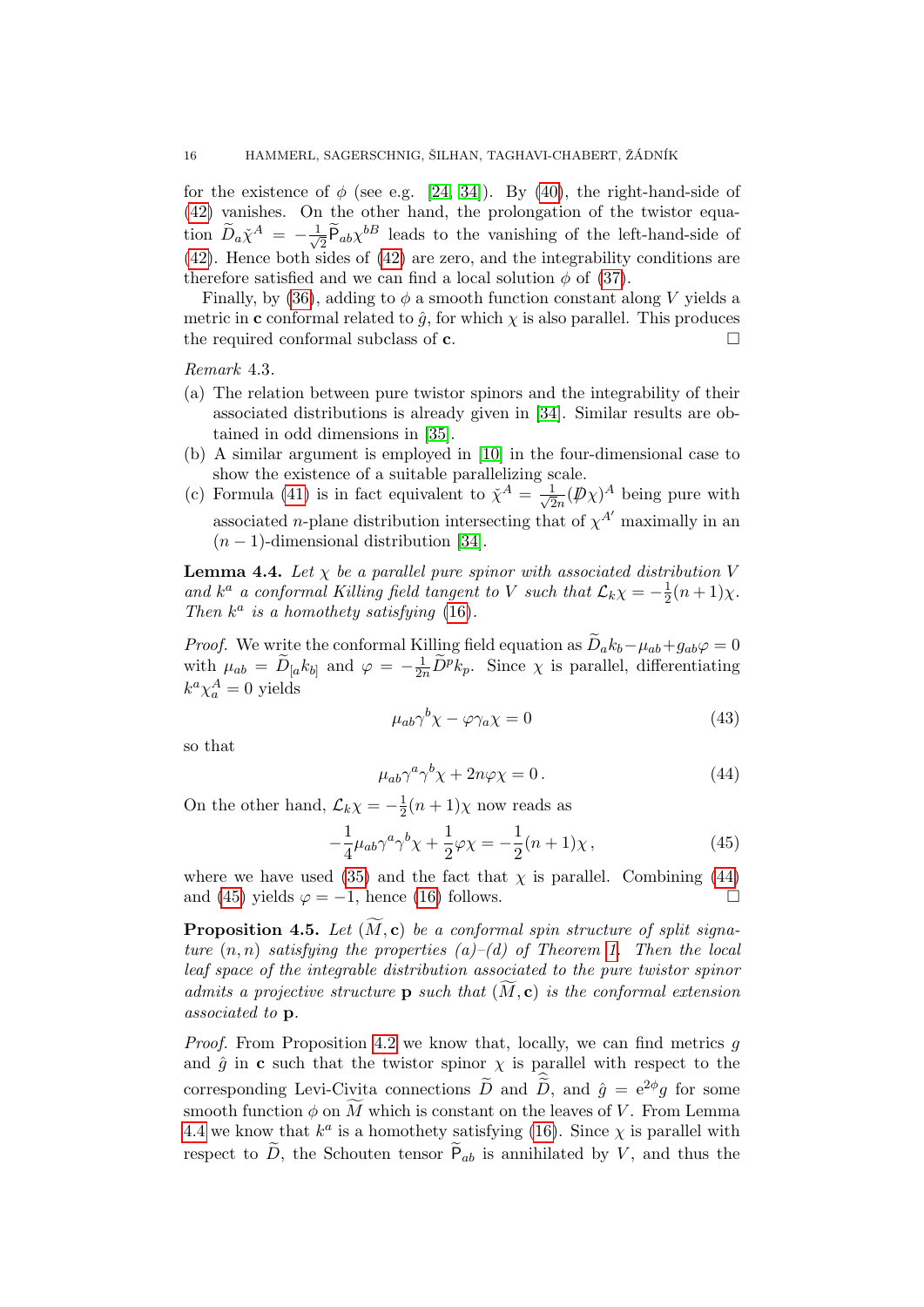for the existence of  $\phi$  (see e.g. [\[24,](#page-32-2) [34\]](#page-32-3)). By [\(40\)](#page-14-5), the right-hand-side of [\(42\)](#page-14-6) vanishes. On the other hand, the prolongation of the twistor equation  $\widetilde{D}_a \check{\chi}^A = -\frac{1}{\sqrt{2}}$  $\overline{P}_{ab}\overline{P}_{ab}\chi^{b}$  leads to the vanishing of the left-hand-side of [\(42\)](#page-14-6). Hence both sides of [\(42\)](#page-14-6) are zero, and the integrability conditions are therefore satisfied and we can find a local solution  $\phi$  of [\(37\)](#page-14-4).

Finally, by [\(36\)](#page-14-7), adding to  $\phi$  a smooth function constant along V yields a metric in c conformal related to  $\hat{q}$ , for which  $\chi$  is also parallel. This produces the required conformal subclass of  $c$ .

Remark 4.3.

- (a) The relation between pure twistor spinors and the integrability of their associated distributions is already given in [\[34\]](#page-32-3). Similar results are obtained in odd dimensions in [\[35\]](#page-32-4).
- (b) A similar argument is employed in [\[10\]](#page-31-13) in the four-dimensional case to show the existence of a suitable parallelizing scale.
- (c) Formula [\(41\)](#page-14-8) is in fact equivalent to  $\check{\chi}^A = -\frac{1}{\epsilon}$  $\frac{1}{2n}(\not\!\! D\chi)^A$  being pure with associated *n*-plane distribution intersecting that of  $\chi^{A'}$  maximally in an  $(n-1)$ -dimensional distribution [\[34\]](#page-32-3).

<span id="page-15-2"></span>**Lemma 4.4.** Let  $\chi$  be a parallel pure spinor with associated distribution V and  $k^a$  a conformal Killing field tangent to V such that  $\mathcal{L}_k \chi = -\frac{1}{2}$  $rac{1}{2}(n+1)\chi$ . Then  $k^a$  is a homothety satisfying [\(16\)](#page-6-0).

*Proof.* We write the conformal Killing field equation as  $\ddot{D}_a k_b - \mu_{ab} + g_{ab} \varphi = 0$ with  $\mu_{ab} = \widetilde{D}_{[a} k_{b]}$  and  $\varphi = -\frac{1}{2n} \widetilde{D}^p k_p$ . Since  $\chi$  is parallel, differentiating  $k^a \chi^A_a = 0$  yields

<span id="page-15-0"></span>
$$
\mu_{ab}\gamma^b \chi - \varphi \gamma_a \chi = 0 \tag{43}
$$

so that

<span id="page-15-1"></span>
$$
\mu_{ab}\gamma^a\gamma^b\chi + 2n\varphi\chi = 0.
$$
\n(44)

On the other hand,  $\mathcal{L}_k \chi = -\frac{1}{2}$  $\frac{1}{2}(n+1)\chi$  now reads as

$$
-\frac{1}{4}\mu_{ab}\gamma^a\gamma^b\chi + \frac{1}{2}\varphi\chi = -\frac{1}{2}(n+1)\chi\,,\tag{45}
$$

where we have used [\(35\)](#page-13-3) and the fact that  $\chi$  is parallel. Combining [\(44\)](#page-15-0) and [\(45\)](#page-15-1) yields  $\varphi = -1$ , hence [\(16\)](#page-6-0) follows.

<span id="page-15-3"></span>**Proposition 4.5.** Let  $(\widetilde{M}, c)$  be a conformal spin structure of split signature  $(n, n)$  satisfying the properties  $(a)$ – $(d)$  of Theorem [1.](#page-1-1) Then the local leaf space of the integrable distribution associated to the pure twistor spinor admits a projective structure **p** such that  $(M, c)$  is the conformal extension associated to p.

*Proof.* From Proposition [4.2](#page-14-0) we know that, locally, we can find metrics  $q$ and  $\hat{g}$  in c such that the twistor spinor  $\chi$  is parallel with respect to the corresponding Levi-Civita connections  $\widetilde{D}$  and  $\widetilde{D}$ , and  $\hat{g} = e^{2\phi}g$  for some smooth function  $\phi$  on  $\widetilde{M}$  which is constant on the leaves of V. From Lemma [4.4](#page-15-2) we know that  $k^a$  is a homothety satisfying [\(16\)](#page-6-0). Since  $\chi$  is parallel with respect to  $D$ , the Schouten tensor  $P_{ab}$  is annihilated by  $V$ , and thus the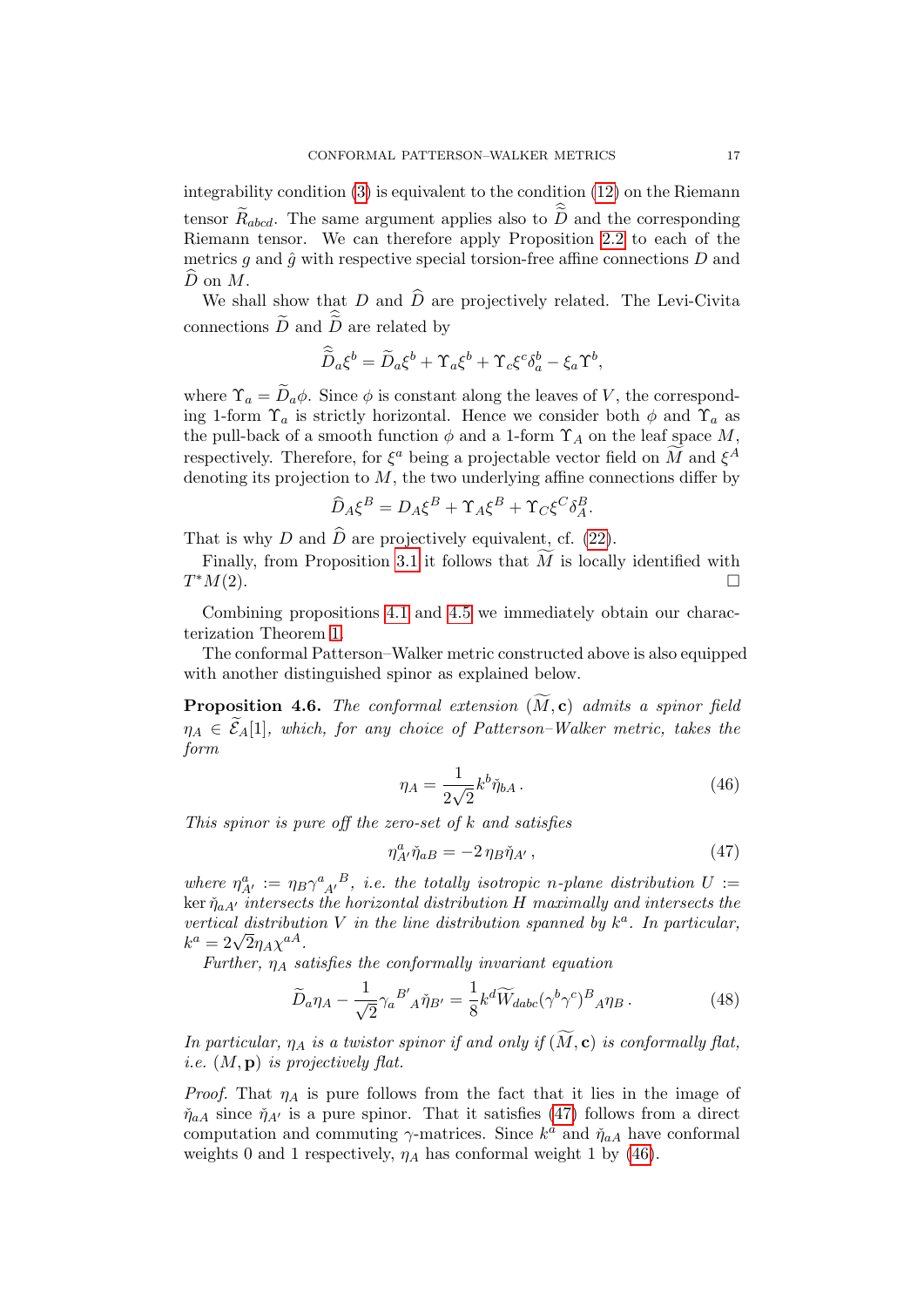integrability condition [\(3\)](#page-1-4) is equivalent to the condition [\(12\)](#page-6-1) on the Riemann tensor  $\widetilde{R}_{abcd}$ . The same argument applies also to  $\widetilde{D}$  and the corresponding Riemann tensor. We can therefore apply Proposition [2.2](#page-6-4) to each of the metrics  $g$  and  $\hat{g}$  with respective special torsion-free affine connections  $D$  and  $\widehat{D}$  on  $M$ .

We shall show that D and  $\widehat{D}$  are projectively related. The Levi-Civita connections  $\widetilde{D}$  and  $\widetilde{D}$  are related by

$$
\widehat{\widetilde{D}}_a \xi^b = \widetilde{D}_a \xi^b + \Upsilon_a \xi^b + \Upsilon_c \xi^c \delta_a^b - \xi_a \Upsilon^b,
$$

where  $\Upsilon_a = \widetilde{D}_a \phi$ . Since  $\phi$  is constant along the leaves of V, the corresponding 1-form  $\Upsilon_a$  is strictly horizontal. Hence we consider both  $\phi$  and  $\Upsilon_a$  as the pull-back of a smooth function  $\phi$  and a 1-form  $\Upsilon_A$  on the leaf space M, respectively. Therefore, for  $\xi^a$  being a projectable vector field on  $\widetilde{M}$  and  $\xi^A$ denoting its projection to  $M$ , the two underlying affine connections differ by

$$
\widehat{D}_A \xi^B = D_A \xi^B + \Upsilon_A \xi^B + \Upsilon_C \xi^C \delta_A^B.
$$

That is why D and  $\widehat{D}$  are projectively equivalent, cf. [\(22\)](#page-8-1).

Finally, from Proposition [3.1](#page-11-4) it follows that  $\widetilde{M}$  is locally identified with  $M(2)$  $T^*M(2)$ .  $^*M(2).$ 

Combining propositions [4.1](#page-13-4) and [4.5](#page-15-3) we immediately obtain our characterization Theorem [1.](#page-1-1)

The conformal Patterson–Walker metric constructed above is also equipped with another distinguished spinor as explained below.

**Proposition 4.6.** The conformal extension  $(\widetilde{M}, c)$  admits a spinor field  $\eta_A \in \widetilde{\mathcal{E}}_A[1]$ , which, for any choice of Patterson–Walker metric, takes the form

<span id="page-16-1"></span><span id="page-16-0"></span>
$$
\eta_A = \frac{1}{2\sqrt{2}} k^b \check{\eta}_{bA} \,. \tag{46}
$$

This spinor is pure off the zero-set of  $k$  and satisfies

<span id="page-16-2"></span>
$$
\eta^a_{A'}\check{\eta}_{a}{}_{B} = -2\,\eta_B\check{\eta}_{A'}\,,\tag{47}
$$

where  $\eta^a_{A'} := \eta_B \gamma^a_{A'}{}^B$ , i.e. the totally isotropic n-plane distribution  $U :=$ ker  $\check{\eta}_{aA'}$  intersects the horizontal distribution H maximally and intersects the vertical distribution V in the line distribution spanned by  $k^a$ . In particular, vertical aistribut $k^a = 2\sqrt{2}\eta_A \chi^{aA}.$ 

Further,  $\eta_A$  satisfies the conformally invariant equation

$$
\widetilde{D}_a \eta_A - \frac{1}{\sqrt{2}} \gamma_a{}^{B'}{}_A \check{\eta}_{B'} = \frac{1}{8} k^d \widetilde{W}_{dabc} (\gamma^b \gamma^c)^B{}_A \eta_B \,. \tag{48}
$$

In particular,  $\eta_A$  is a twistor spinor if and only if  $(\widetilde{M}, \mathbf{c})$  is conformally flat, *i.e.*  $(M, \mathbf{p})$  *is projectively flat.* 

*Proof.* That  $\eta_A$  is pure follows from the fact that it lies in the image of  $\check{\eta}_{aA}$  since  $\check{\eta}_{A'}$  is a pure spinor. That it satisfies [\(47\)](#page-16-0) follows from a direct computation and commuting  $\gamma$ -matrices. Since  $k^a$  and  $\tilde{\eta}_{aA}$  have conformal weights 0 and 1 respectively,  $\eta_A$  has conformal weight 1 by [\(46\)](#page-16-1).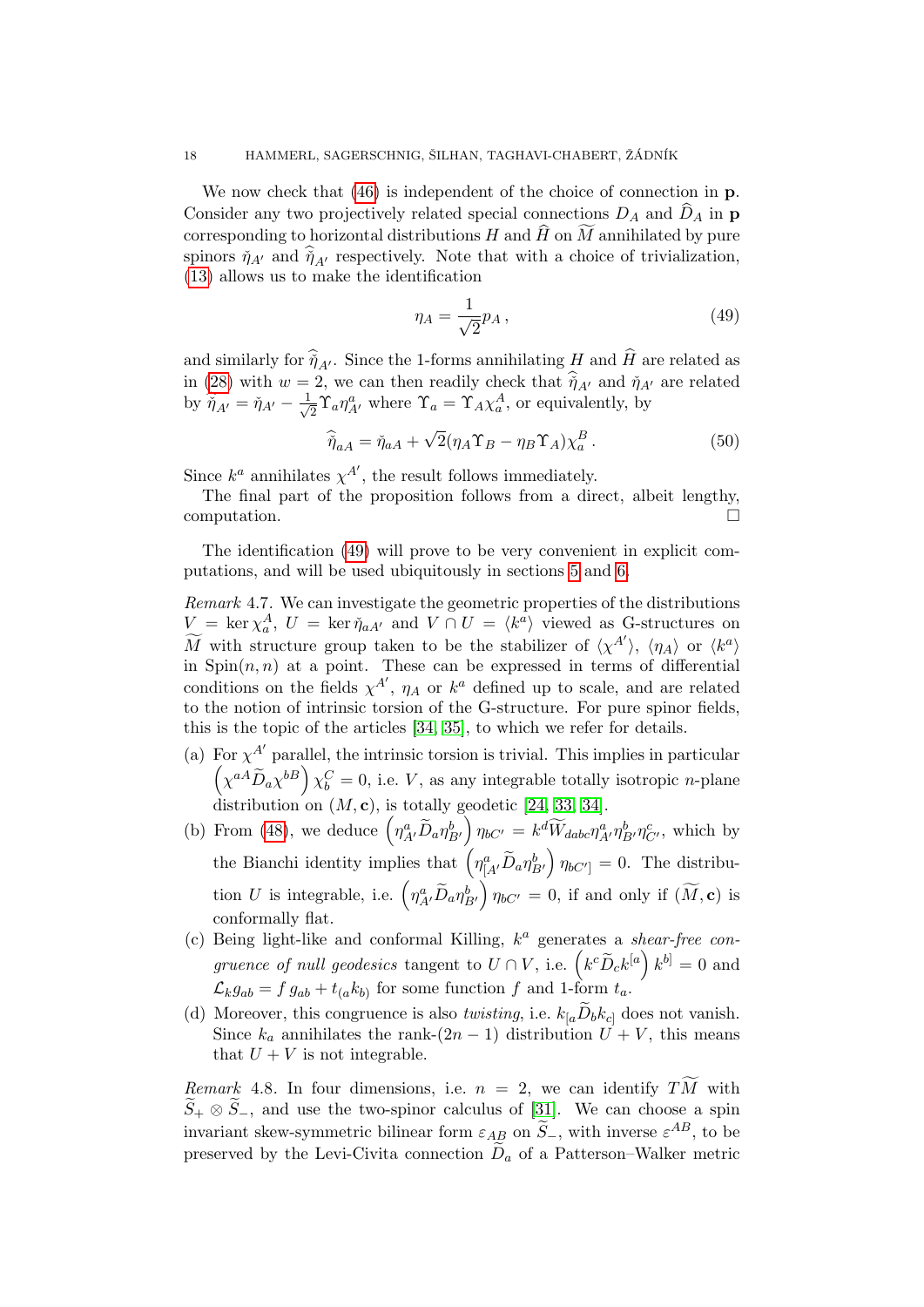We now check that [\(46\)](#page-16-1) is independent of the choice of connection in  $\bf{p}$ . Consider any two projectively related special connections  $D_A$  and  $\widehat{D}_A$  in p corresponding to horizontal distributions  $H$  and  $\widehat{H}$  on  $\widetilde{M}$  annihilated by pure spinors  $\check{\eta}_{A'}$  and  $\hat{\check{\eta}}_{A'}$  respectively. Note that with a choice of trivialization, [\(13\)](#page-6-5) allows us to make the identification

<span id="page-17-1"></span><span id="page-17-0"></span>
$$
\eta_A = \frac{1}{\sqrt{2}} p_A \,,\tag{49}
$$

and similarly for  $\hat{\tilde{\eta}}_{A'}$ . Since the 1-forms annihilating H and  $\hat{H}$  are related as in [\(28\)](#page-10-0) with  $w = 2$ , we can then readily check that  $\eta_{A'}$  and  $\eta_{A'}$  are related by  $\hat{\check{\eta}}_{A'} = \check{\eta}_{A'} - \frac{1}{\sqrt{2}}$  $\frac{1}{2} \Upsilon_a \eta_{A'}^a$  where  $\Upsilon_a = \Upsilon_A \chi_a^A$ , or equivalently, by

$$
\widehat{\eta}_{aA} = \check{\eta}_{aA} + \sqrt{2} (\eta_A \Upsilon_B - \eta_B \Upsilon_A) \chi_a^B. \tag{50}
$$

Since  $k^a$  annihilates  $\chi^{A'}$ , the result follows immediately.

The final part of the proposition follows from a direct, albeit lengthy, computation.

The identification [\(49\)](#page-17-0) will prove to be very convenient in explicit computations, and will be used ubiquitously in sections [5](#page-18-0) and [6.](#page-21-0)

Remark 4.7. We can investigate the geometric properties of the distributions  $V = \ker \chi_a^A$ ,  $U = \ker \check{\eta}_{aA'}$  and  $V \cap U = \langle k^a \rangle$  viewed as G-structures on  $\widetilde{M}$  with structure group taken to be the stabilizer of  $\langle \chi^{A'} \rangle$ ,  $\langle \eta_A \rangle$  or  $\langle k^a \rangle$ . in  $Spin(n, n)$  at a point. These can be expressed in terms of differential conditions on the fields  $\chi^{A'}$ ,  $\eta_A$  or  $k^a$  defined up to scale, and are related to the notion of intrinsic torsion of the G-structure. For pure spinor fields, this is the topic of the articles [\[34,](#page-32-3) [35\]](#page-32-4), to which we refer for details.

- (a) For  $\chi^{A'}$  parallel, the intrinsic torsion is trivial. This implies in particular  $\left(\chi^{aA}\widetilde{D}_a\chi^{bB}\right)\chi_b^C=0$ , i.e. V, as any integrable totally isotropic *n*-plane distribution on  $(M, c)$ , is totally geodetic [\[24,](#page-32-2) [33,](#page-32-14) [34\]](#page-32-3).
- (b) From [\(48\)](#page-16-2), we deduce  $(\eta^a_{A'}\tilde{D}_a\eta^b_{B'})\eta_{bC'}=k^d\widetilde{W}_{dabc}\eta^a_{A'}\eta^b_{B'}\eta^c_{C'},$  which by the Bianchi identity implies that  $\left(\eta^a_{[A'}\tilde{D}_a\eta^b_{B'}\right)\eta_{bC']}=0$ . The distribution U is integrable, i.e.  $\left(\eta^a_{A'}\tilde{D}_a\eta^b_{B'}\right)\eta_{bC'}=0$ , if and only if  $(\widetilde{M}, \mathbf{c})$  is conformally flat.
- (c) Being light-like and conformal Killing,  $k^a$  generates a shear-free congruence of null geodesics tangent to  $U \cap V$ , i.e.  $\left(k^c \tilde{D}_c k^{[a]}\right) k^{b]} = 0$  and  $\mathcal{L}_k g_{ab} = f g_{ab} + t_{(a} k_{b)}$  for some function f and 1-form  $t_a$ .
- (d) Moreover, this congruence is also *twisting*, i.e.  $k_{a}\widetilde{D}_{b}k_{c}$  does not vanish. Since  $k_a$  annihilates the rank- $(2n-1)$  distribution  $U + V$ , this means that  $U + V$  is not integrable.

Remark 4.8. In four dimensions, i.e.  $n = 2$ , we can identify  $T\widetilde{M}$  with  $\widetilde{S}_+ \otimes \widetilde{S}_-$ , and use the two-spinor calculus of [\[31\]](#page-32-9). We can choose a spin invariant skew-symmetric bilinear form  $\varepsilon_{AB}$  on  $\widetilde{S}_-$ , with inverse  $\varepsilon^{AB}$ , to be preserved by the Levi-Civita connection  $\widetilde{D}_a$  of a Patterson–Walker metric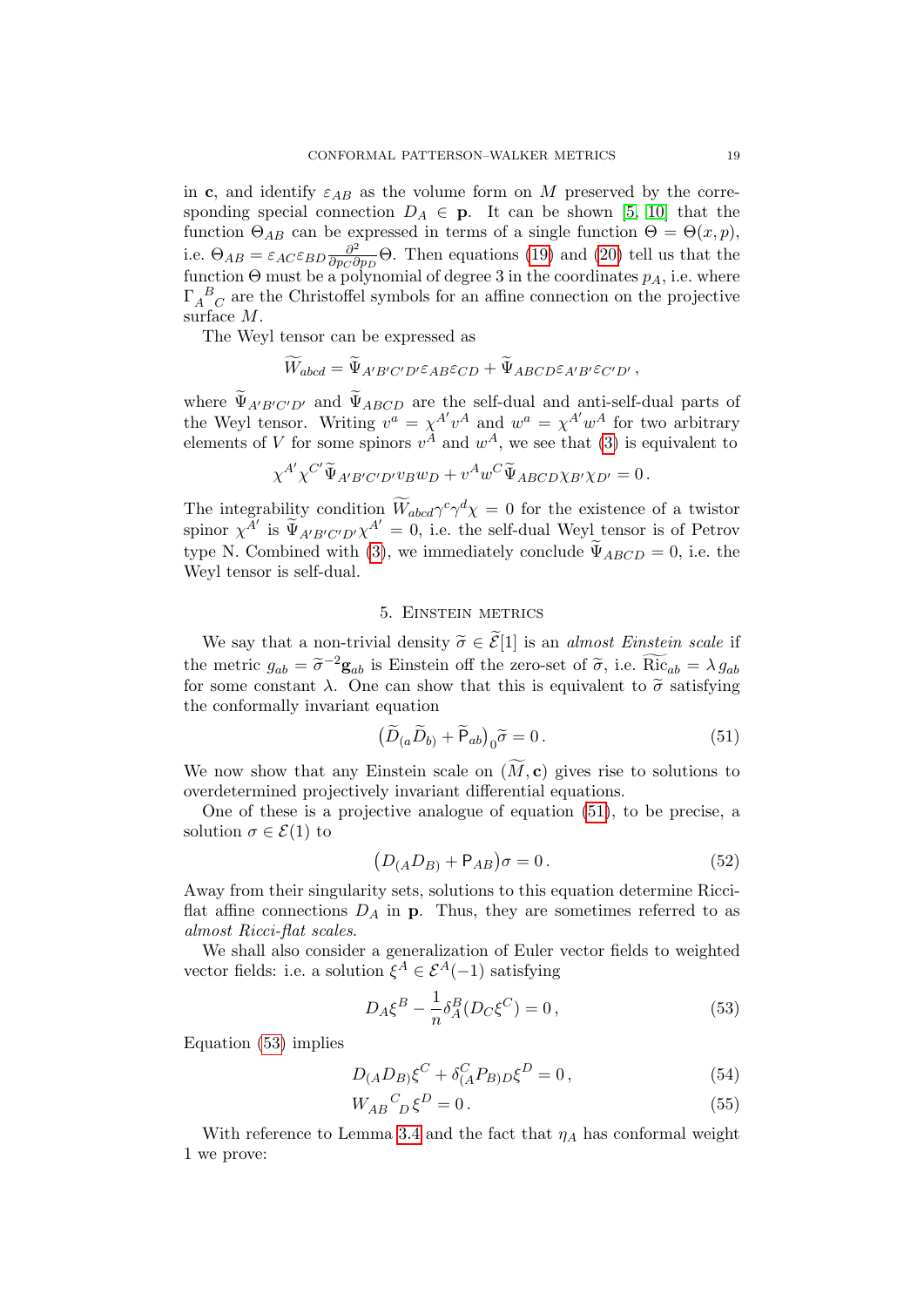in c, and identify  $\varepsilon_{AB}$  as the volume form on M preserved by the corresponding special connection  $D_A \in \mathbf{p}$ . It can be shown [\[5,](#page-31-14) [10\]](#page-31-13) that the function  $\Theta_{AB}$  can be expressed in terms of a single function  $\Theta = \Theta(x,p)$ , i.e.  $\Theta_{AB} = \varepsilon_{AC} \varepsilon_{BD} \frac{\partial^2}{\partial n_C \partial \overline{\partial}}$  $\frac{\partial^2}{\partial p_C \partial p_D}$  ( $\Theta$ ). Then equations [\(19\)](#page-7-2) and [\(20\)](#page-7-3) tell us that the function  $\Theta$  must be a polynomial of degree 3 in the coordinates  $p_A$ , i.e. where  $\Gamma_A{}^B{}_C$  are the Christoffel symbols for an affine connection on the projective surface M.

The Weyl tensor can be expressed as

$$
\widetilde{W}_{abcd} = \widetilde{\Psi}_{A'B'C'D'} \varepsilon_{AB} \varepsilon_{CD} + \widetilde{\Psi}_{ABCD} \varepsilon_{A'B'} \varepsilon_{C'D'},
$$

where  $\Psi_{A'B'C'D'}$  and  $\Psi_{ABCD}$  are the self-dual and anti-self-dual parts of the Weyl tensor. Writing  $v^a = \chi^{A'} v^A$  and  $w^a = \chi^{A'} w^A$  for two arbitrary elements of V for some spinors  $v^A$  and  $w^A$ , we see that [\(3\)](#page-1-4) is equivalent to

$$
\chi^{A'} \chi^{C'} \widetilde{\Psi}_{A'B'C'D'} v_B w_D + v^A w^C \widetilde{\Psi}_{ABCD} \chi_{B'} \chi_{D'} = 0.
$$

The integrability condition  $\widetilde{W}_{abcd}\gamma^c\gamma^d\chi=0$  for the existence of a twistor spinor  $\chi^{A'}$  is  $\widetilde{\Psi}_{A'B'C'D'}\chi^{A'}=0$ , i.e. the self-dual Weyl tensor is of Petrov type N. Combined with [\(3\)](#page-1-4), we immediately conclude  $\widetilde{\Psi}_{ABCD} = 0$ , i.e. the Weyl tensor is self-dual.

# 5. Einstein metrics

<span id="page-18-0"></span>We say that a non-trivial density  $\tilde{\sigma} \in \tilde{\mathcal{E}}[1]$  is an *almost Einstein scale* if the metric  $g_{ab} = \tilde{\sigma}^{-2} \mathbf{g}_{ab}$  is Einstein off the zero-set of  $\tilde{\sigma}$ , i.e.  $\tilde{\text{Ric}}_{ab} = \lambda g_{ab}$ <br>for some constant  $\lambda$ . One can show that this is equivalent to  $\tilde{\sigma}$  satisfying for some constant  $\lambda$ . One can show that this is equivalent to  $\tilde{\sigma}$  satisfying the conformally invariant equation

<span id="page-18-1"></span>
$$
\left(\widetilde{D}_{(a}\widetilde{D}_{b)} + \widetilde{P}_{ab}\right)_{0}\widetilde{\sigma} = 0.
$$
\n(51)

We now show that any Einstein scale on  $(\widetilde{M}, c)$  gives rise to solutions to overdetermined projectively invariant differential equations.

One of these is a projective analogue of equation [\(51\)](#page-18-1), to be precise, a solution  $\sigma \in \mathcal{E}(1)$  to

<span id="page-18-3"></span>
$$
(D_{(A}D_{B)} + P_{AB})\sigma = 0.
$$
\n<sup>(52)</sup>

Away from their singularity sets, solutions to this equation determine Ricciflat affine connections  $D_A$  in p. Thus, they are sometimes referred to as almost Ricci-flat scales.

We shall also consider a generalization of Euler vector fields to weighted vector fields: i.e. a solution  $\xi^A \in \mathcal{E}^A(-1)$  satisfying

<span id="page-18-5"></span><span id="page-18-4"></span><span id="page-18-2"></span>
$$
D_A \xi^B - \frac{1}{n} \delta_A^B (D_C \xi^C) = 0, \qquad (53)
$$

Equation [\(53\)](#page-18-2) implies

$$
D_{(A}D_{B)}\xi^{C} + \delta_{(A}^{C}P_{B)D}\xi^{D} = 0, \qquad (54)
$$

$$
W_{AB}{}^C{}_D \xi^D = 0. \tag{55}
$$

With reference to Lemma [3.4](#page-12-0) and the fact that  $\eta_A$  has conformal weight 1 we prove: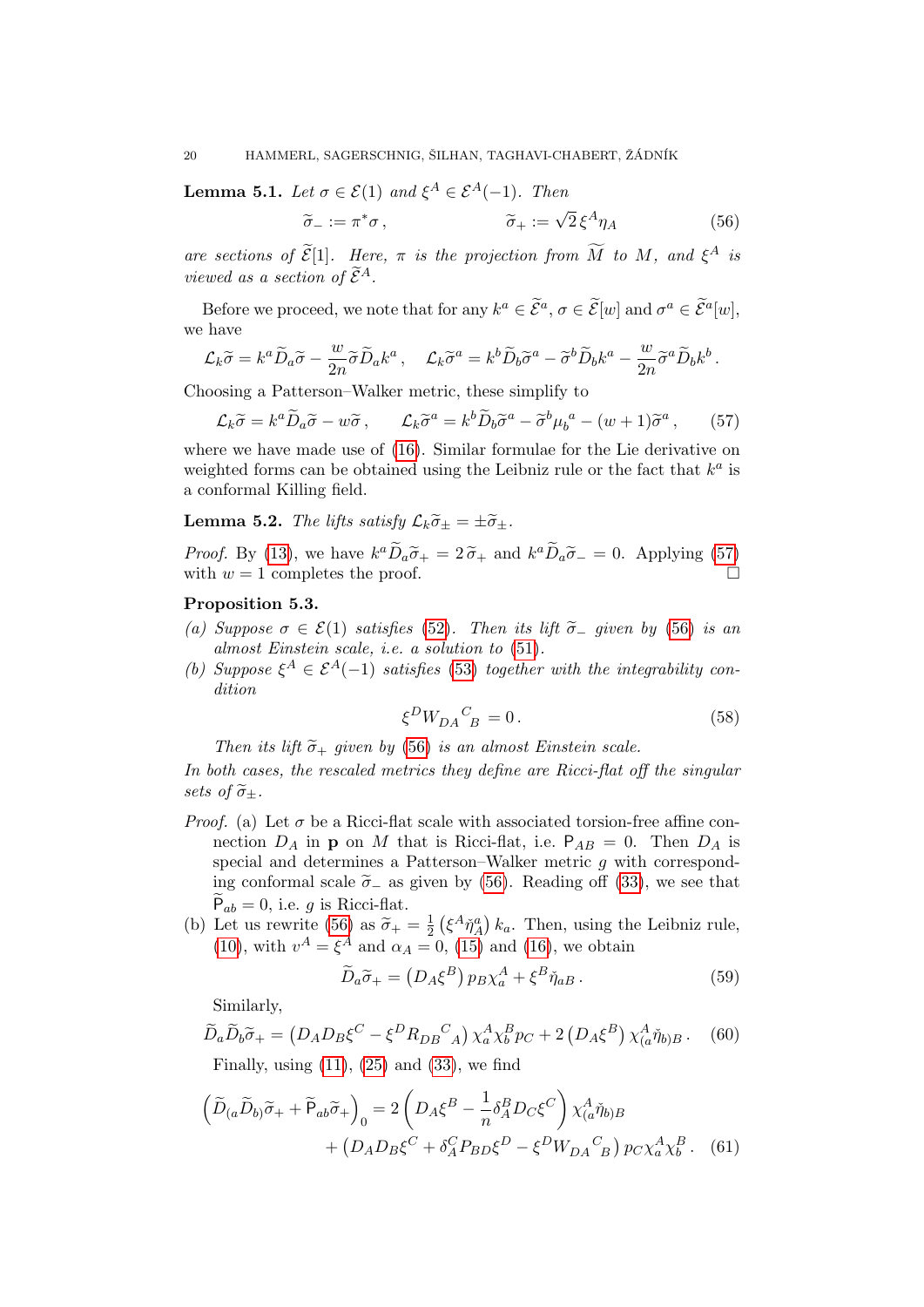**Lemma 5.1.** Let  $\sigma \in \mathcal{E}(1)$  and  $\xi^A \in \mathcal{E}^A(-1)$ . Then

<span id="page-19-1"></span>
$$
\widetilde{\sigma}_{-} := \pi^* \sigma , \qquad \qquad \widetilde{\sigma}_{+} := \sqrt{2} \, \xi^A \eta_A \tag{56}
$$

are sections of  $\widetilde{\mathcal{E}}[1]$ . Here,  $\pi$  is the projection from  $\widetilde{M}$  to  $M$ , and  $\xi^A$  is viewed as a section of  $\widetilde{\mathcal{E}}^{A}$ .

Before we proceed, we note that for any  $k^a \in \tilde{\mathcal{E}}^a$ ,  $\sigma \in \tilde{\mathcal{E}}[w]$  and  $\sigma^a \in \tilde{\mathcal{E}}^a[w]$ , we have

$$
\mathcal{L}_k \widetilde{\sigma} = k^a \widetilde{D}_a \widetilde{\sigma} - \frac{w}{2n} \widetilde{\sigma} \widetilde{D}_a k^a \,, \quad \mathcal{L}_k \widetilde{\sigma}^a = k^b \widetilde{D}_b \widetilde{\sigma}^a - \widetilde{\sigma}^b \widetilde{D}_b k^a - \frac{w}{2n} \widetilde{\sigma}^a \widetilde{D}_b k^b \,.
$$

Choosing a Patterson–Walker metric, these simplify to

$$
\mathcal{L}_k \widetilde{\sigma} = k^a \widetilde{D}_a \widetilde{\sigma} - w \widetilde{\sigma}, \qquad \mathcal{L}_k \widetilde{\sigma}^a = k^b \widetilde{D}_b \widetilde{\sigma}^a - \widetilde{\sigma}^b \mu_b^a - (w+1) \widetilde{\sigma}^a, \qquad (57)
$$

where we have made use of [\(16\)](#page-6-0). Similar formulae for the Lie derivative on weighted forms can be obtained using the Leibniz rule or the fact that  $k^a$  is a conformal Killing field.

**Lemma 5.2.** The lifts satisfy  $\mathcal{L}_k \tilde{\sigma}_+ = \pm \tilde{\sigma}_+$ .

*Proof.* By [\(13\)](#page-6-5), we have  $k^a \tilde{D}_a \tilde{\sigma}_+ = 2 \tilde{\sigma}_+$  and  $k^a \tilde{D}_a \tilde{\sigma}_- = 0$ . Applying [\(57\)](#page-19-0) with  $w = 1$  completes the proof.

# <span id="page-19-6"></span>Proposition 5.3.

- (a) Suppose  $\sigma \in \mathcal{E}(1)$  satisfies [\(52\)](#page-18-3). Then its lift  $\tilde{\sigma}_-$  given by [\(56\)](#page-19-1) is an almost Einstein scale, i.e. a solution to [\(51\)](#page-18-1).
- (b) Suppose  $\xi^A \in \mathcal{E}^A(-1)$  satisfies [\(53\)](#page-18-2) together with the integrability condition

<span id="page-19-2"></span><span id="page-19-0"></span>
$$
\xi^D W_{DA}{}^C_{\ B} = 0. \tag{58}
$$

Then its lift  $\tilde{\sigma}_+$  given by [\(56\)](#page-19-1) is an almost Einstein scale.

In both cases, the rescaled metrics they define are Ricci-flat off the singular sets of  $\tilde{\sigma}_+$ .

- *Proof.* (a) Let  $\sigma$  be a Ricci-flat scale with associated torsion-free affine connection  $D_A$  in **p** on M that is Ricci-flat, i.e.  $P_{AB} = 0$ . Then  $D_A$  is special and determines a Patterson–Walker metric q with corresponding conformal scale  $\tilde{\sigma}_-$  as given by [\(56\)](#page-19-1). Reading off [\(33\)](#page-13-2), we see that  $P_{ab} = 0$ , i.e. g is Ricci-flat.
- (b) Let us rewrite [\(56\)](#page-19-1) as  $\tilde{\sigma}_+ = \frac{1}{2}$ <br>(10) with  $\sigma^A$  of and  $\tilde{\sigma}$  $\frac{1}{2} \left( \xi^A \check{\eta}_A^a \right) k_a$ . Then, using the Leibniz rule, [\(10\)](#page-6-6), with  $v^A = \xi^A$  and  $\alpha_A = 0$ , [\(15\)](#page-6-3) and [\(16\)](#page-6-0), we obtain

<span id="page-19-5"></span><span id="page-19-4"></span><span id="page-19-3"></span>
$$
\widetilde{D}_a \widetilde{\sigma}_+ = \left(D_A \xi^B\right) p_B \chi_a^A + \xi^B \widetilde{\eta}_{aB} \,. \tag{59}
$$

Similarly,

$$
\widetilde{D}_a \widetilde{D}_b \widetilde{\sigma}_+ = (D_A D_B \xi^C - \xi^D R_{DB}{}^C{}_A) \chi_a^A \chi_b^B p_C + 2 (D_A \xi^B) \chi_a^A \eta_{b)B}.
$$
 (60)  
Finally, using (11), (25) and (33), we find

$$
\left(\widetilde{D}_{(a}\widetilde{D}_{b)}\widetilde{\sigma}_{+}+\widetilde{P}_{ab}\widetilde{\sigma}_{+}\right)_{0}=2\left(D_{A}\xi^{B}-\frac{1}{n}\delta_{A}^{B}D_{C}\xi^{C}\right)\chi_{(a}^{A}\widetilde{\eta}_{b)B} +\left(D_{A}D_{B}\xi^{C}+\delta_{A}^{C}P_{BD}\xi^{D}-\xi^{D}W_{DA}{}^{C}{}_{B}\right)p_{C}\chi_{a}^{A}\chi_{b}^{B}.
$$
 (61)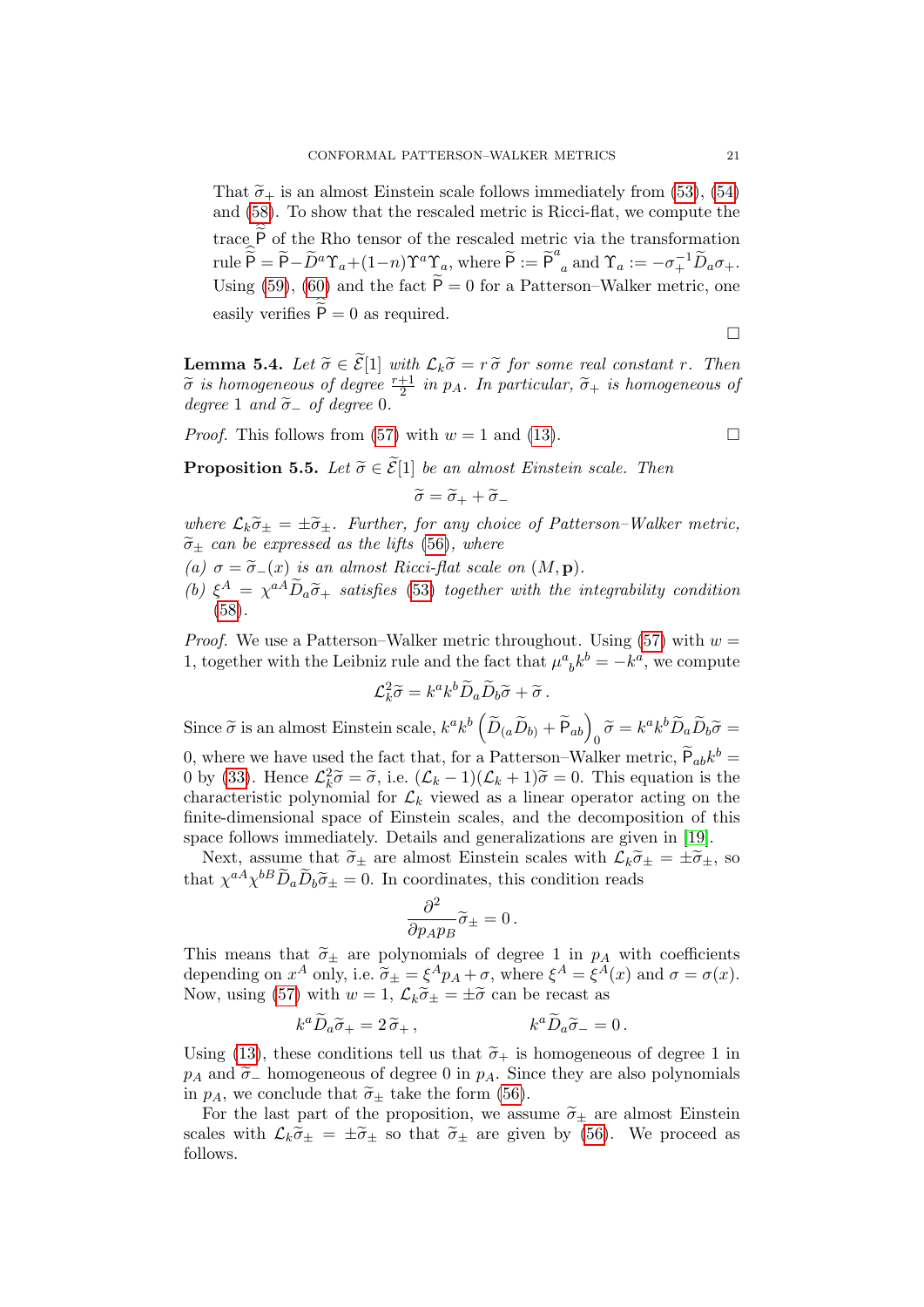That  $\tilde{\sigma}_+$  is an almost Einstein scale follows immediately from [\(53\)](#page-18-2), [\(54\)](#page-18-4) and [\(58\)](#page-19-2). To show that the rescaled metric is Ricci-flat, we compute the trace P of the Rho tensor of the rescaled metric via the transformation  $\text{rule} \, \widehat{\widetilde{\mathsf{P}}} = \widetilde{\mathsf{P}} - \widetilde{D}^a \Upsilon_a + (1-n) \Upsilon^a \Upsilon_a, \text{ where } \widetilde{\mathsf{P}} := \widetilde{\mathsf{P}}^a_{\phantom{a}a} \text{ and } \Upsilon_a := -\sigma_+^{-1} \widetilde{D}_a \sigma_+.$ Using [\(59\)](#page-19-3), [\(60\)](#page-19-4) and the fact  $\widetilde{P} = 0$  for a Patterson–Walker metric, one easily verifies  $P = 0$  as required.

$$
\Box
$$

**Lemma 5.4.** Let  $\widetilde{\sigma} \in \widetilde{\mathcal{E}}[1]$  with  $\mathcal{L}_k \widetilde{\sigma} = r \widetilde{\sigma}$  for some real constant r. Then  $\widetilde{\sigma}$  is homogeneous of degree  $\frac{r+1}{2}$  in p<sub>A</sub>. In particular,  $\widetilde{\sigma}_+$  is homogeneous of degree 0 degree 1 and  $\tilde{\sigma}_-$  of degree 0.

*Proof.* This follows from [\(57\)](#page-19-0) with  $w = 1$  and [\(13\)](#page-6-5).

<span id="page-20-0"></span>**Proposition 5.5.** Let  $\widetilde{\sigma} \in \widetilde{\mathcal{E}}[1]$  be an almost Einstein scale. Then

$$
\widetilde{\sigma} = \widetilde{\sigma}_+ + \widetilde{\sigma}_-
$$

where  $\mathcal{L}_k \tilde{\sigma}_{\pm} = \pm \tilde{\sigma}_{\pm}$ . Further, for any choice of Patterson–Walker metric,  $\widetilde{\sigma}_{\pm}$  can be expressed as the lifts [\(56\)](#page-19-1), where

- (a)  $\sigma = \tilde{\sigma}_-(x)$  is an almost Ricci-flat scale on  $(M, \mathbf{p})$ .
- (b)  $\xi^A = \chi^{aA} \widetilde{D}_a \widetilde{\sigma}_+$  satisfies [\(53\)](#page-18-2) together with the integrability condition [\(58\)](#page-19-2).

*Proof.* We use a Patterson–Walker metric throughout. Using [\(57\)](#page-19-0) with  $w =$ 1, together with the Leibniz rule and the fact that  $\mu^a{}_b k^b = -k^a$ , we compute

$$
\mathcal{L}_k^2 \widetilde{\sigma} = k^a k^b \widetilde{D}_a \widetilde{D}_b \widetilde{\sigma} + \widetilde{\sigma}.
$$

Since  $\widetilde{\sigma}$  is an almost Einstein scale,  $k^a k^b \left( \widetilde{D}_{(a} \widetilde{D}_{b)} + \widetilde{P}_{ab} \right)_0 \widetilde{\sigma} = k^a k^b \widetilde{D}_a \widetilde{D}_b \widetilde{\sigma} =$ 0, where we have used the fact that, for a Patterson–Walker metric,  $\tilde{P}_{ab}k^b =$ 0 by [\(33\)](#page-13-2). Hence  $\mathcal{L}_k^2 \tilde{\sigma} = \tilde{\sigma}$ , i.e.  $(\mathcal{L}_k - 1)(\mathcal{L}_k + 1)\tilde{\sigma} = 0$ . This equation is the characteristic polynomial for  $\mathcal{L}_k$  viewed as a linear operator acting on the characteristic polynomial for  $\mathcal{L}_k$  viewed as a linear operator acting on the finite-dimensional space of Einstein scales, and the decomposition of this space follows immediately. Details and generalizations are given in [\[19\]](#page-31-15).

Next, assume that  $\tilde{\sigma}_{\pm}$  are almost Einstein scales with  $\mathcal{L}_k \tilde{\sigma}_{\pm} = \pm \tilde{\sigma}_{\pm}$ , so that  $\chi^{aA} \chi^{bB} \tilde{D}_a \tilde{D}_b \tilde{\sigma}_{\pm} = 0$ . In coordinates, this condition reads

$$
\frac{\partial^2}{\partial p_A p_B} \widetilde{\sigma}_{\pm} = 0 \, .
$$

This means that  $\tilde{\sigma}_{\pm}$  are polynomials of degree 1 in  $p_A$  with coefficients depending on  $x^A$  only, i.e.  $\tilde{\sigma}_{\pm} = \xi^A p_A + \sigma$ , where  $\xi^A = \xi^A(x)$  and  $\sigma = \sigma(x)$ .<br>Now using (57) with  $w = 1$ ,  $C_1 \tilde{\sigma}_{11} = +\tilde{\sigma}_{22}$  can be record as Now, using [\(57\)](#page-19-0) with  $w = 1$ ,  $\mathcal{L}_k \tilde{\sigma}_{\pm} = \pm \tilde{\sigma}$  can be recast as

$$
k^a \widetilde{D}_a \widetilde{\sigma}_+ = 2 \widetilde{\sigma}_+, \qquad k^a \widetilde{D}_a \widetilde{\sigma}_- = 0 \, .
$$

Using [\(13\)](#page-6-5), these conditions tell us that  $\tilde{\sigma}_+$  is homogeneous of degree 1 in  $p_A$  and  $\tilde{\sigma}_-$  homogeneous of degree 0 in  $p_A$ . Since they are also polynomials in  $p_A$ , we conclude that  $\tilde{\sigma}_{\pm}$  take the form [\(56\)](#page-19-1).

For the last part of the proposition, we assume  $\tilde{\sigma}_{\pm}$  are almost Einstein scales with  $\mathcal{L}_k \tilde{\sigma}_{\pm} = \pm \tilde{\sigma}_{\pm}$  so that  $\tilde{\sigma}_{\pm}$  are given by [\(56\)](#page-19-1). We proceed as follows.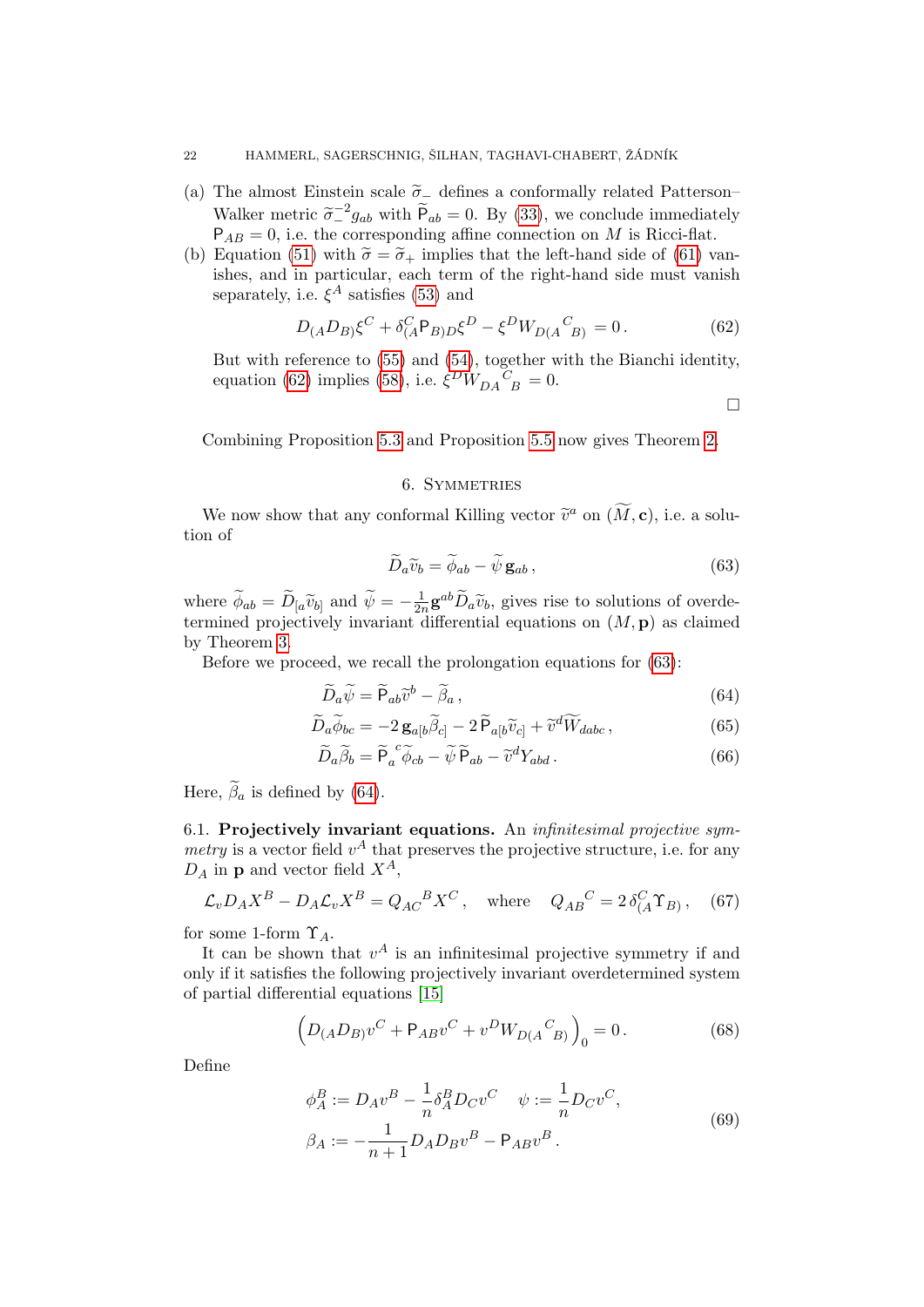#### 22 HAMMERL, SAGERSCHNIG, ŠILHAN, TAGHAVI-CHABERT, ŽÁDNÍK

- (a) The almost Einstein scale  $\tilde{\sigma}_-$  defines a conformally related Patterson– Walker metric  $\tilde{\sigma}_-^2 g_{ab}$  with  $\tilde{P}_{ab} = 0$ . By [\(33\)](#page-13-2), we conclude immediately  $P_{ab} = 0$  i.e. the corresponding affine connection on M is Ricci-flat.  $P_{AB} = 0$ , i.e. the corresponding affine connection on M is Ricci-flat.
- (b) Equation [\(51\)](#page-18-1) with  $\tilde{\sigma} = \tilde{\sigma}_+$  implies that the left-hand side of [\(61\)](#page-19-5) vanishes, and in particular, each term of the right-hand side must vanish separately, i.e.  $\xi^A$  satisfies [\(53\)](#page-18-2) and

$$
D_{(A}D_{B)}\xi^{C} + \delta^{C}_{(A}P_{B)D}\xi^{D} - \xi^{D}W_{D(A}{}^{C}{}_{B)} = 0.
$$
 (62)

But with reference to [\(55\)](#page-18-5) and [\(54\)](#page-18-4), together with the Bianchi identity, equation [\(62\)](#page-21-1) implies [\(58\)](#page-19-2), i.e.  $\xi^{D}W_{DA}{}^{C}_{B} = 0$ .

<span id="page-21-8"></span><span id="page-21-6"></span><span id="page-21-3"></span><span id="page-21-2"></span><span id="page-21-1"></span> $\Box$ 

Combining Proposition [5.3](#page-19-6) and Proposition [5.5](#page-20-0) now gives Theorem [2.](#page-1-5)

# 6. SYMMETRIES

<span id="page-21-0"></span>We now show that any conformal Killing vector  $\tilde{v}^a$  on  $(\tilde{M}, c)$ , i.e. a solution of

$$
\widetilde{D}_a \widetilde{v}_b = \widetilde{\phi}_{ab} - \widetilde{\psi} \mathbf{g}_{ab} ,\qquad(63)
$$

where  $\widetilde{\phi}_{ab} = \widetilde{D}_{[a} \widetilde{v}_{b]}$  and  $\widetilde{\psi} = -\frac{1}{2i}$  $\frac{1}{2n}$ **g**<sup>ab</sup> $\widetilde{D}_a \widetilde{v}_b$ , gives rise to solutions of overdetermined projectively invariant differential equations on  $(M, \mathbf{p})$  as claimed by Theorem [3.](#page-2-0)

Before we proceed, we recall the prolongation equations for [\(63\)](#page-21-2):

$$
\widetilde{D}_a \widetilde{\psi} = \widetilde{P}_{ab} \widetilde{v}^b - \widetilde{\beta}_a, \qquad (64)
$$

$$
\widetilde{D}_a \widetilde{\phi}_{bc} = -2 \mathbf{g}_{a[b} \widetilde{\beta}_{c]} - 2 \widetilde{\mathbf{P}}_{a[b} \widetilde{v}_{c]} + \widetilde{v}^d \widetilde{W}_{dabc},\tag{65}
$$

<span id="page-21-7"></span>
$$
\widetilde{D}_a \widetilde{\beta}_b = \widetilde{P}_a^c \widetilde{\phi}_{cb} - \widetilde{\psi} \widetilde{P}_{ab} - \widetilde{v}^d Y_{abd}.
$$
\n(66)

Here,  $\tilde{\beta}_a$  is defined by [\(64\)](#page-21-3).

<span id="page-21-9"></span>6.1. Projectively invariant equations. An infinitesimal projective symmetry is a vector field  $v^A$  that preserves the projective structure, i.e. for any  $D_A$  in **p** and vector field  $X^A$ ,

$$
\mathcal{L}_v D_A X^B - D_A \mathcal{L}_v X^B = Q_{AC}{}^B X^C, \quad \text{where} \quad Q_{AB}{}^C = 2 \delta^C_A \Upsilon_B, \quad (67)
$$

for some 1-form  $\Upsilon_A$ .

It can be shown that  $v^A$  is an infinitesimal projective symmetry if and only if it satisfies the following projectively invariant overdetermined system of partial differential equations [\[15\]](#page-31-5)

$$
(D_{(A}D_{B)}v^{C} + P_{AB}v^{C} + v^{D}W_{D(A}{}^{C}{}_{B)})_{0} = 0.
$$
 (68)

Define

<span id="page-21-5"></span><span id="page-21-4"></span>
$$
\phi_A^B := D_A v^B - \frac{1}{n} \delta_A^B D_C v^C \quad \psi := \frac{1}{n} D_C v^C,
$$
  

$$
\beta_A := -\frac{1}{n+1} D_A D_B v^B - P_{AB} v^B.
$$
 (69)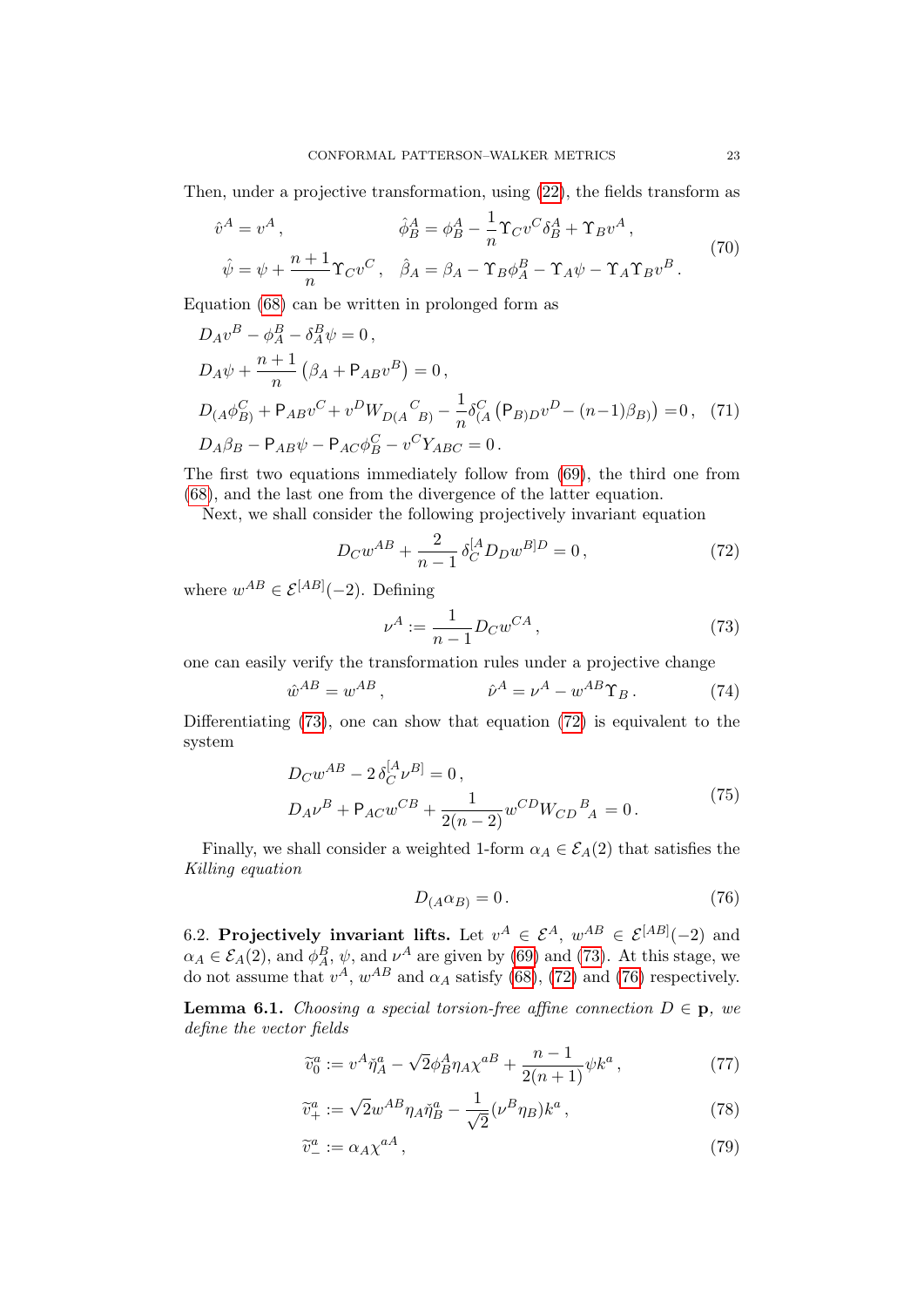Then, under a projective transformation, using [\(22\)](#page-8-1), the fields transform as

$$
\hat{v}^A = v^A, \qquad \hat{\phi}_B^A = \phi_B^A - \frac{1}{n} \Upsilon_C v^C \delta_B^A + \Upsilon_B v^A,
$$
  

$$
\hat{\psi} = \psi + \frac{n+1}{n} \Upsilon_C v^C, \quad \hat{\beta}_A = \beta_A - \Upsilon_B \phi_A^B - \Upsilon_A \psi - \Upsilon_A \Upsilon_B v^B.
$$
 (70)

Equation [\(68\)](#page-21-4) can be written in prolonged form as

$$
D_A v^B - \phi_A^B - \delta_A^B \psi = 0,
$$
  
\n
$$
D_A \psi + \frac{n+1}{n} (\beta_A + P_{AB} v^B) = 0,
$$
  
\n
$$
D_{(A} \phi_B^C + P_{AB} v^C + v^D W_{D(A}{}^C{}_{B)} - \frac{1}{n} \delta_A^C (P_{B)D} v^D - (n-1)\beta_{B}) = 0, (71)
$$
  
\n
$$
D_A \beta_B - P_{AB} \psi - P_{AC} \phi_B^C - v^C Y_{ABC} = 0.
$$

The first two equations immediately follow from [\(69\)](#page-21-5), the third one from [\(68\)](#page-21-4), and the last one from the divergence of the latter equation.

Next, we shall consider the following projectively invariant equation

<span id="page-22-4"></span>
$$
D_C w^{AB} + \frac{2}{n-1} \delta_C^{[A} D_D w^{B]D} = 0, \qquad (72)
$$

where  $w^{AB} \in \mathcal{E}^{[AB]}(-2)$ . Defining

<span id="page-22-9"></span><span id="page-22-5"></span><span id="page-22-1"></span><span id="page-22-0"></span>
$$
\nu^A := \frac{1}{n-1} D_C w^{CA} \,,\tag{73}
$$

one can easily verify the transformation rules under a projective change

$$
\hat{w}^{AB} = w^{AB}, \qquad \qquad \hat{\nu}^A = \nu^A - w^{AB} \Upsilon_B. \tag{74}
$$

Differentiating [\(73\)](#page-22-0), one can show that equation [\(72\)](#page-22-1) is equivalent to the system

$$
D_C w^{AB} - 2 \delta_C^{[A} \nu^{B]} = 0,
$$
  
\n
$$
D_A \nu^B + P_{AC} w^{CB} + \frac{1}{2(n-2)} w^{CD} W_{CD}{}^B{}_A = 0.
$$
\n(75)

Finally, we shall consider a weighted 1-form  $\alpha_A \in \mathcal{E}_A(2)$  that satisfies the Killing equation

<span id="page-22-10"></span><span id="page-22-8"></span><span id="page-22-7"></span><span id="page-22-3"></span><span id="page-22-2"></span>
$$
D_{(A}\alpha_{B)} = 0. \t\t(76)
$$

6.2. Projectively invariant lifts. Let  $v^A \in \mathcal{E}^A$ ,  $w^{AB} \in \mathcal{E}^{[AB]}(-2)$  and  $\alpha_A \in \mathcal{E}_A(2)$ , and  $\phi_A^B$ ,  $\psi$ , and  $\nu^A$  are given by [\(69\)](#page-21-5) and [\(73\)](#page-22-0). At this stage, we do not assume that  $v^A$ ,  $w^{AB}$  and  $\alpha_A$  satisfy [\(68\)](#page-21-4), [\(72\)](#page-22-1) and [\(76\)](#page-22-2) respectively.

<span id="page-22-6"></span>**Lemma 6.1.** Choosing a special torsion-free affine connection  $D \in \mathbf{p}$ , we define the vector fields

$$
\widetilde{v}_0^a := v^A \check{\eta}_A^a - \sqrt{2} \phi_B^A \eta_A \chi^{a} + \frac{n-1}{2(n+1)} \psi k^a ,\qquad (77)
$$

$$
\widetilde{v}_{+}^{a} := \sqrt{2}w^{AB}\eta_{A}\check{\eta}_{B}^{a} - \frac{1}{\sqrt{2}}(\nu^{B}\eta_{B})k^{a},\qquad(78)
$$

$$
\widetilde{v}^a_- := \alpha_A \chi^{aA},\tag{79}
$$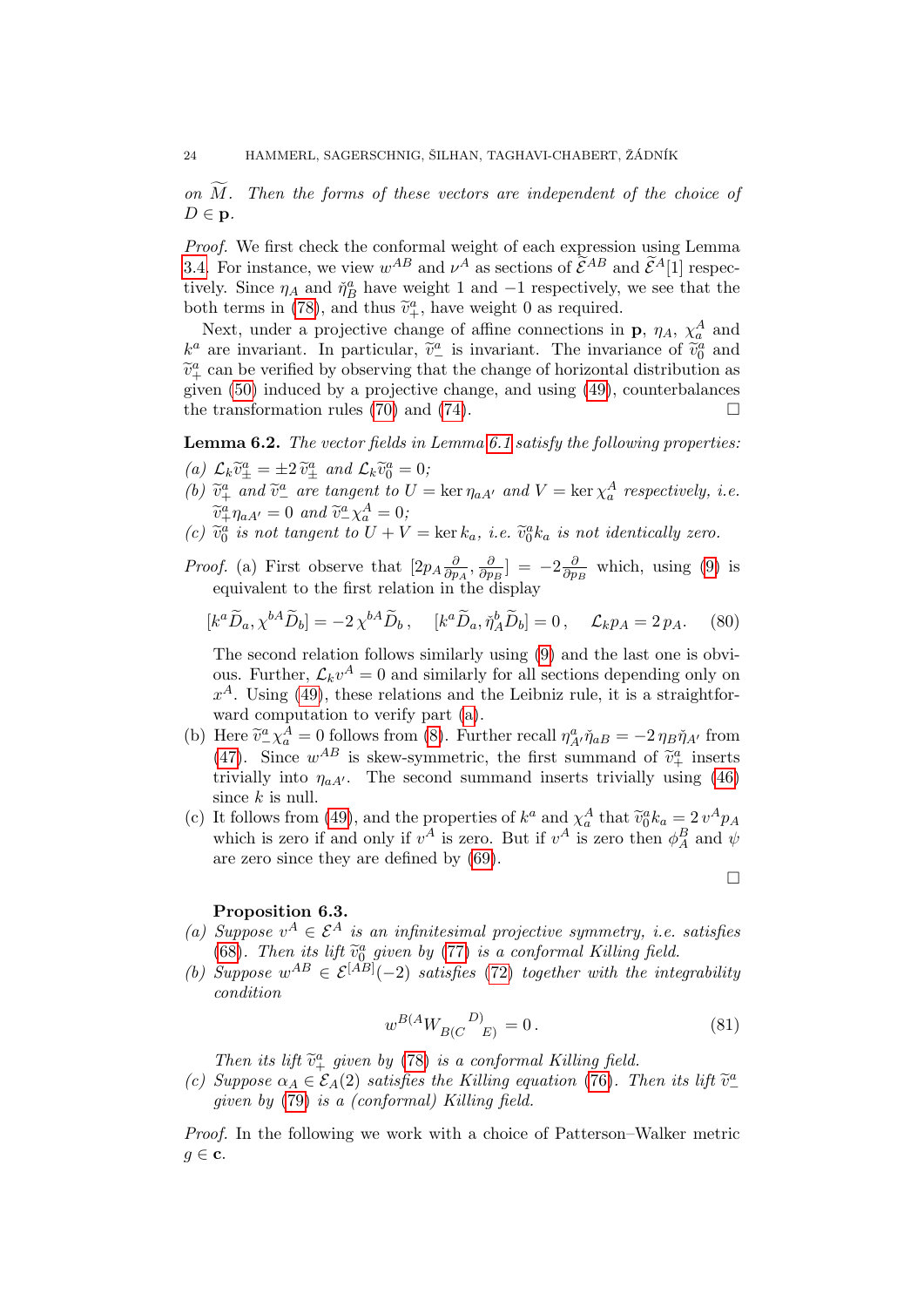on  $M$ . Then the forms of these vectors are independent of the choice of  $D \in \mathbf{p}$ .

Proof. We first check the conformal weight of each expression using Lemma [3.4.](#page-12-0) For instance, we view  $w^{AB}$  and  $\nu^A$  as sections of  $\tilde{\mathcal{E}}^{AB}$  and  $\tilde{\mathcal{E}}^{A}[1]$  respectively tively. Since  $\eta_A$  and  $\tilde{\eta}_B^a$  have weight 1 and -1 respectively, we see that the both terms in [\(78\)](#page-22-3), and thus  $\tilde{v}^a_+$ , have weight 0 as required.<br>Next, under a projective change of effine connections in

Next, under a projective change of affine connections in **p**,  $\eta_A$ ,  $\chi_a^A$  and  $k^a$  are invariant. In particular,  $\tilde{v}^a_\perp$  is invariant. The invariance of  $\tilde{v}^a_\theta$  and  $\tilde{v}^a_\theta$  can be verified by observing that the change of herizontal distribution as  $\tilde{v}_{+}^a$  can be verified by observing that the change of horizontal distribution as given [\(50\)](#page-17-1) induced by a projective change, and using [\(49\)](#page-17-0), counterbalances the transformation rules [\(70\)](#page-22-4) and [\(74\)](#page-22-5).  $\Box$ 

<span id="page-23-3"></span>Lemma 6.2. The vector fields in Lemma [6.1](#page-22-6) satisfy the following properties:

- <span id="page-23-0"></span>(a)  $\mathcal{L}_k \tilde{v}^a_{\pm} = \pm 2 \tilde{v}^a_{\pm}$  and  $\mathcal{L}_k \tilde{v}^a_0 = 0$ ;<br>(b)  $\tilde{v}^a_{\pm}$  and  $\tilde{v}^a_{\pm}$  are tensor to U
- (b)  $\tilde{v}_{+}^a$  and  $\tilde{v}_{-}^a$  are tangent to  $U = \ker \eta_{aA'}$  and  $V = \ker \chi_a^A$  respectively, i.e.  $\widetilde{v}^a_+\eta_{aA'}=0$  and  $\widetilde{v}^a_-\chi^A_a=0;$ <br>  $\widetilde{v}^a_+$  is not tangent to  $U+V_a$
- (c)  $\tilde{v}_0^a$  is not tangent to  $U + V = \ker k_a$ , i.e.  $\tilde{v}_0^a k_a$  is not identically zero.
- *Proof.* (a) First observe that  $[2p_A\frac{\partial}{\partial p_B}$  $\frac{\partial}{\partial p_A}, \frac{\partial}{\partial p}$  $\frac{\partial}{\partial p_{B}}] = -2 \frac{\partial}{\partial p}$  $\frac{\partial}{\partial p_B}$  which, using [\(9\)](#page-5-1) is equivalent to the first relation in the display

$$
[k^a \widetilde{D}_a, \chi^{bA} \widetilde{D}_b] = -2 \chi^{bA} \widetilde{D}_b, \quad [k^a \widetilde{D}_a, \widetilde{\eta}_A^b \widetilde{D}_b] = 0, \quad \mathcal{L}_k p_A = 2 p_A. \tag{80}
$$

The second relation follows similarly using [\(9\)](#page-5-1) and the last one is obvious. Further,  $\mathcal{L}_k v^A = 0$  and similarly for all sections depending only on  $x<sup>A</sup>$ . Using [\(49\)](#page-17-0), these relations and the Leibniz rule, it is a straightforward computation to verify part [\(a\)](#page-23-0).

- (b) Here  $\tilde{v}^a_-\chi^A_a = 0$  follows from [\(8\)](#page-5-0). Further recall  $\eta^a_A \tilde{\eta}_{aB} = -2 \eta_B \tilde{\eta}_{A'}$  from (47). Since  $wAB$  is glass generating the first gummand of  $\tilde{\chi}^a_a$  inserts [\(47\)](#page-16-0). Since  $w^{AB}$  is skew-symmetric, the first summand of  $\tilde{v}^a_+$  inserts trivially into  $v$ ,  $w$ . The second summand inserts trivially using (46) trivially into  $\eta_{aA}$ . The second summand inserts trivially using [\(46\)](#page-16-1) since  $k$  is null.
- (c) It follows from [\(49\)](#page-17-0), and the properties of  $k^a$  and  $\chi^A_a$  that  $\tilde{v}_0^a k_a = 2 v^A p_A$ <br>which is zero if and only if  $v^A$  is zero. But if  $v^A$  is zero than  $\phi^B$  and  $\psi$ which is zero if and only if  $v^A$  is zero. But if  $v^A$  is zero then  $\phi_A^B$  and  $\psi$ are zero since they are defined by [\(69\)](#page-21-5).

# Proposition 6.3.

- (a) Suppose  $v^A \in \mathcal{E}^A$  is an infinitesimal projective symmetry, i.e. satisfies [\(68\)](#page-21-4). Then its lift  $\tilde{v}_0^a$  given by [\(77\)](#page-22-7) is a conformal Killing field.<br>Suppose  $vAB \,\subset S(AB)$  (-2) estisfies (72) together with the inte
- (b) Suppose  $w^{AB} \in \mathcal{E}^{[AB]}(-2)$  satisfies [\(72\)](#page-22-1) together with the integrability condition

$$
w^{B(A}W_{B(C}^{\qquad D)} = 0. \tag{81}
$$

<span id="page-23-2"></span><span id="page-23-1"></span> $\Box$ 

Then its lift  $\tilde{v}_+^a$  given by [\(78\)](#page-22-3) is a conformal Killing field.<br>Sunnose  $\alpha_t \in \mathcal{E}_t(2)$  satisfies the Killing equation (76) T

(c) Suppose  $\alpha_A \in \mathcal{E}_A(2)$  satisfies the Killing equation [\(76\)](#page-22-2). Then its lift  $\widetilde{v}^a_-$ <br>given by (79) is a (conformal) Killing field given by [\(79\)](#page-22-8) is a (conformal) Killing field.

Proof. In the following we work with a choice of Patterson–Walker metric  $g \in \mathbf{c}$ .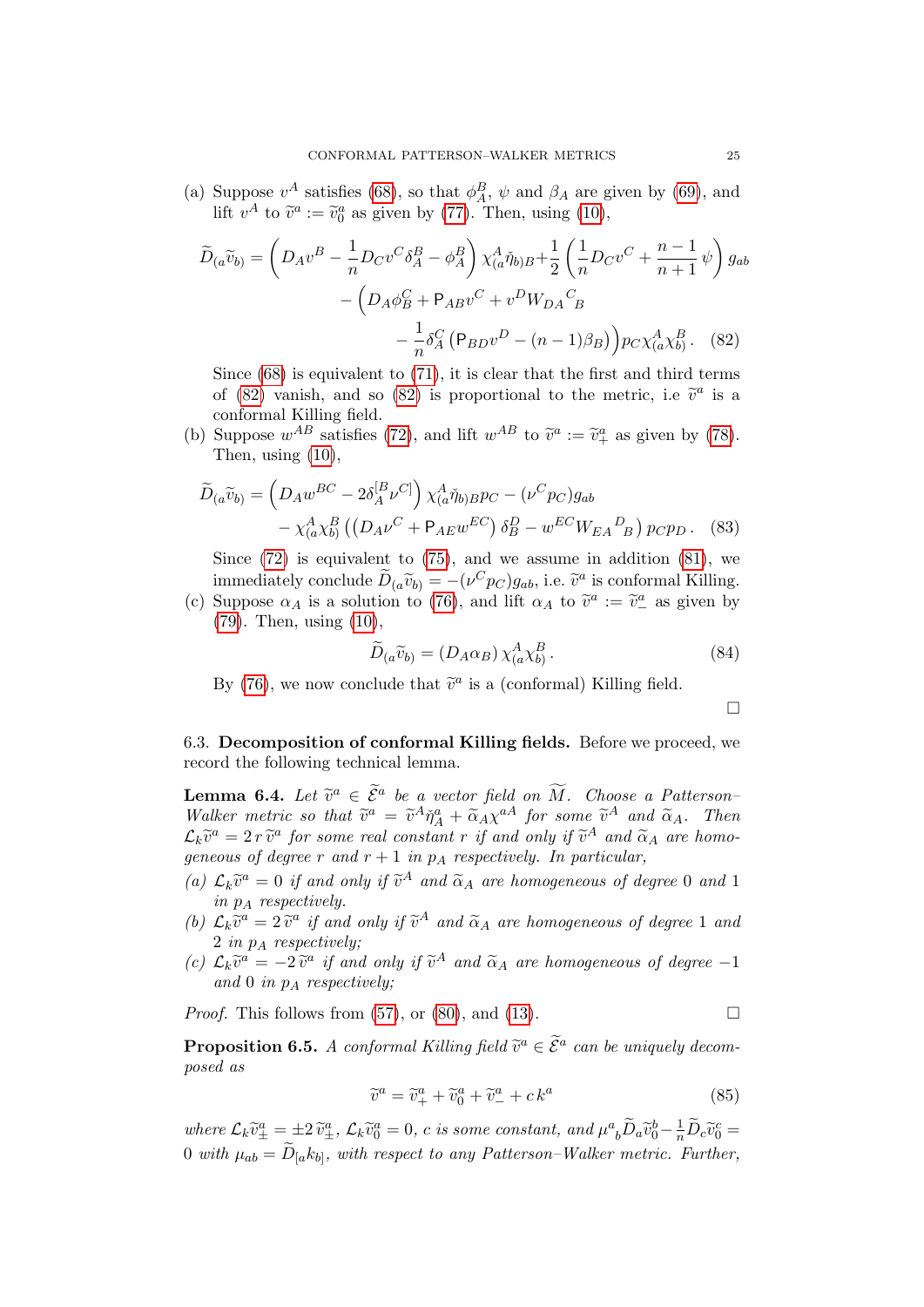(a) Suppose  $v^A$  satisfies [\(68\)](#page-21-4), so that  $\phi_A^B$ ,  $\psi$  and  $\beta_A$  are given by [\(69\)](#page-21-5), and lift  $v^A$  to  $\tilde{v}^a := \tilde{v}_0^a$  as given by [\(77\)](#page-22-7). Then, using [\(10\)](#page-6-6),

$$
\widetilde{D}_{(a}\widetilde{v}_{b)} = \left(D_{A}v^{B} - \frac{1}{n}D_{C}v^{C}\delta_{A}^{B} - \phi_{A}^{B}\right)\chi_{(a}^{A}\widetilde{\eta}_{b)B} + \frac{1}{2}\left(\frac{1}{n}D_{C}v^{C} + \frac{n-1}{n+1}\psi\right)g_{ab} - \left(D_{A}\phi_{B}^{C} + P_{AB}v^{C} + v^{D}W_{DA}{}_{B}^{C} - \frac{1}{n}\delta_{A}^{C}\left(P_{BD}v^{D} - (n-1)\beta_{B}\right)\right)pc\chi_{(a}^{A}\chi_{b}^{B}.
$$
\n(82)

Since  $(68)$  is equivalent to  $(71)$ , it is clear that the first and third terms of [\(82\)](#page-24-0) vanish, and so (82) is proportional to the metric, i.e  $\tilde{v}^a$  is a conformal Killing field conformal Killing field.

(b) Suppose  $w^{AB}$  satisfies [\(72\)](#page-22-1), and lift  $w^{AB}$  to  $\tilde{v}^a := \tilde{v}^a_+$  as given by [\(78\)](#page-22-3).<br>Then using (10) Then, using [\(10\)](#page-6-6),

$$
\widetilde{D}_{(a}\widetilde{v}_{b)} = \left(D_A w^{BC} - 2\delta_A^{[B} \nu^{C]}\right) \chi_{(a}^A \widetilde{\eta}_{b)B} p_C - (\nu^C p_C) g_{ab} \n- \chi_{(a}^A \chi_{b)}^B \left(\left(D_A \nu^C + \mathsf{P}_{AE} w^{EC}\right) \delta_B^D - w^{EC} W_{EA}{}^D_{B}\right) p_C p_D. \tag{83}
$$

Since  $(72)$  is equivalent to  $(75)$ , and we assume in addition  $(81)$ , we immediately conclude  $\widetilde{D}_{(a}\widetilde{v}_{b)} = -(\nu^{C}p_{C})g_{ab}$ , i.e.  $\widetilde{v}^{a}$  is conformal Killing.<br>Suppose  $\alpha_{b}$  is a solution to (76) and lift  $\alpha_{b}$  to  $\widetilde{x}^{a}$  is  $\widetilde{x}^{a}$  as given by

(c) Suppose  $\alpha_A$  is a solution to [\(76\)](#page-22-2), and lift  $\alpha_A$  to  $\tilde{v}^a := \tilde{v}^a_-$  as given by (70). Then using (10) [\(79\)](#page-22-8). Then, using [\(10\)](#page-6-6),

$$
\widetilde{D}_{(a}\widetilde{v}_{b)} = (D_A \alpha_B) \chi^A_{(a}\chi^B_{b}). \tag{84}
$$

By [\(76\)](#page-22-2), we now conclude that  $\tilde{v}^a$  is a (conformal) Killing field.

<span id="page-24-3"></span><span id="page-24-2"></span><span id="page-24-0"></span> $\Box$ 

6.3. Decomposition of conformal Killing fields. Before we proceed, we record the following technical lemma.

<span id="page-24-1"></span>**Lemma 6.4.** Let  $\tilde{v}^a \in \tilde{\mathcal{E}}^a$  be a vector field on  $\tilde{M}$ . Choose a Patterson-<br>Walker metric so that  $\tilde{v}^a = \tilde{v}^A \tilde{v}^a + \tilde{v}^a \tilde{v}^A$  for some  $\tilde{v}^A$  and  $\tilde{v}$ . Then Walker metric so that  $\tilde{v}^a = \tilde{v}^A \tilde{\eta}^a_A + \tilde{\alpha}_A \chi^{aA}$  for some  $\tilde{v}^A$  and  $\tilde{\alpha}_A$ . Then<br> $\tilde{\alpha} \tilde{\omega}^a = 2 \tilde{v}^a$  for some real senstant r if and only if  $\tilde{\omega}^A$  and  $\tilde{\alpha}$  are home  $\mathcal{L}_k \tilde{v}^a = 2 r \tilde{v}^a$  for some real constant r if and only if  $\tilde{v}^A$  and  $\tilde{\alpha}_A$  are homo-<br>concerned a degree r and r | 1 in n + respectively. In perticular geneous of degree r and  $r + 1$  in  $p_A$  respectively. In particular,

- (a)  $\mathcal{L}_k \tilde{v}^a = 0$  if and only if  $\tilde{v}^A$  and  $\tilde{\alpha}_A$  are homogeneous of degree 0 and 1 in  $p_A$  respectively.
- (b)  $\mathcal{L}_k \tilde{v}^a = 2 \tilde{v}^a$  if and only if  $\tilde{v}^A$  and  $\tilde{\alpha}_A$  are homogeneous of degree 1 and  $2 \text{ in } n$ . reconorginally 2 in  $p_A$  respectively;
- (c)  $\mathcal{L}_k \tilde{v}^a = -2 \tilde{v}^a$  if and only if  $\tilde{v}^A$  and  $\tilde{\alpha}_A$  are homogeneous of degree -1<br>and 0 in n a respectively. and 0 in  $p_A$  respectively;

*Proof.* This follows from [\(57\)](#page-19-0), or [\(80\)](#page-23-2), and [\(13\)](#page-6-5).

<span id="page-24-4"></span>**Proposition 6.5.** A conformal Killing field  $\widetilde{v}^a \in \widetilde{\mathcal{E}}^a$  can be uniquely decomposed as

<span id="page-24-5"></span>
$$
\widetilde{v}^a = \widetilde{v}_+^a + \widetilde{v}_0^a + \widetilde{v}_-^a + ck^a \tag{85}
$$

where  $\mathcal{L}_k \tilde{v}^a_{\pm} = \pm 2 \tilde{v}^a_{\pm}$ ,  $\mathcal{L}_k \tilde{v}^a_0 = 0$ , c is some constant, and  $\mu^a{}_b \tilde{D}_a \tilde{v}^b_0 - \frac{1}{n} \tilde{D}_c \tilde{v}^c_0 =$  $0 \text{ with } \mu_{ab} = D_{[a}k_{b]}, \text{ with respect to any Patterson-Walker metric. Further,}$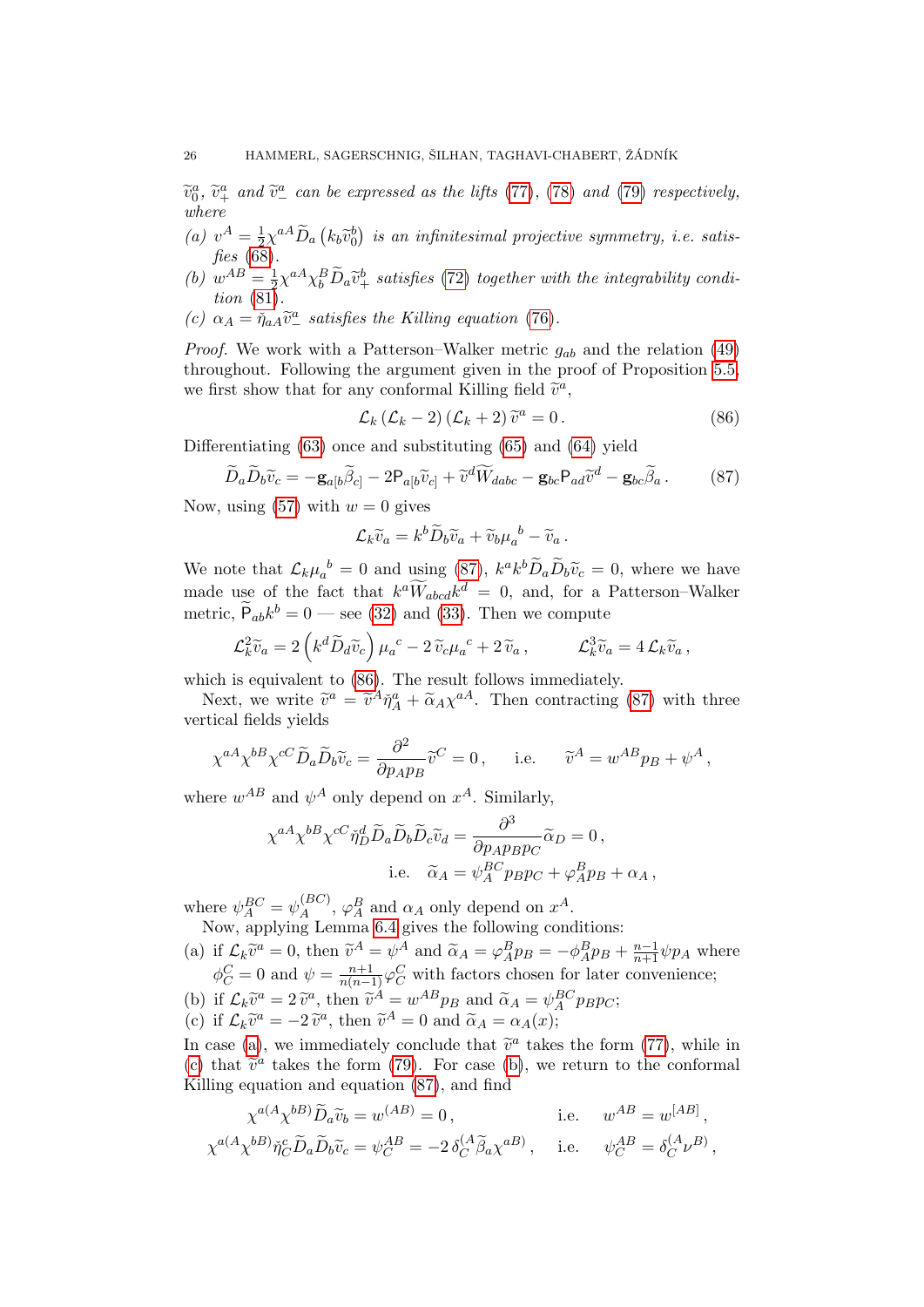$\widetilde{v}_0^a$ ,  $\widetilde{v}_+^a$  and  $\widetilde{v}_-^a$  can be expressed as the lifts [\(77\)](#page-22-7), [\(78\)](#page-22-3) and [\(79\)](#page-22-8) respectively, where

- (*a*)  $v^A = \frac{1}{2}$  $\frac{1}{2}\chi^{aA}\widetilde{D}_{a}\left(k_{b}\widetilde{v}_{0}^{b}\right)$  is an infinitesimal projective symmetry, i.e. satis-<br>(8) fies [\(68\)](#page-21-4).
- (*b*)  $w^{AB} = \frac{1}{2}$  $\frac{1}{2}\chi^{aA}\chi^{B}_{b}\tilde{D}_{a}\tilde{v}^{b}_{+}$  satisfies [\(72\)](#page-22-1) together with the integrability condition [\(81\)](#page-23-1).
- (c)  $\alpha_A = \tilde{\eta}_{aA} \tilde{v}^a_-$  satisfies the Killing equation [\(76\)](#page-22-2).

*Proof.* We work with a Patterson–Walker metric  $g_{ab}$  and the relation [\(49\)](#page-17-0) throughout. Following the argument given in the proof of Proposition [5.5,](#page-20-0) we first show that for any conformal Killing field  $\tilde{v}^a$ ,

<span id="page-25-1"></span><span id="page-25-0"></span>
$$
\mathcal{L}_k \left( \mathcal{L}_k - 2 \right) \left( \mathcal{L}_k + 2 \right) \widetilde{v}^a = 0 \,. \tag{86}
$$

Differentiating [\(63\)](#page-21-2) once and substituting [\(65\)](#page-21-6) and [\(64\)](#page-21-3) yield

$$
\widetilde{D}_a \widetilde{D}_b \widetilde{v}_c = -\mathbf{g}_{a[b}\widetilde{\beta}_{c]} - 2\mathsf{P}_{a[b}\widetilde{v}_c] + \widetilde{v}^d \widetilde{W}_{dabc} - \mathbf{g}_{bc}\mathsf{P}_{ad}\widetilde{v}^d - \mathbf{g}_{bc}\widetilde{\beta}_a. \tag{87}
$$

Now, using [\(57\)](#page-19-0) with  $w = 0$  gives

$$
\mathcal{L}_k \widetilde{v}_a = k^b \widetilde{D}_b \widetilde{v}_a + \widetilde{v}_b \mu_a^{\ b} - \widetilde{v}_a \, .
$$

We note that  $\mathcal{L}_k \mu_a^b = 0$  and using [\(87\)](#page-25-0),  $k^a k^b \widetilde{D}_a \widetilde{D}_b \widetilde{v}_c = 0$ , where we have made use of the fact that  $k^a \widetilde{W}_{abcd} k^d = 0$ , and, for a Patterson–Walker metric,  $\tilde{P}_{ab}k^b = 0$  — see [\(32\)](#page-13-1) and [\(33\)](#page-13-2). Then we compute

$$
\mathcal{L}_k^2 \widetilde{v}_a = 2 \left( k^d \widetilde{D}_d \widetilde{v}_c \right) \mu_a^{\ c} - 2 \widetilde{v}_c \mu_a^{\ c} + 2 \widetilde{v}_a \,, \qquad \mathcal{L}_k^3 \widetilde{v}_a = 4 \mathcal{L}_k \widetilde{v}_a \,,
$$

which is equivalent to [\(86\)](#page-25-1). The result follows immediately.

Next, we write  $\tilde{v}^a = \tilde{v}^A \tilde{\eta}^a_A + \tilde{\alpha}_A \chi^{aA}$ . Then contracting [\(87\)](#page-25-0) with three stical fields violds vertical fields yields

$$
\chi^{aA}\chi^{bB}\chi^{cC}\widetilde{D}_a\widetilde{D}_b\widetilde{v}_c = \frac{\partial^2}{\partial p_A p_B}\widetilde{v}^C = 0, \quad \text{i.e.} \quad \widetilde{v}^A = w^{AB}p_B + \psi^A,
$$

where  $w^{AB}$  and  $\psi^A$  only depend on  $x^A$ . Similarly,

$$
\chi^{aA} \chi^{bB} \chi^{cC} \check{\eta}_D^d \widetilde{D}_a \widetilde{D}_b \widetilde{D}_c \widetilde{v}_d = \frac{\partial^3}{\partial p_A p_B p_C} \widetilde{\alpha}_D = 0,
$$
  
i.e.  $\widetilde{\alpha}_A = \psi_A^{BC} p_B p_C + \varphi_A^B p_B + \alpha_A,$ 

where  $\psi_A^{BC} = \psi_A^{(BC)}$  $\mathcal{A}_{A}^{(BC)}$ ,  $\varphi_{A}^{B}$  and  $\alpha_{A}$  only depend on  $x^{A}$ . Now, applying Lemma [6.4](#page-24-1) gives the following conditions:

- <span id="page-25-2"></span>(a) if  $\mathcal{L}_k \tilde{v}^a = 0$ , then  $\tilde{v}^A = \psi^A$  and  $\tilde{\alpha}_A = \varphi^B_A p_B = -\phi^B_A p_B + \frac{n-1}{n+1} \psi p_A$  where  $\phi_C^C = 0$  and  $\psi = \frac{n+1}{n(n-1)}\varphi_C^C$  with factors chosen for later convenience;
- <span id="page-25-4"></span><span id="page-25-3"></span>(b) if  $\mathcal{L}_k \tilde{v}^a = 2 \tilde{v}^a$ , then  $\tilde{v}^A = w^{AB} p_B$  and  $\tilde{\alpha}_A = \psi_A^{BC} p_B p_C$ ; (c) if  $\mathcal{L}_k \tilde{v}^a = -2 \tilde{v}^a$ , then  $\tilde{v}^A = 0$  and  $\tilde{\alpha}_A = \alpha_A(x)$ ;

In case [\(a\)](#page-25-2), we immediately conclude that  $\tilde{v}^a$  takes the form [\(77\)](#page-22-7), while in (c) that  $\tilde{v}^a$  takes the form (70). For case (b), we return to the conformal [\(c\)](#page-25-3) that  $\tilde{v}^a$  takes the form [\(79\)](#page-22-8). For case [\(b\)](#page-25-4), we return to the conformal Killing equation and equation (87) and find Killing equation and equation [\(87\)](#page-25-0), and find

$$
\chi^{a(A}\chi^{bB})\widetilde{D}_a\widetilde{v}_b = w^{(AB)} = 0, \qquad \text{i.e.} \qquad w^{AB} = w^{[AB]},
$$
  

$$
\chi^{a(A}\chi^{bB})\widetilde{\eta}_C^c\widetilde{D}_a\widetilde{D}_b\widetilde{v}_c = \psi_C^{AB} = -2\delta_C^{(A}\widetilde{\beta}_a\chi^{aB}), \qquad \text{i.e.} \qquad \psi_C^{AB} = \delta_C^{(A}\nu^{B)},
$$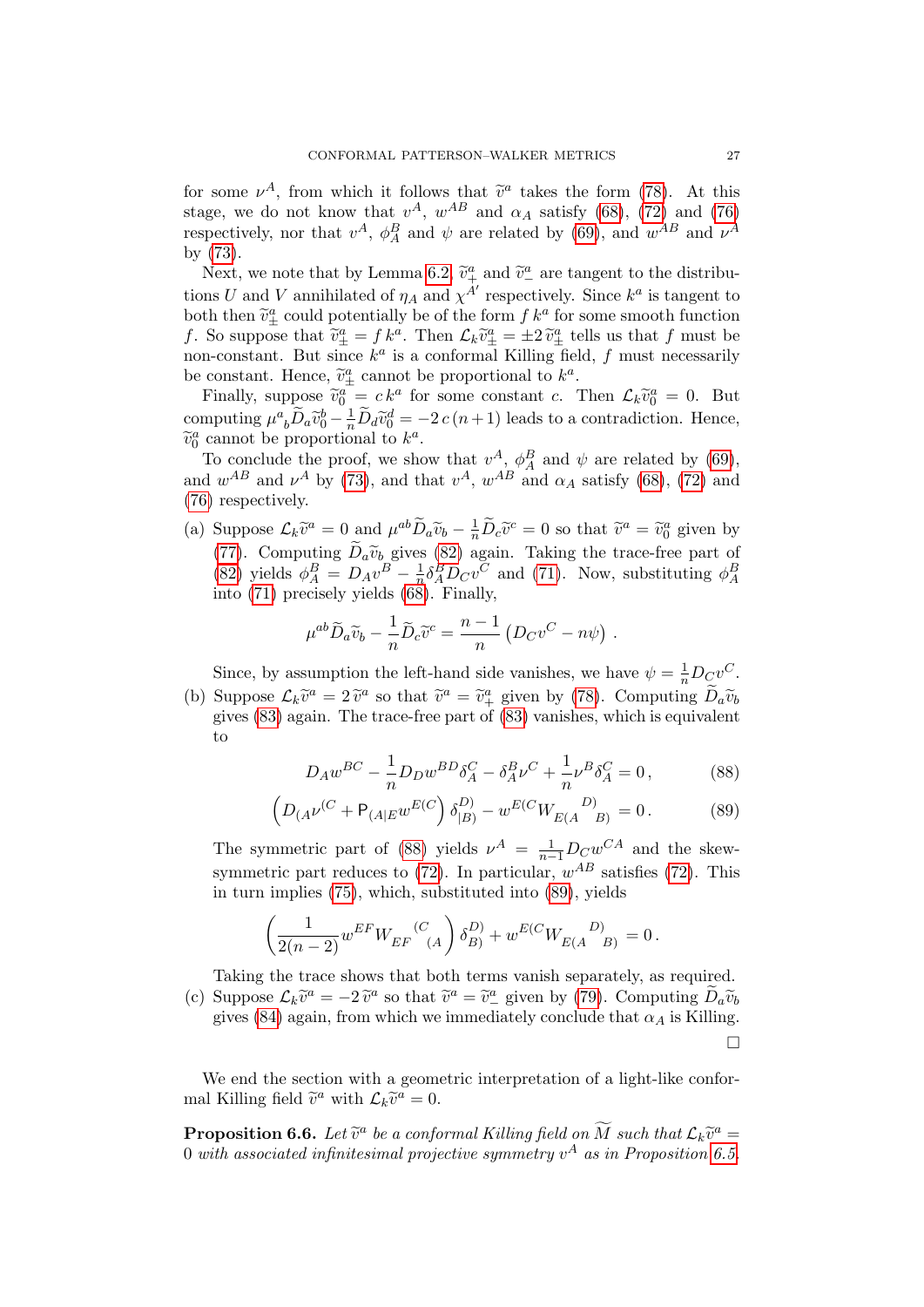for some  $\nu^A$ , from which it follows that  $\tilde{v}^a$  takes the form [\(78\)](#page-22-3). At this stage, we do not know that  $v^A$ ,  $w^{AB}$  and  $\alpha_A$  satisfy [\(68\)](#page-21-4), [\(72\)](#page-22-1) and [\(76\)](#page-22-2) respectively, nor that  $v^A$ ,  $\phi_A^B$  and  $\psi$  are related by [\(69\)](#page-21-5), and  $w^{AB}$  and  $\nu^A$ by [\(73\)](#page-22-0).

Next, we note that by Lemma [6.2,](#page-23-3)  $\tilde{v}^a_+$  and  $\tilde{v}^a_-$  are tangent to the distributions U and V annihilated of  $\eta_A$  and  $\chi^{A'}$  respectively. Since  $k^a$  is tangent to both then  $\tilde{v}^a_{\pm}$  could potentially be of the form  $f k^a$  for some smooth function  $f$ . So suppose that  $\tilde{v}^a = f k^a$ . Then  $f, \tilde{v}^a = +2 \tilde{v}^a$  tells us that f must be f. So suppose that  $\tilde{v}^a_{\pm} = f k^a$ . Then  $\mathcal{L}_k \tilde{v}^a_{\pm} = \pm 2 \tilde{v}^a_{\pm}$  tells us that f must be<br>non-constant. But since  $k^a$  is a conformal Killing field, f must pecosarily non-constant. But since  $k^a$  is a conformal Killing field, f must necessarily be constant. Hence,  $\tilde{v}^a_{\pm}$  cannot be proportional to  $k^a$ .<br>Finally, suppose  $\tilde{v}^a_{\pm} = e k^a$  for some constant  $e^{i\pi}$ .

Finally, suppose  $\tilde{v}_0^a = c k^a$  for some constant c. Then  $\mathcal{L}_k \tilde{v}_0^a = 0$ . But computing  $\mu^a{}_b \tilde{D}_a \tilde{v}_0^b - \frac{1}{n} \tilde{D}_d \tilde{v}_0^d = -2 c (n+1)$  leads to a contradiction. Hence,  $\widetilde{v}_0^a$  cannot be proportional to  $k^a$ .<br>To conclude the proof we she

To conclude the proof, we show that  $v^A$ ,  $\phi_A^B$  and  $\psi$  are related by [\(69\)](#page-21-5), and  $w^{AB}$  and  $\nu^A$  by [\(73\)](#page-22-0), and that  $v^A$ ,  $w^{AB}$  and  $\alpha_A$  satisfy [\(68\)](#page-21-4), [\(72\)](#page-22-1) and [\(76\)](#page-22-2) respectively.

(a) Suppose  $\mathcal{L}_k \tilde{v}^a = 0$  and  $\mu^{ab} \tilde{D}_a \tilde{v}_b - \frac{1}{n} \tilde{D}_c \tilde{v}^c = 0$  so that  $\tilde{v}^a = \tilde{v}^a_0$  given by [\(77\)](#page-22-7). Computing  $D_a \tilde{v}_b$  gives [\(82\)](#page-24-0) again. Taking the trace-free part of [\(82\)](#page-24-0) yields  $\phi_A^B = D_A v^B - \frac{1}{n} \delta_A^B D_C v^C$  and (71). Now, substituting  $\phi_A^B$  $\frac{1}{n} \delta_A^B D_C v^C$  and [\(71\)](#page-22-9). Now, substituting  $\phi_A^B$ into  $(71)$  precisely yields  $(68)$ . Finally,

$$
\mu^{ab}\widetilde{D}_a\widetilde{v}_b - \frac{1}{n}\widetilde{D}_c\widetilde{v}^c = \frac{n-1}{n}\left(D_Cv^C - n\psi\right).
$$

Since, by assumption the left-hand side vanishes, we have  $\psi = \frac{1}{n} D_C v^C$ .

(b) Suppose  $\mathcal{L}_k \tilde{v}^a = 2 \tilde{v}^a$  so that  $\tilde{v}^a = \tilde{v}^a_+$  given by [\(78\)](#page-22-3). Computing  $\tilde{D}_a \tilde{v}_b$  given  $\tilde{v}^a$  given by (78). Computing  $\tilde{D}_a \tilde{v}_b$ gives [\(83\)](#page-24-2) again. The trace-free part of [\(83\)](#page-24-2) vanishes, which is equivalent to

<span id="page-26-1"></span><span id="page-26-0"></span>
$$
D_A w^{BC} - \frac{1}{n} D_D w^{BD} \delta_A^C - \delta_A^B \nu^C + \frac{1}{n} \nu^B \delta_A^C = 0, \qquad (88)
$$

$$
\left(D_{(A}\nu^{(C)} + P_{(A|E}w^{E(C)})\delta_{|B)}^{(D)} - w^{E(C)}W_{E(A}^{(D))} = 0.\right)
$$
 (89)

The symmetric part of [\(88\)](#page-26-0) yields  $\nu^A = \frac{1}{n-1}D_Cw^{CA}$  and the skewsymmetric part reduces to  $(72)$ . In particular,  $w^{AB}$  satisfies  $(72)$ . This in turn implies [\(75\)](#page-22-10), which, substituted into [\(89\)](#page-26-1), yields

$$
\left(\frac{1}{2(n-2)}w^{EF}W_{EF}^{(C)}(A)\delta_B^D\right) + w^{E(C}W_{E(A}^{(D)}) = 0.
$$

Taking the trace shows that both terms vanish separately, as required. (c) Suppose  $\mathcal{L}_k \tilde{v}^a = -2 \tilde{v}^a$  so that  $\tilde{v}^a = \tilde{v}^a$  given by [\(79\)](#page-22-8). Computing  $\tilde{D}_a \tilde{v}_b$  given  $(84)$  again, from which we immediately conclude that  $\alpha$ , is Killing

gives [\(84\)](#page-24-3) again, from which we immediately conclude that  $\alpha_A$  is Killing.  $\Box$ 

We end the section with a geometric interpretation of a light-like conformal Killing field  $\tilde{v}^a$  with  $\mathcal{L}_k\tilde{v}^a = 0$ .

<span id="page-26-2"></span>**Proposition 6.6.** Let  $\tilde{v}^a$  be a conformal Killing field on  $\tilde{M}$  such that  $\mathcal{L}_k\tilde{v}^a =$ <br>0. with associated infinitesimal projective symmetry of as in Proposition 6.5. 0 with associated infinitesimal projective symmetry  $v^A$  as in Proposition [6.5.](#page-24-4)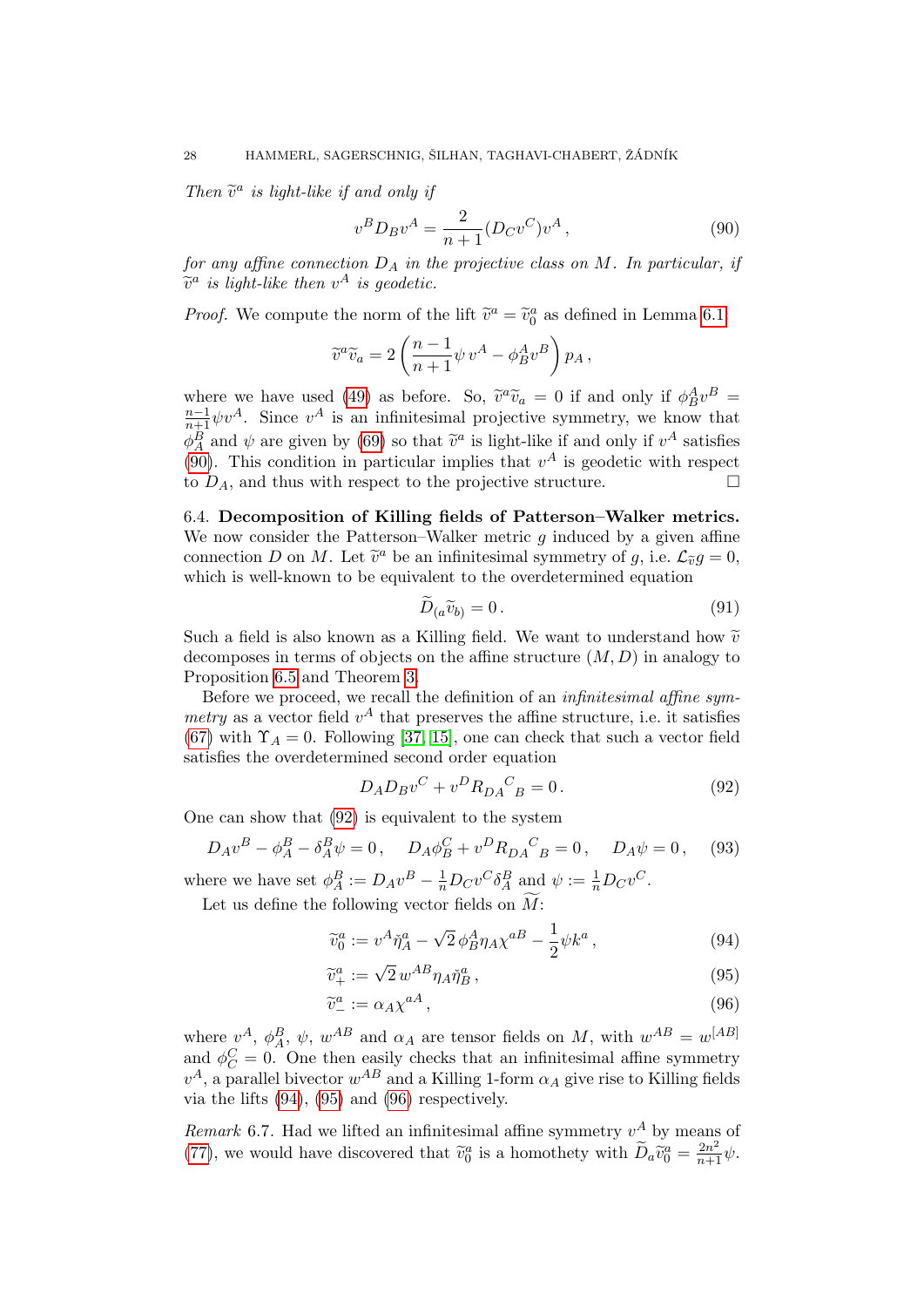Then  $\tilde{v}^a$  is light-like if and only if

<span id="page-27-0"></span>
$$
v^B D_B v^A = \frac{2}{n+1} (D_C v^C) v^A , \qquad (90)
$$

for any affine connection  $D_A$  in the projective class on M. In particular, if  $\widetilde{v}^a$  is light-like then  $v^A$  is geodetic.

*Proof.* We compute the norm of the lift  $\tilde{v}^a = \tilde{v}_0^a$  as defined in Lemma [6.1:](#page-22-6)

$$
\widetilde{v}^a \widetilde{v}_a = 2 \left( \frac{n-1}{n+1} \psi v^A - \phi_B^A v^B \right) p_A,
$$

where we have used [\(49\)](#page-17-0) as before. So,  $\tilde{v}^a \tilde{v}_a = 0$  if and only if  $\phi_B^A v^B =$ <br> $v^{-1}$  shown is an infinitesimal projective summatry we know that  $\frac{n-1}{n+1}\psi v^A$ . Since  $v^A$  is an infinitesimal projective symmetry, we know that  $\phi_A^B$  and  $\psi$  are given by [\(69\)](#page-21-5) so that  $\tilde{v}^a$  is light-like if and only if  $v^A$  satisfies (00). This condition in particular implies that  $v^A$  is goodstie with respect [\(90\)](#page-27-0). This condition in particular implies that  $v^A$  is geodetic with respect to  $D_A$ , and thus with respect to the projective structure.  $\Box$ 

6.4. Decomposition of Killing fields of Patterson–Walker metrics. We now consider the Patterson–Walker metric  $g$  induced by a given affine connection D on M. Let  $\tilde{v}^a$  be an infinitesimal symmetry of g, i.e.  $\mathcal{L}_{\tilde{v}}g = 0$ ,<br>which is well known to be equivalent to the overdetermined equation which is well-known to be equivalent to the overdetermined equation

<span id="page-27-5"></span><span id="page-27-1"></span>
$$
D_{(a}\widetilde{v}_{b)} = 0. \tag{91}
$$

Such a field is also known as a Killing field. We want to understand how  $\tilde{v}$ decomposes in terms of objects on the affine structure  $(M, D)$  in analogy to Proposition [6.5](#page-24-4) and Theorem [3.](#page-2-0)

Before we proceed, we recall the definition of an infinitesimal affine symmetry as a vector field  $v^A$  that preserves the affine structure, i.e. it satisfies [\(67\)](#page-21-7) with  $\Upsilon_A = 0$ . Following [\[37,](#page-32-15) [15\]](#page-31-5), one can check that such a vector field satisfies the overdetermined second order equation

<span id="page-27-6"></span><span id="page-27-2"></span>
$$
D_A D_B v^C + v^D R_{DA}{}^C{}_B = 0.
$$
\n(92)

One can show that [\(92\)](#page-27-1) is equivalent to the system

$$
D_A v^B - \phi_A^B - \delta_A^B \psi = 0, \quad D_A \phi_B^C + v^D R_{DA}{}^C{}_B = 0, \quad D_A \psi = 0, \quad (93)
$$

where we have set  $\phi_A^B := D_A v^B - \frac{1}{n} D_C v^C \delta_A^B$  and  $\psi := \frac{1}{n} D_C v^C$ .

Let us define the following vector fields on  $\overline{M}$ :

<span id="page-27-3"></span>
$$
\widetilde{v}_0^a := v^A \check{\eta}_A^a - \sqrt{2} \, \phi_B^A \eta_A \chi^{aB} - \frac{1}{2} \psi k^a \,, \tag{94}
$$

$$
\widetilde{v}_{+}^{a} := \sqrt{2} w^{AB} \eta_{A} \check{\eta}_{B}^{a},\tag{95}
$$

<span id="page-27-4"></span>
$$
\widetilde{v}^a_- := \alpha_A \chi^{aA},\tag{96}
$$

where  $v^A$ ,  $\phi_A^B$ ,  $\psi$ ,  $w^{AB}$  and  $\alpha_A$  are tensor fields on M, with  $w^{AB} = w^{[AB]}$ and  $\phi_C^C = 0$ . One then easily checks that an infinitesimal affine symmetry  $v^A$ , a parallel bivector  $w^{AB}$  and a Killing 1-form  $\alpha_A$  give rise to Killing fields via the lifts [\(94\)](#page-27-2), [\(95\)](#page-27-3) and [\(96\)](#page-27-4) respectively.

Remark 6.7. Had we lifted an infinitesimal affine symmetry  $v^A$  by means of [\(77\)](#page-22-7), we would have discovered that  $\tilde{v}_0^a$  is a homothety with  $\tilde{D}_a \tilde{v}_0^a = \frac{2n^2}{n+1} \psi$ .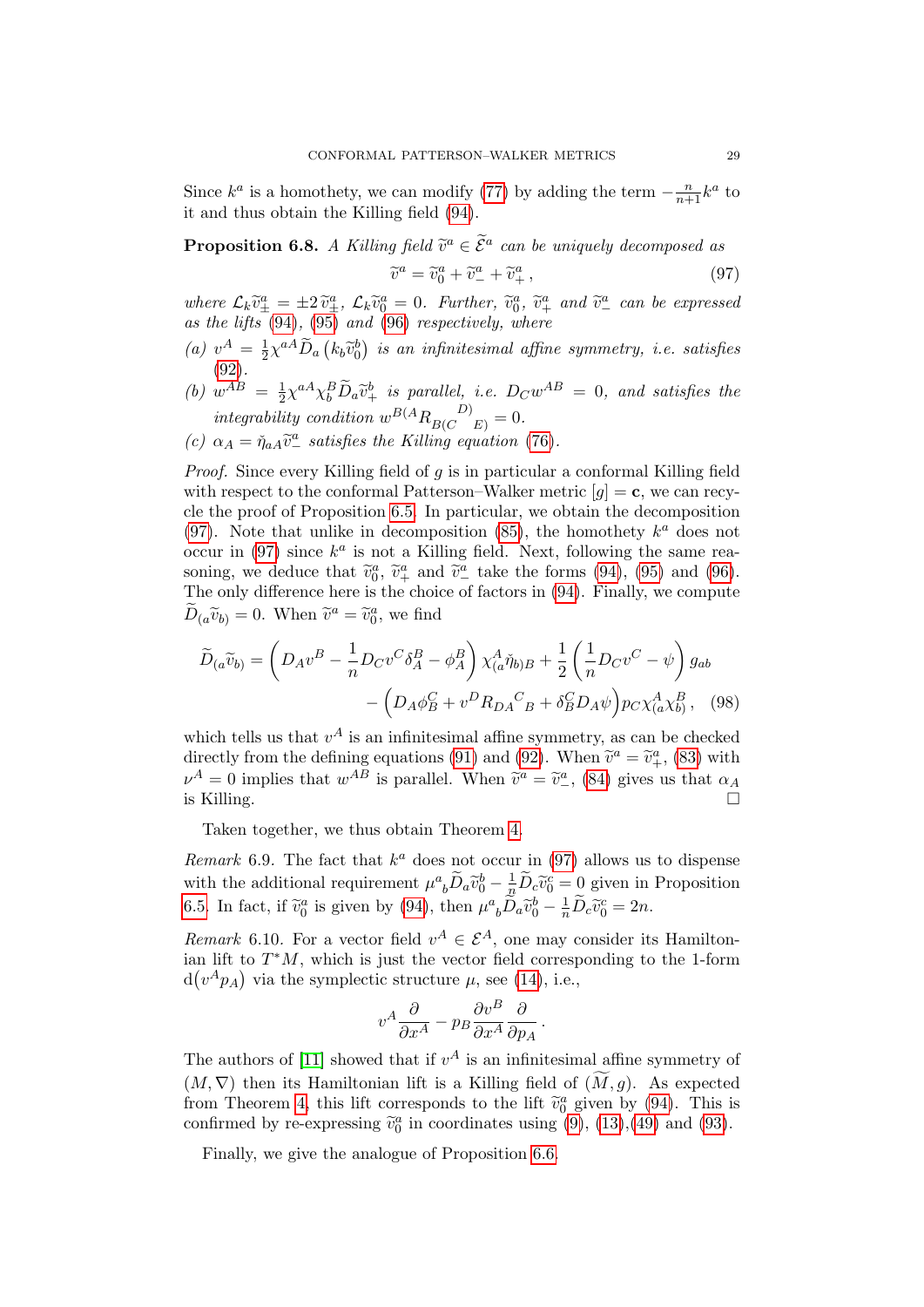Since  $k^a$  is a homothety, we can modify [\(77\)](#page-22-7) by adding the term  $-\frac{n}{n+1}k^a$  to it and thus obtain the Killing field [\(94\)](#page-27-2).

<span id="page-28-1"></span>**Proposition 6.8.** A Killing field  $\widetilde{v}^a \in \widetilde{\mathcal{E}}^a$  can be uniquely decomposed as

<span id="page-28-0"></span>
$$
\widetilde{v}^a = \widetilde{v}_0^a + \widetilde{v}_-^a + \widetilde{v}_+^a, \qquad (97)
$$

where  $\mathcal{L}_k \tilde{v}^a_{\pm} = \pm 2 \tilde{v}^a_{\pm}$ ,  $\mathcal{L}_k \tilde{v}^a_0 = 0$ . Further,  $\tilde{v}^a_0$ ,  $\tilde{v}^a_{\pm}$  and  $\tilde{v}^a_{\pm}$  can be expressed<br>as the lifts (94) (95) and (96) respectively where as the lifts  $(94)$ ,  $(95)$  and  $(96)$  respectively, where

- (a)  $v^A = \frac{1}{2}$  $\frac{1}{2}\chi^{aA}\widetilde{D}_{a}\left(k_{b}\widetilde{v}_{0}^{b}\right)$  is an infinitesimal affine symmetry, i.e. satisfies [\(92\)](#page-27-1).
- (b)  $w^{AB} = \frac{1}{2}$  $\frac{1}{2}\chi^{aA}\chi^{B}_{b}\widetilde{D}_{a}\widetilde{v}^{b}_{+}$  is parallel, i.e.  $D_{C}w^{AB} = 0$ , and satisfies the integrability condition  $w^{B(A} R_{B(C}^{\nD)}_{E)} = 0.$
- (c)  $\alpha_A = \tilde{\eta}_{aA} \tilde{v}^a_{-}$  satisfies the Killing equation [\(76\)](#page-22-2).

*Proof.* Since every Killing field of  $g$  is in particular a conformal Killing field with respect to the conformal Patterson–Walker metric  $[q] = c$ , we can recycle the proof of Proposition [6.5.](#page-24-4) In particular, we obtain the decomposition [\(97\)](#page-28-0). Note that unlike in decomposition [\(85\)](#page-24-5), the homothety  $k^a$  does not occur in [\(97\)](#page-28-0) since  $k^a$  is not a Killing field. Next, following the same reasoning, we deduce that  $\tilde{v}_0^a$ ,  $\tilde{v}_+^a$  and  $\tilde{v}_-^a$  take the forms [\(94\)](#page-27-2), [\(95\)](#page-27-3) and [\(96\)](#page-27-4).<br>The only difference here is the choice of factors in (94). Finally, we compute The only difference here is the choice of factors in [\(94\)](#page-27-2). Finally, we compute  $\widetilde{D}_{(a}\widetilde{v}_{b)} = 0$ . When  $\widetilde{v}^{a} = \widetilde{v}_{0}^{a}$ , we find

$$
\widetilde{D}_{(a}\widetilde{v}_{b)} = \left(D_{A}v^{B} - \frac{1}{n}D_{C}v^{C}\delta_{A}^{B} - \phi_{A}^{B}\right)\chi_{(a}\widetilde{\eta}_{b)B} + \frac{1}{2}\left(\frac{1}{n}D_{C}v^{C} - \psi\right)g_{ab} - \left(D_{A}\phi_{B}^{C} + v^{D}R_{DA}^{C}{}_{B} + \delta_{B}^{C}D_{A}\psi\right)p_{C}\chi_{(a}^{A}\chi_{b}^{B}, \quad (98)
$$

which tells us that  $v^A$  is an infinitesimal affine symmetry, as can be checked directly from the defining equations [\(91\)](#page-27-5) and [\(92\)](#page-27-1). When  $\tilde{v}^a = \tilde{v}^a_+$ , [\(83\)](#page-24-2) with  $v^A = 0$  implies that  $w^A$  is parallel. When  $\tilde{v}^a = \tilde{v}^a_+$  (84) gives us that  $\tilde{v}$ .  $\nu^A = 0$  implies that  $w^{AB}$  is parallel. When  $\tilde{v}^a = \tilde{v}^a_-, (84)$  $\tilde{v}^a = \tilde{v}^a_-, (84)$  gives us that  $\alpha_A$ is Killing.

Taken together, we thus obtain Theorem [4.](#page-3-0)

Remark 6.9. The fact that  $k^a$  does not occur in [\(97\)](#page-28-0) allows us to dispense with the additional requirement  $\mu^a{}_b \tilde{D}_a \tilde{v}_0^b - \frac{1}{n} \tilde{D}_c \tilde{v}_0^c = 0$  given in Proposition [6.5.](#page-24-4) In fact, if  $\tilde{v}_0^a$  is given by [\(94\)](#page-27-2), then  $\mu^a{}_b \tilde{D}_a \tilde{v}_0^b - \frac{1}{n} \tilde{D}_c \tilde{v}_0^c = 2n$ .

Remark 6.10. For a vector field  $v^A \in \mathcal{E}^A$ , one may consider its Hamiltonian lift to  $T^*M$ , which is just the vector field corresponding to the 1-form  $d(v^A p_A)$  via the symplectic structure  $\mu$ , see [\(14\)](#page-6-7), i.e.,

$$
v^A \frac{\partial}{\partial x^A} - p_B \frac{\partial v^B}{\partial x^A} \frac{\partial}{\partial p_A}.
$$

The authors of [\[11\]](#page-31-11) showed that if  $v^A$  is an infinitesimal affine symmetry of  $(M, \nabla)$  then its Hamiltonian lift is a Killing field of  $(M, g)$ . As expected from Theorem [4,](#page-3-0) this lift corresponds to the lift  $\tilde{v}_0^a$  given by [\(94\)](#page-27-2). This is confirmed by re-expressing  $\tilde{v}_0^a$  in coordinates using (9) (13) (49) and (93) confirmed by re-expressing  $\tilde{v}_0^a$  in coordinates using [\(9\)](#page-5-1), [\(13\)](#page-6-5), [\(49\)](#page-17-0) and [\(93\)](#page-27-6).

Finally, we give the analogue of Proposition [6.6.](#page-26-2)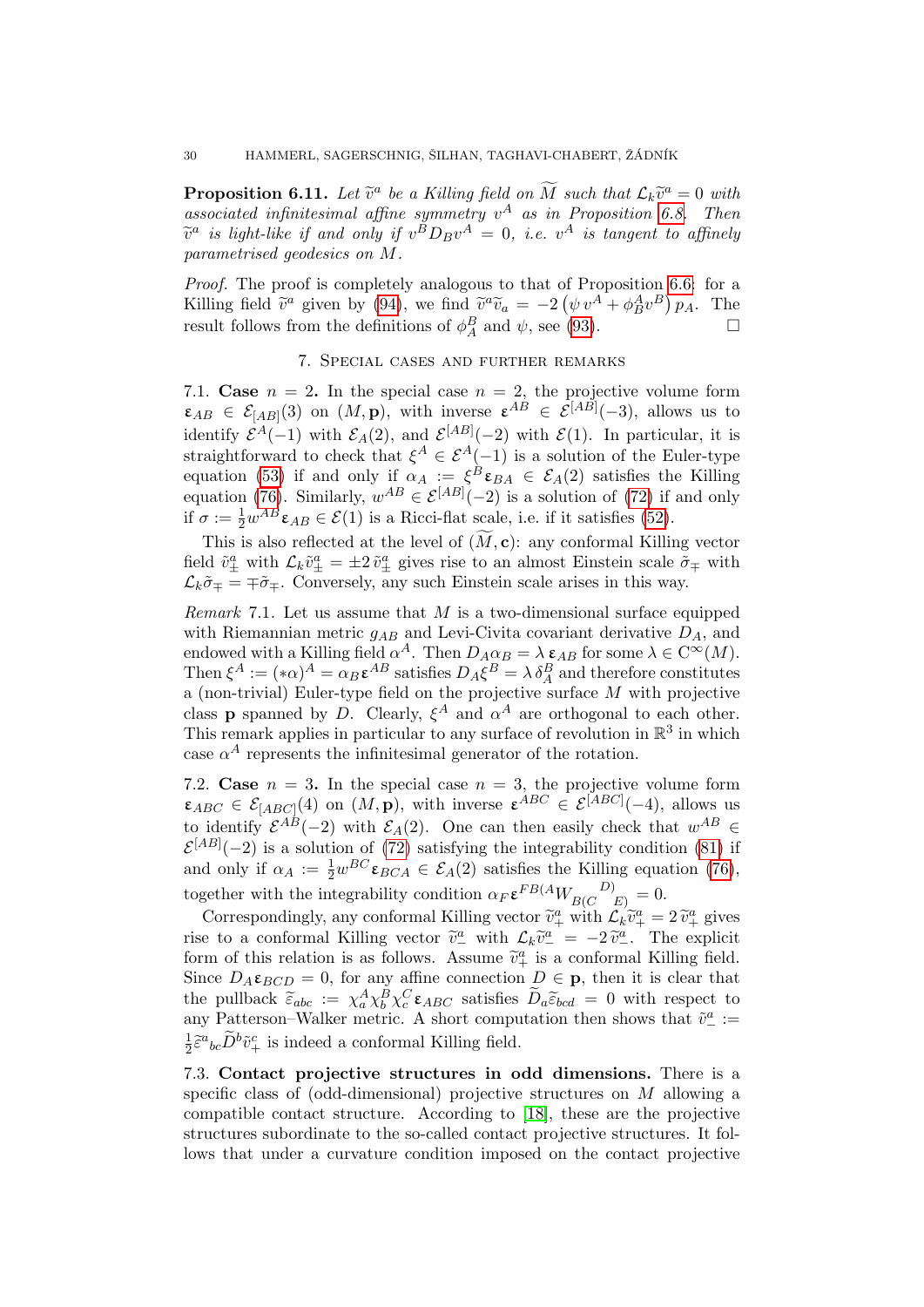**Proposition 6.11.** Let  $\tilde{v}^a$  be a Killing field on  $\tilde{M}$  such that  $\mathcal{L}_k\tilde{v}^a = 0$  with associated infinitesimal affine symmetry  $v^A$  as in Proposition [6.8.](#page-28-1) Then  $\widetilde{v}^a$  is light-like if and only if  $v^B D_B v^A = 0$ , i.e.  $v^A$  is tangent to affinely<br>parametrised geodesics on M parametrised geodesics on M.

Proof. The proof is completely analogous to that of Proposition [6.6:](#page-26-2) for a Killing field  $\tilde{v}^a$  given by [\(94\)](#page-27-2), we find  $\tilde{v}^a \tilde{v}_a = -2(\psi v^A + \phi_B^A v^B) p_A$ . The result follows from the definitions of  $\phi_A^B$  and  $\psi$ , see [\(93\)](#page-27-6).

## 7. Special cases and further remarks

7.1. Case  $n = 2$ . In the special case  $n = 2$ , the projective volume form  $\varepsilon_{AB} \in \mathcal{E}_{[AB]}(3)$  on  $(M, \mathbf{p})$ , with inverse  $\varepsilon^{AB} \in \mathcal{E}^{[AB]}(-3)$ , allows us to identify  $\mathcal{E}^A(-1)$  with  $\mathcal{E}_A(2)$ , and  $\mathcal{E}^{[AB]}(-2)$  with  $\mathcal{E}(1)$ . In particular, it is straightforward to check that  $\xi^A \in \mathcal{E}^A(-1)$  is a solution of the Euler-type equation [\(53\)](#page-18-2) if and only if  $\alpha_A := \xi^B \varepsilon_{BA} \in \mathcal{E}_A(2)$  satisfies the Killing equation [\(76\)](#page-22-2). Similarly,  $w^{AB} \in \mathcal{E}^{[AB]}(-2)$  is a solution of [\(72\)](#page-22-1) if and only if  $\sigma := \frac{1}{2} w^{AB} \varepsilon_{AB} \in \mathcal{E}(1)$  is a Ricci-flat scale, i.e. if it satisfies [\(52\)](#page-18-3).

This is also reflected at the level of  $(M, c)$ : any conformal Killing vector field  $\tilde{v}^a_\pm$  with  $\mathcal{L}_k\tilde{v}^a_\pm = \pm 2\tilde{v}^a_\pm$  gives rise to an almost Einstein scale  $\tilde{\sigma}_\mp$  with  $\mathcal{L}_k \tilde{\sigma}_{\mp} = \mp \tilde{\sigma}_{\mp}$ . Conversely, any such Einstein scale arises in this way.

*Remark* 7.1. Let us assume that M is a two-dimensional surface equipped with Riemannian metric  $g_{AB}$  and Levi-Civita covariant derivative  $D_A$ , and endowed with a Killing field  $\alpha^A$ . Then  $D_A \alpha_B = \lambda \varepsilon_{AB}$  for some  $\lambda \in C^{\infty}(M)$ . Then  $\xi^A := (\ast \alpha)^A = \alpha_B \mathbf{\varepsilon}^{AB}$  satisfies  $D_A \xi^B = \lambda \delta_A^B$  and therefore constitutes a (non-trivial) Euler-type field on the projective surface  $M$  with projective class **p** spanned by D. Clearly,  $\xi^A$  and  $\alpha^A$  are orthogonal to each other. This remark applies in particular to any surface of revolution in  $\mathbb{R}^3$  in which case  $\alpha^A$  represents the infinitesimal generator of the rotation.

7.2. Case  $n = 3$ . In the special case  $n = 3$ , the projective volume form  $\varepsilon_{ABC} \in \mathcal{E}_{[ABC]}(4)$  on  $(M, \mathbf{p})$ , with inverse  $\varepsilon^{ABC} \in \mathcal{E}^{[ABC]}(-4)$ , allows us to identify  $\mathcal{E}^{AB}(-2)$  with  $\mathcal{E}_A(2)$ . One can then easily check that  $w^{AB} \in$  $\mathcal{E}^{[AB]}(-2)$  is a solution of [\(72\)](#page-22-1) satisfying the integrability condition [\(81\)](#page-23-1) if and only if  $\alpha_A := \frac{1}{2} w^{BC} \varepsilon_{BCA} \in \mathcal{E}_A(2)$  satisfies the Killing equation [\(76\)](#page-22-2), together with the integrability condition  $\alpha_F \varepsilon^{FB(A} W_{BC}^{\qquad D)} = 0.$ 

Correspondingly, any conformal Killing vector  $\tilde{v}_+^a$  with  $\mathcal{L}_k \tilde{v}_+^a = 2 \tilde{v}_+^a$  gives rise to a conformal Killing vector  $\tilde{v}^{\underline{a}}_{\underline{a}}$  with  $\mathcal{L}_k \tilde{v}^{\underline{a}}_{\underline{a}} = -2 \tilde{v}^{\underline{a}}_{\underline{a}}$ . The explicit form of this relation is as follows. Assume  $\tilde{v}^{\underline{a}}$  is a conformal Killing field form of this relation is as follows. Assume  $\tilde{v}^a_+$  is a conformal Killing field.<br>Since  $D \leq \rho_0$  for any effine connection  $D \in \rho_0$  then it is clear that Since  $D_A \varepsilon_{BCD} = 0$ , for any affine connection  $D \in \mathbf{p}$ , then it is clear that the pullback  $\tilde{\varepsilon}_{abc} := \chi_a^A \chi_b^B \chi_c^C \varepsilon_{ABC}$  satisfies  $\tilde{D}_a \tilde{\varepsilon}_{bcd} = 0$  with respect to only patters which matric  $\Lambda$  short computation than shows that  $\tilde{\varepsilon}^a$ any Patterson–Walker metric. A short computation then shows that  $\tilde{v}^a_{-} :=$ 1  $\frac{1}{2}\tilde{\varepsilon}^a{}_{bc}\tilde{D}^b\tilde{v}^c_+$  is indeed a conformal Killing field.

7.3. Contact projective structures in odd dimensions. There is a specific class of (odd-dimensional) projective structures on M allowing a compatible contact structure. According to [\[18\]](#page-31-16), these are the projective structures subordinate to the so-called contact projective structures. It follows that under a curvature condition imposed on the contact projective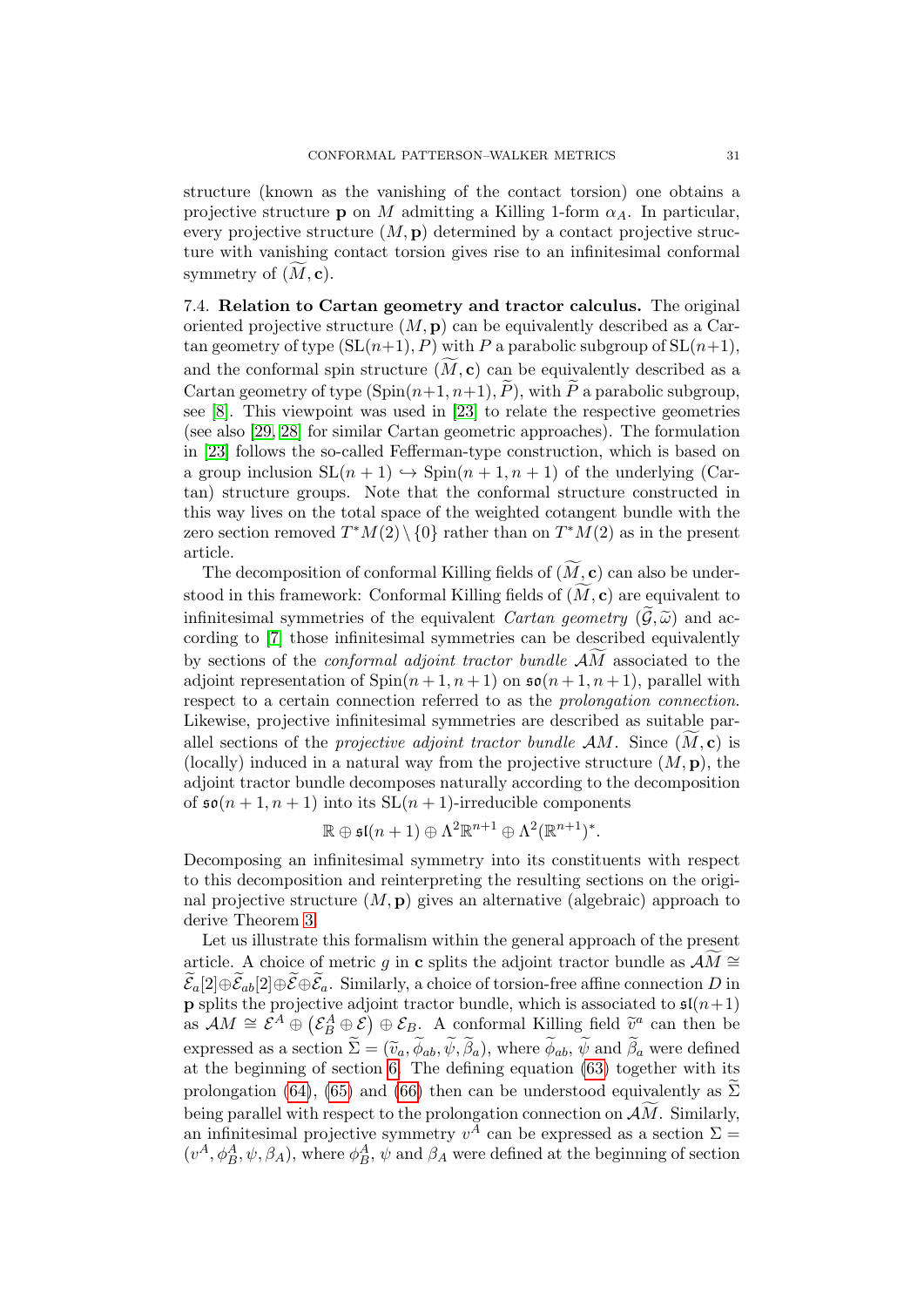structure (known as the vanishing of the contact torsion) one obtains a projective structure **p** on M admitting a Killing 1-form  $\alpha_A$ . In particular, every projective structure  $(M, \mathbf{p})$  determined by a contact projective structure with vanishing contact torsion gives rise to an infinitesimal conformal symmetry of  $(M, c)$ .

<span id="page-30-0"></span>7.4. Relation to Cartan geometry and tractor calculus. The original oriented projective structure  $(M, \mathbf{p})$  can be equivalently described as a Cartan geometry of type  $(SL(n+1), P)$  with P a parabolic subgroup of  $SL(n+1)$ , and the conformal spin structure  $(M, c)$  can be equivalently described as a Cartan geometry of type  $(\text{Spin}(n+1, n+1), \tilde{P})$ , with  $\tilde{P}$  a parabolic subgroup, see [\[8\]](#page-31-17). This viewpoint was used in [\[23\]](#page-32-6) to relate the respective geometries (see also [\[29,](#page-32-16) [28\]](#page-32-17) for similar Cartan geometric approaches). The formulation in [\[23\]](#page-32-6) follows the so-called Fefferman-type construction, which is based on a group inclusion  $SL(n + 1) \hookrightarrow Spin(n + 1, n + 1)$  of the underlying (Cartan) structure groups. Note that the conformal structure constructed in this way lives on the total space of the weighted cotangent bundle with the zero section removed  $T^*M(2) \setminus \{0\}$  rather than on  $T^*M(2)$  as in the present article.

The decomposition of conformal Killing fields of  $(\widetilde{M}, \mathbf{c})$  can also be understood in this framework: Conformal Killing fields of  $(M, c)$  are equivalent to infinitesimal symmetries of the equivalent *Cartan geometry*  $(\mathcal{G}, \tilde{\omega})$  and according to [\[7\]](#page-31-18) those infinitesimal symmetries can be described equivalently by sections of the *conformal adjoint tractor bundle*  $\widetilde{AM}$  associated to the adjoint representation of  $\text{Spin}(n+1, n+1)$  on  $\mathfrak{so}(n+1, n+1)$ , parallel with respect to a certain connection referred to as the prolongation connection. Likewise, projective infinitesimal symmetries are described as suitable parallel sections of the *projective adjoint tractor bundle AM*. Since  $(M, c)$  is (locally) induced in a natural way from the projective structure  $(M, \mathbf{p})$ , the adjoint tractor bundle decomposes naturally according to the decomposition of  $\mathfrak{so}(n+1,n+1)$  into its  $SL(n+1)$ -irreducible components

$$
\mathbb{R} \oplus \mathfrak{s}\mathfrak{l}(n+1) \oplus \Lambda^2 \mathbb{R}^{n+1} \oplus \Lambda^2(\mathbb{R}^{n+1})^*.
$$

Decomposing an infinitesimal symmetry into its constituents with respect to this decomposition and reinterpreting the resulting sections on the original projective structure  $(M, \mathbf{p})$  gives an alternative (algebraic) approach to derive Theorem [3.](#page-2-0)

Let us illustrate this formalism within the general approach of the present article. A choice of metric g in c splits the adjoint tractor bundle as  $\mathcal{A}\overline{\mathcal{M}} \cong$  $\mathcal{E}_a[2] \oplus \mathcal{E}_{ab}[2] \oplus \mathcal{E} \oplus \mathcal{E}_a$ . Similarly, a choice of torsion-free affine connection D in **p** splits the projective adjoint tractor bundle, which is associated to  $\mathfrak{sl}(n+1)$ as  $\mathcal{A}M \cong \mathcal{E}^A \oplus (\mathcal{E}_B^A \oplus \mathcal{E}) \oplus \mathcal{E}_B$ . A conformal Killing field  $\widetilde{v}^a$  can then be expressed as a section  $\Sigma = (\tilde{v}_a, \phi_{ab}, \psi, \beta_a)$ , where  $\phi_{ab}, \psi$  and  $\beta_a$  were defined<br>at the beginning of section 6. The defining equation (63) together with its at the beginning of section [6.](#page-21-0) The defining equation [\(63\)](#page-21-2) together with its prolongation [\(64\)](#page-21-3), [\(65\)](#page-21-6) and [\(66\)](#page-21-8) then can be understood equivalently as  $\widetilde{\Sigma}$ being parallel with respect to the prolongation connection on  $\mathcal{A}\widetilde{M}$ . Similarly, an infinitesimal projective symmetry  $v^A$  can be expressed as a section  $\Sigma =$  $(v^A, \phi_B^A, \psi, \beta_A)$ , where  $\phi_B^A$ ,  $\psi$  and  $\beta_A$  were defined at the beginning of section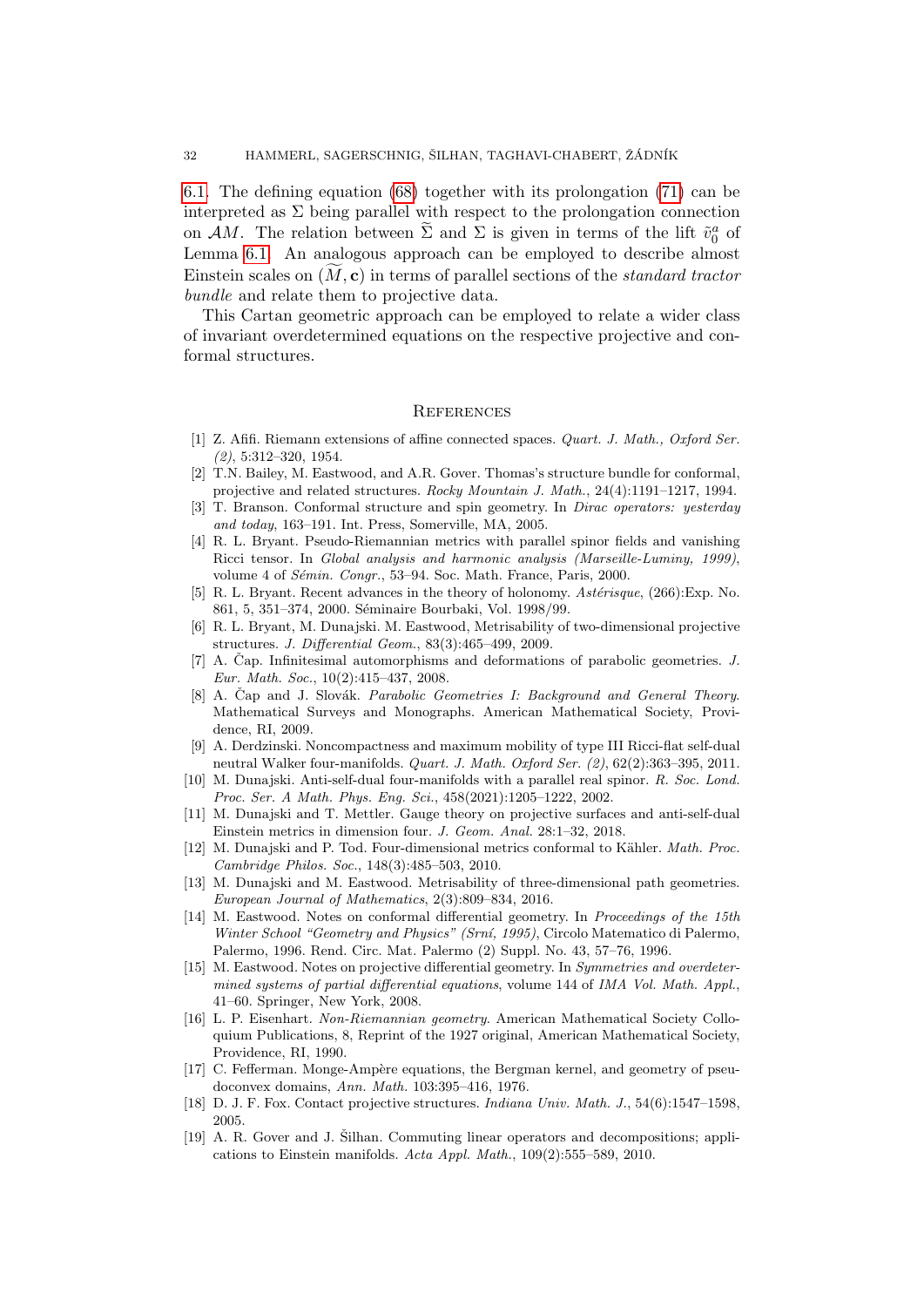[6.1.](#page-21-9) The defining equation [\(68\)](#page-21-4) together with its prolongation [\(71\)](#page-22-9) can be interpreted as  $\Sigma$  being parallel with respect to the prolongation connection on AM. The relation between  $\tilde{\Sigma}$  and  $\Sigma$  is given in terms of the lift  $\tilde{v}_0^a$  of Lemma [6.1.](#page-22-6) An analogous approach can be employed to describe almost Einstein scales on  $(M, c)$  in terms of parallel sections of the *standard tractor* bundle and relate them to projective data.

This Cartan geometric approach can be employed to relate a wider class of invariant overdetermined equations on the respective projective and conformal structures.

#### **REFERENCES**

- <span id="page-31-4"></span>[1] Z. Afifi. Riemann extensions of affine connected spaces. Quart. J. Math., Oxford Ser. (2), 5:312–320, 1954.
- <span id="page-31-7"></span>[2] T.N. Bailey, M. Eastwood, and A.R. Gover. Thomas's structure bundle for conformal, projective and related structures. Rocky Mountain J. Math., 24(4):1191–1217, 1994.
- <span id="page-31-12"></span>[3] T. Branson. Conformal structure and spin geometry. In Dirac operators: yesterday and today, 163–191. Int. Press, Somerville, MA, 2005.
- <span id="page-31-3"></span>[4] R. L. Bryant. Pseudo-Riemannian metrics with parallel spinor fields and vanishing Ricci tensor. In Global analysis and harmonic analysis (Marseille-Luminy, 1999), volume 4 of Sémin. Congr., 53-94. Soc. Math. France, Paris, 2000.
- <span id="page-31-14"></span>[5] R. L. Bryant. Recent advances in the theory of holonomy.  $Ast\acute{e}risque$ , (266): Exp. No. 861, 5, 351–374, 2000. Séminaire Bourbaki, Vol. 1998/99.
- <span id="page-31-8"></span>[6] R. L. Bryant, M. Dunajski. M. Eastwood, Metrisability of two-dimensional projective structures. J. Differential Geom., 83(3):465–499, 2009.
- <span id="page-31-18"></span>[7] A. Čap. Infinitesimal automorphisms and deformations of parabolic geometries. J. Eur. Math. Soc., 10(2):415–437, 2008.
- <span id="page-31-17"></span>[8] A. Čap and J. Slovák. Parabolic Geometries I: Background and General Theory. Mathematical Surveys and Monographs. American Mathematical Society, Providence, RI, 2009.
- <span id="page-31-1"></span>[9] A. Derdzinski. Noncompactness and maximum mobility of type III Ricci-flat self-dual neutral Walker four-manifolds. Quart. J. Math. Oxford Ser. (2), 62(2):363–395, 2011.
- <span id="page-31-13"></span>[10] M. Dunajski. Anti-self-dual four-manifolds with a parallel real spinor. R. Soc. Lond. Proc. Ser. A Math. Phys. Eng. Sci., 458(2021):1205–1222, 2002.
- <span id="page-31-11"></span>[11] M. Dunajski and T. Mettler. Gauge theory on projective surfaces and anti-self-dual Einstein metrics in dimension four. J. Geom. Anal. 28:1–32, 2018.
- <span id="page-31-0"></span>[12] M. Dunajski and P. Tod. Four-dimensional metrics conformal to Kähler. Math. Proc. Cambridge Philos. Soc., 148(3):485–503, 2010.
- <span id="page-31-9"></span>[13] M. Dunajski and M. Eastwood. Metrisability of three-dimensional path geometries. European Journal of Mathematics, 2(3):809–834, 2016.
- <span id="page-31-6"></span>[14] M. Eastwood. Notes on conformal differential geometry. In Proceedings of the 15th Winter School "Geometry and Physics" (Srní, 1995), Circolo Matematico di Palermo, Palermo, 1996. Rend. Circ. Mat. Palermo (2) Suppl. No. 43, 57–76, 1996.
- <span id="page-31-5"></span>[15] M. Eastwood. Notes on projective differential geometry. In Symmetries and overdetermined systems of partial differential equations, volume 144 of IMA Vol. Math. Appl., 41–60. Springer, New York, 2008.
- <span id="page-31-10"></span>[16] L. P. Eisenhart. Non-Riemannian geometry. American Mathematical Society Colloquium Publications, 8, Reprint of the 1927 original, American Mathematical Society, Providence, RI, 1990.
- <span id="page-31-2"></span>[17] C. Fefferman. Monge-Ampère equations, the Bergman kernel, and geometry of pseudoconvex domains, Ann. Math. 103:395–416, 1976.
- <span id="page-31-16"></span>[18] D. J. F. Fox. Contact projective structures. Indiana Univ. Math. J., 54(6):1547–1598, 2005.
- <span id="page-31-15"></span>[19] A. R. Gover and J. Šilhan. Commuting linear operators and decompositions; applications to Einstein manifolds. Acta Appl. Math., 109(2):555–589, 2010.